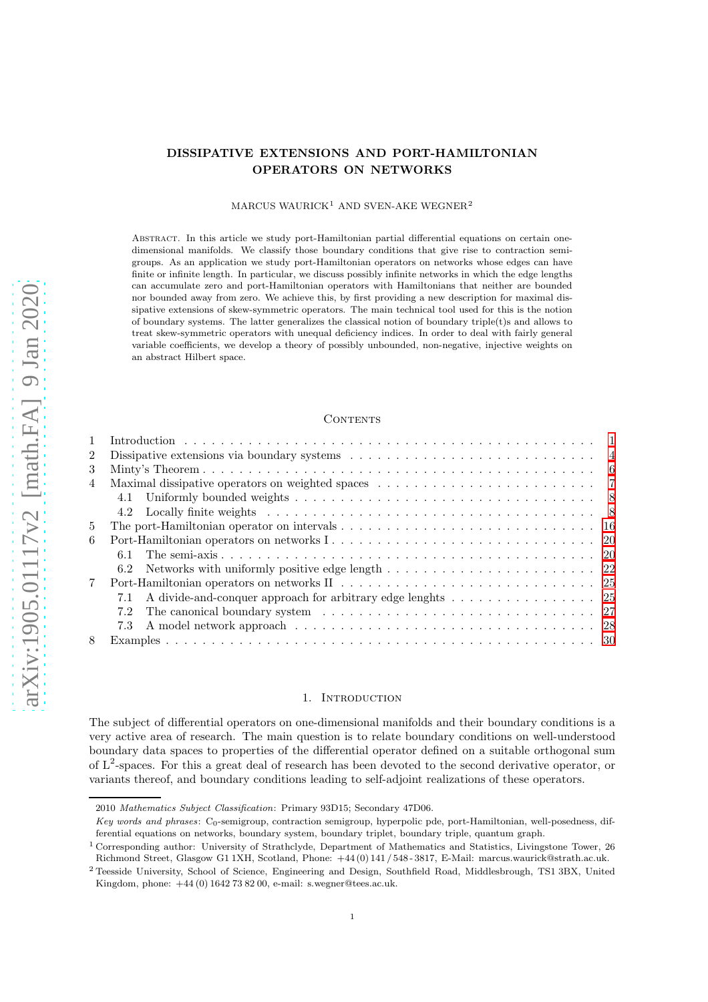# DISSIPATIVE EXTENSIONS AND PORT-HAMILTONIAN OPERATORS ON NETWORKS

#### MARCUS WAURICK<sup>1</sup> AND SVEN-AKE WEGNER<sup>2</sup>

Abstract. In this article we study port-Hamiltonian partial differential equations on certain onedimensional manifolds. We classify those boundary conditions that give rise to contraction semigroups. As an application we study port-Hamiltonian operators on networks whose edges can have finite or infinite length. In particular, we discuss possibly infinite networks in which the edge lengths can accumulate zero and port-Hamiltonian operators with Hamiltonians that neither are bounded nor bounded away from zero. We achieve this, by first providing a new description for maximal dissipative extensions of skew-symmetric operators. The main technical tool used for this is the notion of boundary systems. The latter generalizes the classical notion of boundary triple(t)s and allows to treat skew-symmetric operators with unequal deficiency indices. In order to deal with fairly general variable coefficients, we develop a theory of possibly unbounded, non-negative, injective weights on an abstract Hilbert space.

#### CONTENTS

| $\overline{2}$ |                                                                    |  |
|----------------|--------------------------------------------------------------------|--|
| 3              |                                                                    |  |
| $\overline{4}$ |                                                                    |  |
|                |                                                                    |  |
|                |                                                                    |  |
| $\frac{5}{2}$  |                                                                    |  |
| 6              |                                                                    |  |
|                | 61                                                                 |  |
|                |                                                                    |  |
| $7\phantom{.}$ |                                                                    |  |
|                | A divide-and-conquer approach for arbitrary edge lenghts 25<br>7.1 |  |
|                | 7.2                                                                |  |
|                | 7.3                                                                |  |
| 8              |                                                                    |  |

#### 1. INTRODUCTION

<span id="page-0-0"></span>The subject of differential operators on one-dimensional manifolds and their boundary conditions is a very active area of research. The main question is to relate boundary conditions on well-understood boundary data spaces to properties of the differential operator defined on a suitable orthogonal sum of  $L^2$ -spaces. For this a great deal of research has been devoted to the second derivative operator, or variants thereof, and boundary conditions leading to self-adjoint realizations of these operators.

<sup>2010</sup> Mathematics Subject Classification: Primary 93D15; Secondary 47D06.

Key words and phrases: C<sub>0</sub>-semigroup, contraction semigroup, hyperpolic pde, port-Hamiltonian, well-posedness, differential equations on networks, boundary system, boundary triplet, boundary triple, quantum graph.

<sup>1</sup> Corresponding author: University of Strathclyde, Department of Mathematics and Statistics, Livingstone Tower, 26 Richmond Street, Glasgow G1 1XH, Scotland, Phone: +44 (0) 141 / 548 - 3817, E-Mail: marcus.waurick@strath.ac.uk.

<sup>2</sup> Teesside University, School of Science, Engineering and Design, Southfield Road, Middlesbrough, TS1 3BX, United Kingdom, phone: +44 (0) 1642 73 82 00, e-mail: s.wegner@tees.ac.uk.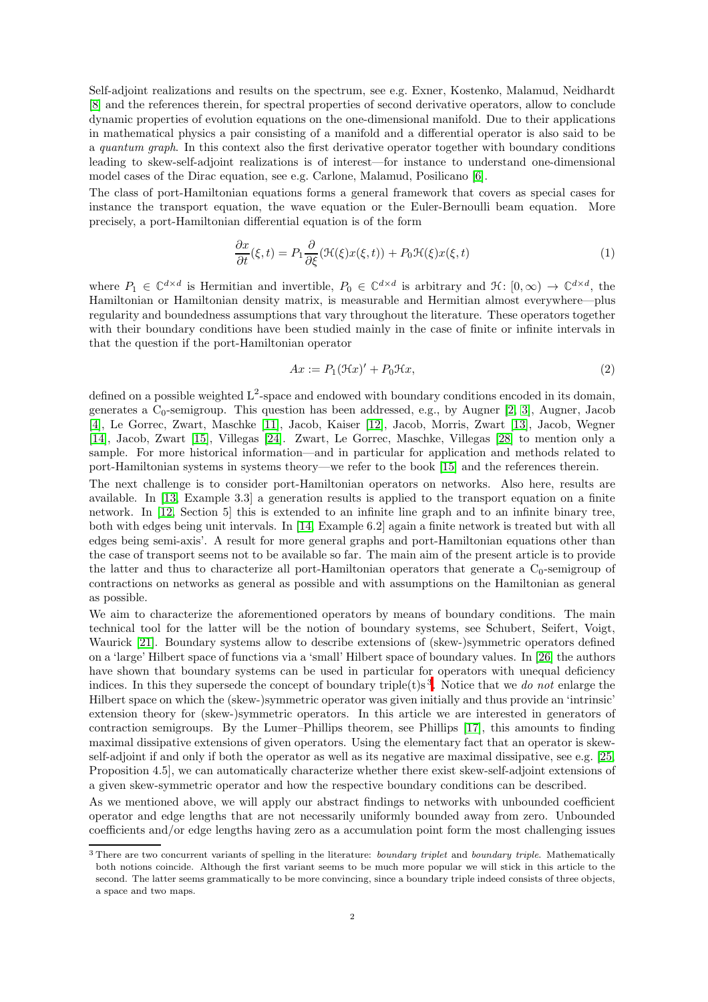Self-adjoint realizations and results on the spectrum, see e.g. Exner, Kostenko, Malamud, Neidhardt [\[8\]](#page-32-0) and the references therein, for spectral properties of second derivative operators, allow to conclude dynamic properties of evolution equations on the one-dimensional manifold. Due to their applications in mathematical physics a pair consisting of a manifold and a differential operator is also said to be a quantum graph. In this context also the first derivative operator together with boundary conditions leading to skew-self-adjoint realizations is of interest—for instance to understand one-dimensional model cases of the Dirac equation, see e.g. Carlone, Malamud, Posilicano [\[6\]](#page-32-1).

The class of port-Hamiltonian equations forms a general framework that covers as special cases for instance the transport equation, the wave equation or the Euler-Bernoulli beam equation. More precisely, a port-Hamiltonian differential equation is of the form

<span id="page-1-0"></span>
$$
\frac{\partial x}{\partial t}(\xi, t) = P_1 \frac{\partial}{\partial \xi} (\mathcal{H}(\xi)x(\xi, t)) + P_0 \mathcal{H}(\xi)x(\xi, t)
$$
\n(1)

where  $P_1 \in \mathbb{C}^{d \times d}$  is Hermitian and invertible,  $P_0 \in \mathbb{C}^{d \times d}$  is arbitrary and  $\mathcal{H}: [0, \infty) \to \mathbb{C}^{d \times d}$ , the Hamiltonian or Hamiltonian density matrix, is measurable and Hermitian almost everywhere—plus regularity and boundedness assumptions that vary throughout the literature. These operators together with their boundary conditions have been studied mainly in the case of finite or infinite intervals in that the question if the port-Hamiltonian operator

<span id="page-1-1"></span>
$$
Ax := P_1(\mathfrak{H}x)' + P_0\mathfrak{H}x,\tag{2}
$$

defined on a possible weighted  $L^2$ -space and endowed with boundary conditions encoded in its domain, generates a  $C_0$ -semigroup. This question has been addressed, e.g., by Augner [\[2,](#page-32-2) [3\]](#page-32-3), Augner, Jacob [\[4\]](#page-32-4), Le Gorrec, Zwart, Maschke [\[11\]](#page-32-5), Jacob, Kaiser [\[12\]](#page-32-6), Jacob, Morris, Zwart [\[13\]](#page-33-0), Jacob, Wegner [\[14\]](#page-33-1), Jacob, Zwart [\[15\]](#page-33-2), Villegas [\[24\]](#page-33-3). Zwart, Le Gorrec, Maschke, Villegas [\[28\]](#page-33-4) to mention only a sample. For more historical information—and in particular for application and methods related to port-Hamiltonian systems in systems theory—we refer to the book [\[15\]](#page-33-2) and the references therein.

The next challenge is to consider port-Hamiltonian operators on networks. Also here, results are available. In [\[13,](#page-33-0) Example 3.3] a generation results is applied to the transport equation on a finite network. In [\[12,](#page-32-6) Section 5] this is extended to an infinite line graph and to an infinite binary tree, both with edges being unit intervals. In [\[14,](#page-33-1) Example 6.2] again a finite network is treated but with all edges being semi-axis'. A result for more general graphs and port-Hamiltonian equations other than the case of transport seems not to be available so far. The main aim of the present article is to provide the latter and thus to characterize all port-Hamiltonian operators that generate a  $C_0$ -semigroup of contractions on networks as general as possible and with assumptions on the Hamiltonian as general as possible.

We aim to characterize the aforementioned operators by means of boundary conditions. The main technical tool for the latter will be the notion of boundary systems, see Schubert, Seifert, Voigt, Waurick [\[21\]](#page-33-5). Boundary systems allow to describe extensions of (skew-)symmetric operators defined on a 'large' Hilbert space of functions via a 'small' Hilbert space of boundary values. In [\[26\]](#page-33-6) the authors have shown that boundary systems can be used in particular for operators with unequal deficiency indices. In this they supersede the concept of boundary triple(t)s<sup>3</sup>. Notice that we do not enlarge the Hilbert space on which the (skew-)symmetric operator was given initially and thus provide an 'intrinsic' extension theory for (skew-)symmetric operators. In this article we are interested in generators of contraction semigroups. By the Lumer–Phillips theorem, see Phillips [\[17\]](#page-33-7), this amounts to finding maximal dissipative extensions of given operators. Using the elementary fact that an operator is skewself-adjoint if and only if both the operator as well as its negative are maximal dissipative, see e.g. [\[25,](#page-33-8) Proposition 4.5], we can automatically characterize whether there exist skew-self-adjoint extensions of a given skew-symmetric operator and how the respective boundary conditions can be described.

As we mentioned above, we will apply our abstract findings to networks with unbounded coefficient operator and edge lengths that are not necessarily uniformly bounded away from zero. Unbounded coefficients and/or edge lengths having zero as a accumulation point form the most challenging issues

<sup>&</sup>lt;sup>3</sup> There are two concurrent variants of spelling in the literature: boundary triplet and boundary triple. Mathematically both notions coincide. Although the first variant seems to be much more popular we will stick in this article to the second. The latter seems grammatically to be more convincing, since a boundary triple indeed consists of three objects, a space and two maps.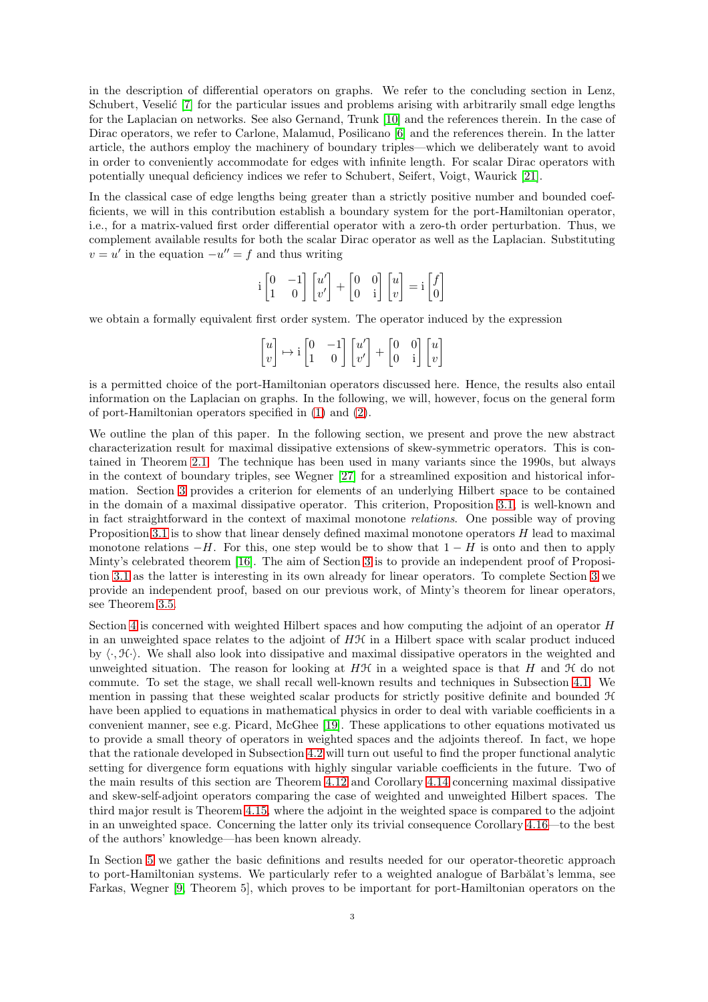in the description of differential operators on graphs. We refer to the concluding section in Lenz, Schubert, Veselić [\[7\]](#page-32-7) for the particular issues and problems arising with arbitrarily small edge lengths for the Laplacian on networks. See also Gernand, Trunk [\[10\]](#page-32-8) and the references therein. In the case of Dirac operators, we refer to Carlone, Malamud, Posilicano [\[6\]](#page-32-1) and the references therein. In the latter article, the authors employ the machinery of boundary triples—which we deliberately want to avoid in order to conveniently accommodate for edges with infinite length. For scalar Dirac operators with potentially unequal deficiency indices we refer to Schubert, Seifert, Voigt, Waurick [\[21\]](#page-33-5).

In the classical case of edge lengths being greater than a strictly positive number and bounded coefficients, we will in this contribution establish a boundary system for the port-Hamiltonian operator, i.e., for a matrix-valued first order differential operator with a zero-th order perturbation. Thus, we complement available results for both the scalar Dirac operator as well as the Laplacian. Substituting  $v = u'$  in the equation  $-u'' = f$  and thus writing

$$
i\begin{bmatrix} 0 & -1 \\ 1 & 0 \end{bmatrix} \begin{bmatrix} u' \\ v' \end{bmatrix} + \begin{bmatrix} 0 & 0 \\ 0 & i \end{bmatrix} \begin{bmatrix} u \\ v \end{bmatrix} = i \begin{bmatrix} f \\ 0 \end{bmatrix}
$$

we obtain a formally equivalent first order system. The operator induced by the expression

$$
\begin{bmatrix} u \\ v \end{bmatrix} \mapsto \mathrm{i} \begin{bmatrix} 0 & -1 \\ 1 & 0 \end{bmatrix} \begin{bmatrix} u' \\ v' \end{bmatrix} + \begin{bmatrix} 0 & 0 \\ 0 & \mathrm{i} \end{bmatrix} \begin{bmatrix} u \\ v \end{bmatrix}
$$

is a permitted choice of the port-Hamiltonian operators discussed here. Hence, the results also entail information on the Laplacian on graphs. In the following, we will, however, focus on the general form of port-Hamiltonian operators specified in [\(1\)](#page-1-0) and [\(2\)](#page-1-1).

We outline the plan of this paper. In the following section, we present and prove the new abstract characterization result for maximal dissipative extensions of skew-symmetric operators. This is contained in Theorem [2.1.](#page-4-0) The technique has been used in many variants since the 1990s, but always in the context of boundary triples, see Wegner [\[27\]](#page-33-9) for a streamlined exposition and historical information. Section [3](#page-5-0) provides a criterion for elements of an underlying Hilbert space to be contained in the domain of a maximal dissipative operator. This criterion, Proposition [3.1,](#page-5-1) is well-known and in fact straightforward in the context of maximal monotone relations. One possible way of proving Proposition [3.1](#page-5-1) is to show that linear densely defined maximal monotone operators  $H$  lead to maximal monotone relations  $-H$ . For this, one step would be to show that  $1-H$  is onto and then to apply Minty's celebrated theorem [\[16\]](#page-33-10). The aim of Section [3](#page-5-0) is to provide an independent proof of Proposition [3.1](#page-5-1) as the latter is interesting in its own already for linear operators. To complete Section [3](#page-5-0) we provide an independent proof, based on our previous work, of Minty's theorem for linear operators, see Theorem [3.5.](#page-6-2)

Section [4](#page-6-0) is concerned with weighted Hilbert spaces and how computing the adjoint of an operator H in an unweighted space relates to the adjoint of  $H\mathcal{H}$  in a Hilbert space with scalar product induced by  $\langle \cdot, \mathcal{H} \cdot \rangle$ . We shall also look into dissipative and maximal dissipative operators in the weighted and unweighted situation. The reason for looking at  $H\mathcal{H}$  in a weighted space is that H and  $\mathcal{H}$  do not commute. To set the stage, we shall recall well-known results and techniques in Subsection [4.1.](#page-6-1) We mention in passing that these weighted scalar products for strictly positive definite and bounded H have been applied to equations in mathematical physics in order to deal with variable coefficients in a convenient manner, see e.g. Picard, McGhee [\[19\]](#page-33-11). These applications to other equations motivated us to provide a small theory of operators in weighted spaces and the adjoints thereof. In fact, we hope that the rationale developed in Subsection [4.2](#page-7-0) will turn out useful to find the proper functional analytic setting for divergence form equations with highly singular variable coefficients in the future. Two of the main results of this section are Theorem [4.12](#page-12-0) and Corollary [4.14](#page-13-0) concerning maximal dissipative and skew-self-adjoint operators comparing the case of weighted and unweighted Hilbert spaces. The third major result is Theorem [4.15,](#page-13-1) where the adjoint in the weighted space is compared to the adjoint in an unweighted space. Concerning the latter only its trivial consequence Corollary [4.16—](#page-15-1)to the best of the authors' knowledge—has been known already.

In Section [5](#page-15-0) we gather the basic definitions and results needed for our operator-theoretic approach to port-Hamiltonian systems. We particularly refer to a weighted analogue of Barbălat's lemma, see Farkas, Wegner [\[9,](#page-32-9) Theorem 5], which proves to be important for port-Hamiltonian operators on the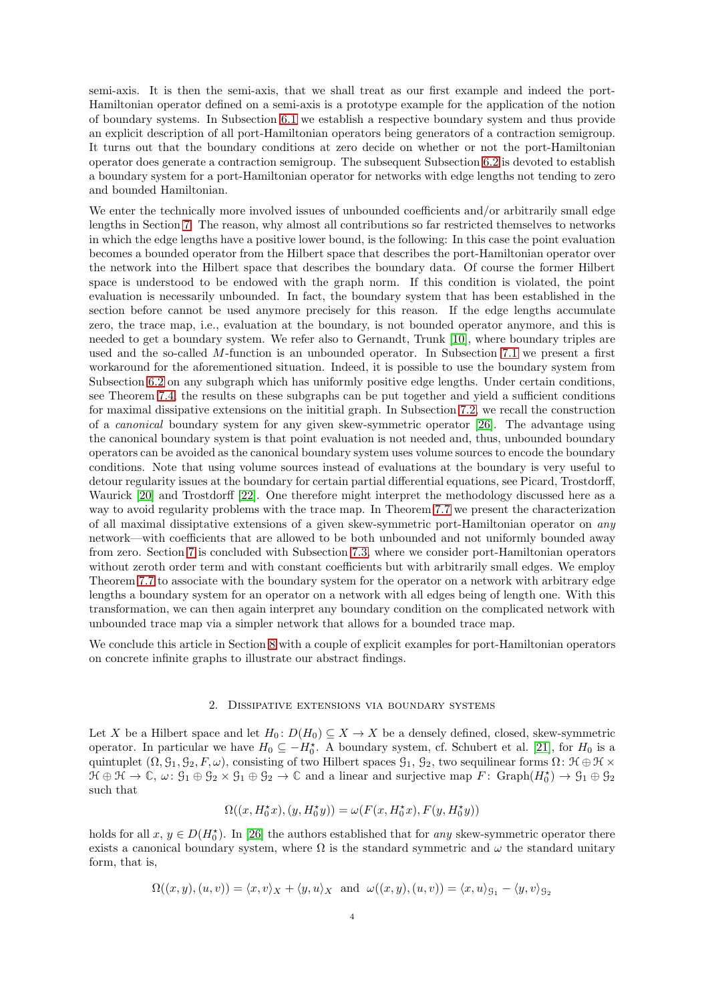semi-axis. It is then the semi-axis, that we shall treat as our first example and indeed the port-Hamiltonian operator defined on a semi-axis is a prototype example for the application of the notion of boundary systems. In Subsection [6.1](#page-19-1) we establish a respective boundary system and thus provide an explicit description of all port-Hamiltonian operators being generators of a contraction semigroup. It turns out that the boundary conditions at zero decide on whether or not the port-Hamiltonian operator does generate a contraction semigroup. The subsequent Subsection [6.2](#page-21-0) is devoted to establish a boundary system for a port-Hamiltonian operator for networks with edge lengths not tending to zero and bounded Hamiltonian.

We enter the technically more involved issues of unbounded coefficients and/or arbitrarily small edge lengths in Section [7.](#page-24-0) The reason, why almost all contributions so far restricted themselves to networks in which the edge lengths have a positive lower bound, is the following: In this case the point evaluation becomes a bounded operator from the Hilbert space that describes the port-Hamiltonian operator over the network into the Hilbert space that describes the boundary data. Of course the former Hilbert space is understood to be endowed with the graph norm. If this condition is violated, the point evaluation is necessarily unbounded. In fact, the boundary system that has been established in the section before cannot be used anymore precisely for this reason. If the edge lengths accumulate zero, the trace map, i.e., evaluation at the boundary, is not bounded operator anymore, and this is needed to get a boundary system. We refer also to Gernandt, Trunk [\[10\]](#page-32-8), where boundary triples are used and the so-called M-function is an unbounded operator. In Subsection [7.1](#page-24-1) we present a first workaround for the aforementioned situation. Indeed, it is possible to use the boundary system from Subsection [6.2](#page-21-0) on any subgraph which has uniformly positive edge lengths. Under certain conditions, see Theorem [7.4,](#page-25-0) the results on these subgraphs can be put together and yield a sufficient conditions for maximal dissipative extensions on the inititial graph. In Subsection [7.2,](#page-26-0) we recall the construction of a canonical boundary system for any given skew-symmetric operator [\[26\]](#page-33-6). The advantage using the canonical boundary system is that point evaluation is not needed and, thus, unbounded boundary operators can be avoided as the canonical boundary system uses volume sources to encode the boundary conditions. Note that using volume sources instead of evaluations at the boundary is very useful to detour regularity issues at the boundary for certain partial differential equations, see Picard, Trostdorff, Waurick [\[20\]](#page-33-12) and Trostdorff [\[22\]](#page-33-13). One therefore might interpret the methodology discussed here as a way to avoid regularity problems with the trace map. In Theorem [7.7](#page-27-1) we present the characterization of all maximal dissiptative extensions of a given skew-symmetric port-Hamiltonian operator on any network—with coefficients that are allowed to be both unbounded and not uniformly bounded away from zero. Section [7](#page-24-0) is concluded with Subsection [7.3,](#page-27-0) where we consider port-Hamiltonian operators without zeroth order term and with constant coefficients but with arbitrarily small edges. We employ Theorem [7.7](#page-27-1) to associate with the boundary system for the operator on a network with arbitrary edge lengths a boundary system for an operator on a network with all edges being of length one. With this transformation, we can then again interpret any boundary condition on the complicated network with unbounded trace map via a simpler network that allows for a bounded trace map.

<span id="page-3-0"></span>We conclude this article in Section [8](#page-29-0) with a couple of explicit examples for port-Hamiltonian operators on concrete infinite graphs to illustrate our abstract findings.

## 2. Dissipative extensions via boundary systems

Let X be a Hilbert space and let  $H_0: D(H_0) \subseteq X \to X$  be a densely defined, closed, skew-symmetric operator. In particular we have  $H_0 \subseteq -H_0^*$ . A boundary system, cf. Schubert et al. [\[21\]](#page-33-5), for  $H_0$  is a quintuplet  $(\Omega, \mathcal{G}_1, \mathcal{G}_2, F, \omega)$ , consisting of two Hilbert spaces  $\mathcal{G}_1$ ,  $\mathcal{G}_2$ , two sequilinear forms  $\Omega$ :  $\mathcal{H} \oplus \mathcal{H} \times$  $\mathcal{H} \oplus \mathcal{H} \to \mathbb{C}, \ \omega \colon \mathcal{G}_1 \oplus \mathcal{G}_2 \times \mathcal{G}_1 \oplus \mathcal{G}_2 \to \mathbb{C}$  and a linear and surjective map  $F \colon \text{Graph}(H_0^{\star}) \to \mathcal{G}_1 \oplus \mathcal{G}_2$ such that

$$
\Omega((x,H_0^{\star}x),(y,H_0^{\star}y))=\omega(F(x,H_0^{\star}x),F(y,H_0^{\star}y))
$$

holds for all  $x, y \in D(H_0^*)$ . In [\[26\]](#page-33-6) the authors established that for any skew-symmetric operator there exists a canonical boundary system, where  $\Omega$  is the standard symmetric and  $\omega$  the standard unitary form, that is,

$$
\Omega((x,y),(u,v)) = \langle x,v\rangle_X + \langle y,u\rangle_X \text{ and } \omega((x,y),(u,v)) = \langle x,u\rangle_{\mathfrak{S}_1} - \langle y,v\rangle_{\mathfrak{S}_2}
$$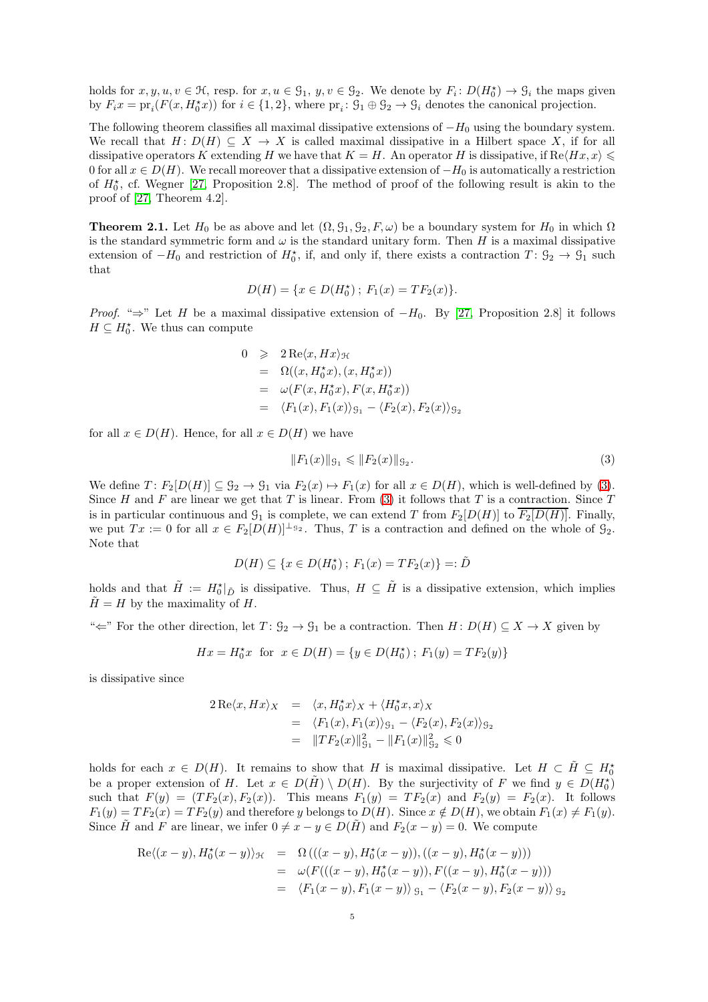holds for  $x, y, u, v \in \mathcal{H}$ , resp. for  $x, u \in \mathcal{G}_1$ ,  $y, v \in \mathcal{G}_2$ . We denote by  $F_i: D(H_0^*) \to \mathcal{G}_i$  the maps given by  $F_i x = pr_i(F(x, H_0^* x))$  for  $i \in \{1, 2\}$ , where  $pr_i : \mathcal{G}_1 \oplus \mathcal{G}_2 \to \mathcal{G}_i$  denotes the canonical projection.

The following theorem classifies all maximal dissipative extensions of  $-H_0$  using the boundary system. We recall that  $H: D(H) \subseteq X \to X$  is called maximal dissipative in a Hilbert space X, if for all dissipative operators K extending H we have that  $K = H$ . An operator H is dissipative, if  $\text{Re}\langle Hx, x \rangle \leq$ 0 for all  $x \in D(H)$ . We recall moreover that a dissipative extension of  $-H_0$  is automatically a restriction of  $H_0^*$ , cf. Wegner [\[27,](#page-33-9) Proposition 2.8]. The method of proof of the following result is akin to the proof of [\[27,](#page-33-9) Theorem 4.2].

<span id="page-4-0"></span>**Theorem 2.1.** Let  $H_0$  be as above and let  $(\Omega, \mathcal{G}_1, \mathcal{G}_2, F, \omega)$  be a boundary system for  $H_0$  in which  $\Omega$ is the standard symmetric form and  $\omega$  is the standard unitary form. Then H is a maximal dissipative extension of  $-H_0$  and restriction of  $H_0^*$ , if, and only if, there exists a contraction  $T: \mathcal{G}_2 \to \mathcal{G}_1$  such that

$$
D(H) = \{x \in D(H_0^*); F_1(x) = TF_2(x)\}.
$$

*Proof.* "⇒" Let H be a maximal dissipative extension of  $-H_0$ . By [\[27,](#page-33-9) Proposition 2.8] it follows  $H \subseteq H_0^*$ . We thus can compute

$$
0 \geq 2 \operatorname{Re} \langle x, Hx \rangle_{\mathcal{H}}
$$
  
=  $\Omega((x, H_0^* x), (x, H_0^* x))$   
=  $\omega(F(x, H_0^* x), F(x, H_0^* x))$   
=  $\langle F_1(x), F_1(x) \rangle_{\mathcal{G}_1} - \langle F_2(x), F_2(x) \rangle_{\mathcal{G}_2}$ 

for all  $x \in D(H)$ . Hence, for all  $x \in D(H)$  we have

<span id="page-4-1"></span>
$$
||F_1(x)||_{\mathcal{G}_1} \leq ||F_2(x)||_{\mathcal{G}_2}.\tag{3}
$$

We define  $T: F_2[D(H)] \subseteq \mathcal{G}_2 \to \mathcal{G}_1$  via  $F_2(x) \mapsto F_1(x)$  for all  $x \in D(H)$ , which is well-defined by [\(3\)](#page-4-1). Since H and F are linear we get that T is linear. From [\(3\)](#page-4-1) it follows that T is a contraction. Since T is in particular continuous and  $\mathcal{G}_1$  is complete, we can extend T from  $F_2[D(H)]$  to  $\overline{F_2[D(H)]}$ . Finally, we put  $Tx := 0$  for all  $x \in F_2[D(H)]^{\perp_{g_2}}$ . Thus, T is a contraction and defined on the whole of  $\mathcal{G}_2$ . Note that

$$
D(H) \subseteq \{x \in D(H_0^*); F_1(x) = TF_2(x)\} =: \tilde{D}
$$

holds and that  $\tilde{H} := H_0^*|_{\tilde{D}}$  is dissipative. Thus,  $H \subseteq \tilde{H}$  is a dissipative extension, which implies  $H = H$  by the maximality of H.

" $\Leftarrow$ " For the other direction, let  $T: \mathcal{G}_2 \to \mathcal{G}_1$  be a contraction. Then  $H: D(H) \subseteq X \to X$  given by

$$
Hx = H_0^{\star}x \text{ for } x \in D(H) = \{y \in D(H_0^{\star})\,;\, F_1(y) = TF_2(y)\}
$$

is dissipative since

$$
2 \operatorname{Re} \langle x, Hx \rangle_X = \langle x, H_0^* x \rangle_X + \langle H_0^* x, x \rangle_X
$$
  
=  $\langle F_1(x), F_1(x) \rangle_{g_1} - \langle F_2(x), F_2(x) \rangle_{g_2}$   
=  $||TF_2(x)||_{g_1}^2 - ||F_1(x)||_{g_2}^2 \le 0$ 

holds for each  $x \in D(H)$ . It remains to show that H is maximal dissipative. Let  $H \subset \tilde{H} \subseteq H_0^*$ be a proper extension of H. Let  $x \in D(\tilde{H}) \setminus D(H)$ . By the surjectivity of F we find  $y \in D(H_0^{\star})$ such that  $F(y) = (TF_2(x), F_2(x))$ . This means  $F_1(y) = TF_2(x)$  and  $F_2(y) = F_2(x)$ . It follows  $F_1(y) = TF_2(x) = TF_2(y)$  and therefore y belongs to  $D(H)$ . Since  $x \notin D(H)$ , we obtain  $F_1(x) \neq F_1(y)$ . Since  $\tilde{H}$  and F are linear, we infer  $0 \neq x - y \in D(\tilde{H})$  and  $F_2(x - y) = 0$ . We compute

$$
Re\langle (x-y), H_0^*(x-y) \rangle_{\mathcal{H}} = \Omega\left( ((x-y), H_0^*(x-y)), ((x-y), H_0^*(x-y)) \right)
$$
  
=  $\omega(F(((x-y), H_0^*(x-y)), F((x-y), H_0^*(x-y)))$   
=  $\langle F_1(x-y), F_1(x-y) \rangle_{\mathcal{G}_1} - \langle F_2(x-y), F_2(x-y) \rangle_{\mathcal{G}_2}$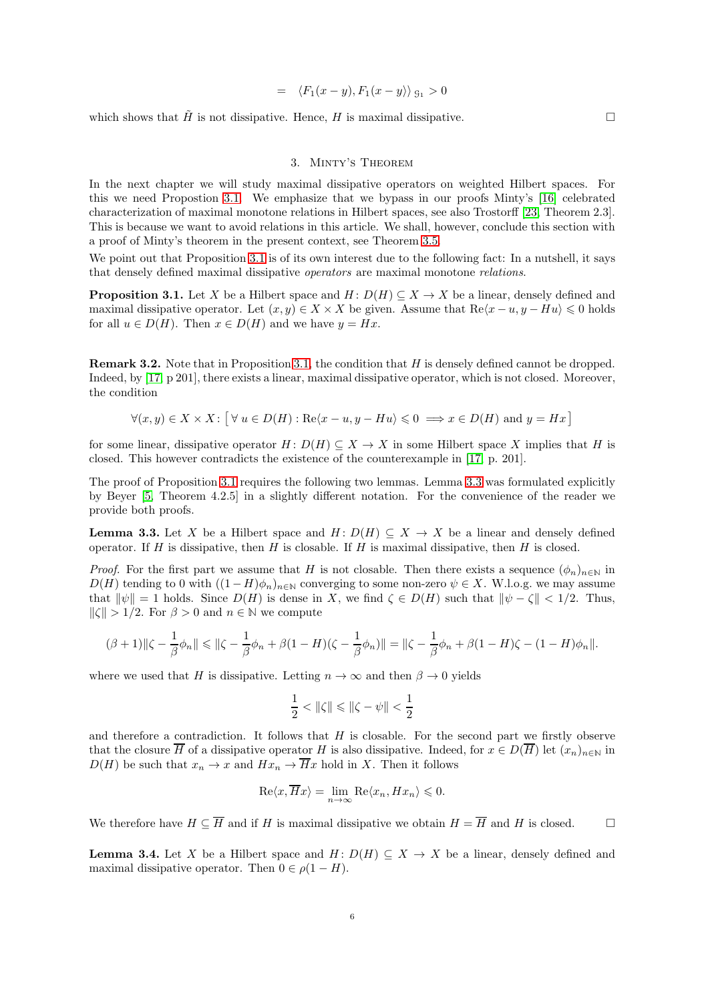$$
= \langle F_1(x-y), F_1(x-y) \rangle_{\mathfrak{S}_1} > 0
$$

<span id="page-5-0"></span>which shows that  $\tilde{H}$  is not dissipative. Hence, H is maximal dissipative.

## 3. Minty's Theorem

In the next chapter we will study maximal dissipative operators on weighted Hilbert spaces. For this we need Propostion [3.1.](#page-5-1) We emphasize that we bypass in our proofs Minty's [\[16\]](#page-33-10) celebrated characterization of maximal monotone relations in Hilbert spaces, see also Trostorff [\[23,](#page-33-14) Theorem 2.3]. This is because we want to avoid relations in this article. We shall, however, conclude this section with a proof of Minty's theorem in the present context, see Theorem [3.5.](#page-6-2)

We point out that Proposition [3.1](#page-5-1) is of its own interest due to the following fact: In a nutshell, it says that densely defined maximal dissipative operators are maximal monotone relations.

<span id="page-5-1"></span>**Proposition 3.1.** Let X be a Hilbert space and  $H: D(H) \subseteq X \to X$  be a linear, densely defined and maximal dissipative operator. Let  $(x, y) \in X \times X$  be given. Assume that  $\text{Re}\langle x - u, y - Hu \rangle \leq 0$  holds for all  $u \in D(H)$ . Then  $x \in D(H)$  and we have  $y = Hx$ .

Remark 3.2. Note that in Proposition [3.1,](#page-5-1) the condition that H is densely defined cannot be dropped. Indeed, by [\[17,](#page-33-7) p 201], there exists a linear, maximal dissipative operator, which is not closed. Moreover, the condition

$$
\forall (x, y) \in X \times X : \big[\forall u \in D(H) : \text{Re}\langle x - u, y - Hu \rangle \leq 0 \implies x \in D(H) \text{ and } y = Hx \big]
$$

for some linear, dissipative operator  $H: D(H) \subseteq X \to X$  in some Hilbert space X implies that H is closed. This however contradicts the existence of the counterexample in [\[17,](#page-33-7) p. 201].

The proof of Proposition [3.1](#page-5-1) requires the following two lemmas. Lemma [3.3](#page-5-2) was formulated explicitly by Beyer [\[5,](#page-32-10) Theorem 4.2.5] in a slightly different notation. For the convenience of the reader we provide both proofs.

<span id="page-5-2"></span>**Lemma 3.3.** Let X be a Hilbert space and  $H: D(H) \subseteq X \to X$  be a linear and densely defined operator. If  $H$  is dissipative, then  $H$  is closable. If  $H$  is maximal dissipative, then  $H$  is closed.

*Proof.* For the first part we assume that H is not closable. Then there exists a sequence  $(\phi_n)_{n\in\mathbb{N}}$  in  $D(H)$  tending to 0 with  $((1 - H)\phi_n)_{n \in \mathbb{N}}$  converging to some non-zero  $\psi \in X$ . W.l.o.g. we may assume that  $\|\psi\|=1$  holds. Since  $D(H)$  is dense in X, we find  $\zeta \in D(H)$  such that  $\|\psi-\zeta\| < 1/2$ . Thus,  $\|\zeta\| > 1/2$ . For  $\beta > 0$  and  $n \in \mathbb{N}$  we compute

$$
(\beta+1)\|\zeta-\frac{1}{\beta}\phi_n\| \leq \|\zeta-\frac{1}{\beta}\phi_n+\beta(1-H)(\zeta-\frac{1}{\beta}\phi_n)\| = \|\zeta-\frac{1}{\beta}\phi_n+\beta(1-H)\zeta-(1-H)\phi_n\|.
$$

where we used that H is dissipative. Letting  $n \to \infty$  and then  $\beta \to 0$  yields

$$
\frac{1}{2}<\|\zeta\|\leqslant \|\zeta-\psi\|<\frac{1}{2}
$$

and therefore a contradiction. It follows that  $H$  is closable. For the second part we firstly observe that the closure  $\overline{H}$  of a dissipative operator H is also dissipative. Indeed, for  $x \in D(\overline{H})$  let  $(x_n)_{n\in\mathbb{N}}$  in  $D(H)$  be such that  $x_n \to x$  and  $Hx_n \to \overline{H}x$  hold in X. Then it follows

$$
\operatorname{Re}\langle x,\overline{H}x\rangle = \lim_{n\to\infty} \operatorname{Re}\langle x_n,Hx_n\rangle \leqslant 0.
$$

We therefore have  $H \subseteq \overline{H}$  and if H is maximal dissipative we obtain  $H = \overline{H}$  and H is closed.

<span id="page-5-3"></span>**Lemma 3.4.** Let X be a Hilbert space and  $H: D(H) \subseteq X \to X$  be a linear, densely defined and maximal dissipative operator. Then  $0 \in \rho(1 - H)$ .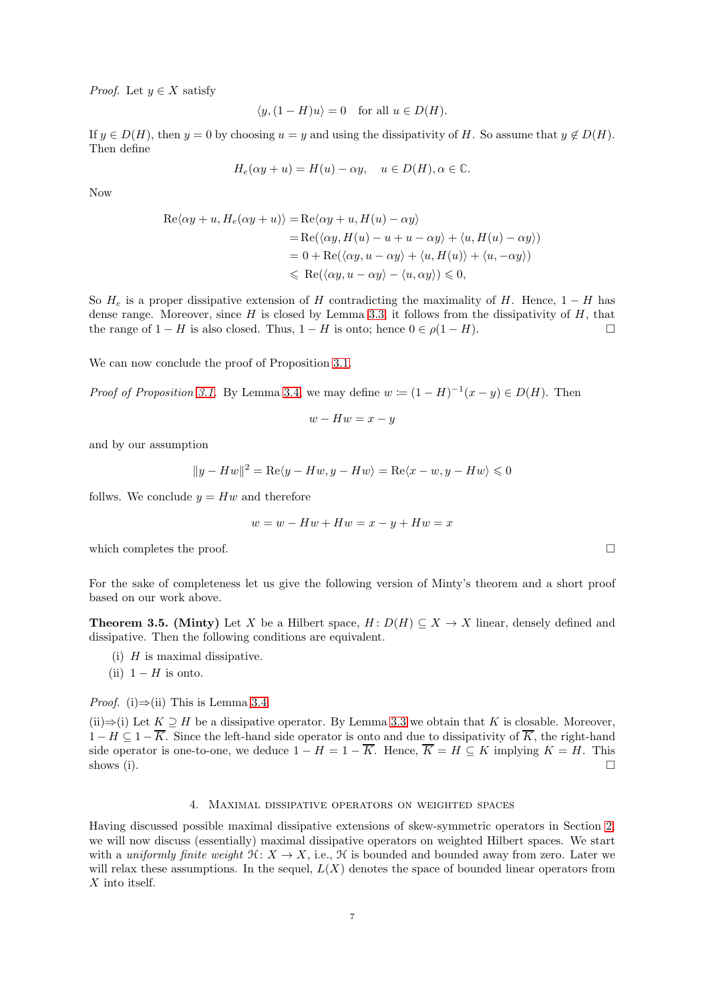*Proof.* Let  $y \in X$  satisfy

$$
\langle y, (1 - H)u \rangle = 0 \quad \text{for all } u \in D(H).
$$

If  $y \in D(H)$ , then  $y = 0$  by choosing  $u = y$  and using the dissipativity of H. So assume that  $y \notin D(H)$ . Then define

$$
H_e(\alpha y + u) = H(u) - \alpha y, \quad u \in D(H), \alpha \in \mathbb{C}.
$$

Now

$$
Re\langle \alpha y + u, H_e(\alpha y + u) \rangle = Re\langle \alpha y + u, H(u) - \alpha y \rangle
$$
  
= Re( $\langle \alpha y, H(u) - u + u - \alpha y \rangle + \langle u, H(u) - \alpha y \rangle$ )  
= 0 + Re( $\langle \alpha y, u - \alpha y \rangle + \langle u, H(u) \rangle + \langle u, -\alpha y \rangle$ )  
 $\leq Re(\langle \alpha y, u - \alpha y \rangle - \langle u, \alpha y \rangle) \leq 0,$ 

So  $H_e$  is a proper dissipative extension of H contradicting the maximality of H. Hence, 1 − H has dense range. Moreover, since  $H$  is closed by Lemma [3.3,](#page-5-2) it follows from the dissipativity of  $H$ , that the range of  $1 - H$  is also closed. Thus,  $1 - H$  is onto; hence  $0 \in \rho(1 - H)$ .

We can now conclude the proof of Proposition [3.1.](#page-5-1)

*Proof of Proposition [3.1.](#page-5-1)* By Lemma [3.4,](#page-5-3) we may define  $w \coloneqq (1 - H)^{-1}(x - y) \in D(H)$ . Then

$$
w - Hw = x - y
$$

and by our assumption

$$
||y - Hw||2 = \text{Re}\langle y - Hw, y - Hw \rangle = \text{Re}\langle x - w, y - Hw \rangle \le 0
$$

follws. We conclude  $y = Hw$  and therefore

$$
w = w - Hw + Hw = x - y + Hw = x
$$

which completes the proof.  $\Box$ 

For the sake of completeness let us give the following version of Minty's theorem and a short proof based on our work above.

<span id="page-6-2"></span>**Theorem 3.5.** (Minty) Let X be a Hilbert space,  $H: D(H) \subseteq X \to X$  linear, densely defined and dissipative. Then the following conditions are equivalent.

- (i)  $H$  is maximal dissipative.
- (ii)  $1 H$  is onto.

*Proof.* (i) $\Rightarrow$ (ii) This is Lemma [3.4.](#page-5-3)

(ii)⇒(i) Let  $K \supseteq H$  be a dissipative operator. By Lemma [3.3](#page-5-2) we obtain that K is closable. Moreover,  $1-H \subseteq 1-\overline{K}$ . Since the left-hand side operator is onto and due to dissipativity of  $\overline{K}$ , the right-hand side operator is one-to-one, we deduce  $1 - H = 1 - \overline{K}$ . Hence,  $\overline{K} = H \subseteq K$  implying  $K = H$ . This shows (i). shows (i).  $\square$ 

## 4. Maximal dissipative operators on weighted spaces

<span id="page-6-1"></span><span id="page-6-0"></span>Having discussed possible maximal dissipative extensions of skew-symmetric operators in Section [2,](#page-3-0) we will now discuss (essentially) maximal dissipative operators on weighted Hilbert spaces. We start with a uniformly finite weight  $\mathfrak{H}: X \to X$ , i.e.,  $\mathfrak{H}$  is bounded and bounded away from zero. Later we will relax these assumptions. In the sequel,  $L(X)$  denotes the space of bounded linear operators from  $X$  into itself.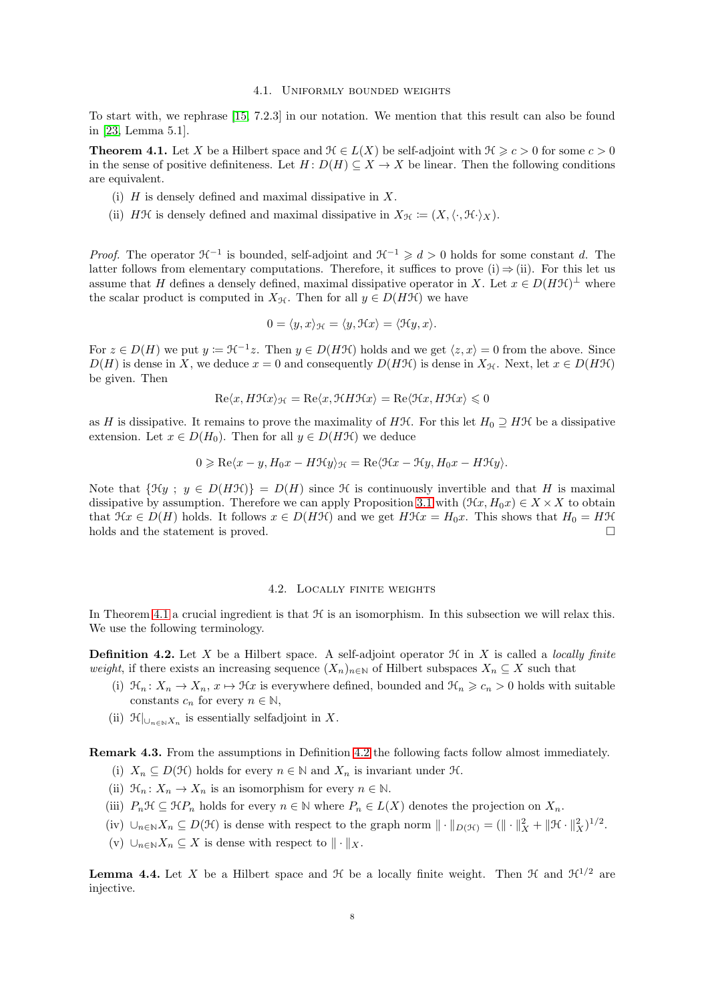## 4.1. Uniformly bounded weights

To start with, we rephrase [\[15,](#page-33-2) 7.2.3] in our notation. We mention that this result can also be found in [\[23,](#page-33-14) Lemma 5.1].

<span id="page-7-1"></span>**Theorem 4.1.** Let X be a Hilbert space and  $\mathcal{H} \in L(X)$  be self-adjoint with  $\mathcal{H} \geq c > 0$  for some  $c > 0$ in the sense of positive definiteness. Let  $H: D(H) \subseteq X \to X$  be linear. Then the following conditions are equivalent.

- (i)  $H$  is densely defined and maximal dissipative in  $X$ .
- (ii) HH is densely defined and maximal dissipative in  $X_{\mathcal{H}} \coloneqq (X, \langle \cdot, \mathcal{H} \cdot \rangle_X)$ .

*Proof.* The operator  $\mathcal{H}^{-1}$  is bounded, self-adjoint and  $\mathcal{H}^{-1} \geq d > 0$  holds for some constant d. The latter follows from elementary computations. Therefore, it suffices to prove (i)  $\Rightarrow$  (ii). For this let us assume that H defines a densely defined, maximal dissipative operator in X. Let  $x \in D(HH)^{\perp}$  where the scalar product is computed in  $X_{\mathcal{H}}$ . Then for all  $y \in D(H\mathcal{H})$  we have

$$
0 = \langle y, x \rangle_{\mathcal{H}} = \langle y, \mathcal{H}x \rangle = \langle \mathcal{H}y, x \rangle.
$$

For  $z \in D(H)$  we put  $y := \mathcal{H}^{-1}z$ . Then  $y \in D(H\mathcal{H})$  holds and we get  $\langle z, x \rangle = 0$  from the above. Since  $D(H)$  is dense in X, we deduce  $x = 0$  and consequently  $D(HH)$  is dense in  $X_H$ . Next, let  $x \in D(HH)$ be given. Then

$$
\mathrm{Re}\langle x, H\mathcal{H}x\rangle_{\mathcal{H}} = \mathrm{Re}\langle x, \mathcal{H}H\mathcal{H}x\rangle = \mathrm{Re}\langle \mathcal{H}x, H\mathcal{H}x\rangle \leq 0
$$

as H is dissipative. It remains to prove the maximality of HH. For this let  $H_0 \supseteq H\mathcal{H}$  be a dissipative extension. Let  $x \in D(H_0)$ . Then for all  $y \in D(HH)$  we deduce

$$
0 \geqslant \text{Re}\langle x-y, H_0x - H\mathcal{H}y \rangle_{\mathcal{H}} = \text{Re}\langle \mathcal{H}x - \mathcal{H}y, H_0x - H\mathcal{H}y \rangle.
$$

Note that  $\{\mathfrak{H}y; y \in D(H\mathfrak{H})\} = D(H)$  since H is continuously invertible and that H is maximal dissipative by assumption. Therefore we can apply Proposition [3.1](#page-5-1) with  $(\mathcal{H}x, H_0x) \in X \times X$  to obtain that  $\mathcal{H}x \in D(H)$  holds. It follows  $x \in D(H\mathcal{H})$  and we get  $H\mathcal{H}x = H_0x$ . This shows that  $H_0 = H\mathcal{H}$  holds and the statement is proved. holds and the statement is proved.

#### 4.2. Locally finite weights

<span id="page-7-0"></span>In Theorem [4.1](#page-7-1) a crucial ingredient is that  $\mathcal H$  is an isomorphism. In this subsection we will relax this. We use the following terminology.

<span id="page-7-2"></span>**Definition 4.2.** Let X be a Hilbert space. A self-adjoint operator  $\mathcal{H}$  in X is called a *locally finite* weight, if there exists an increasing sequence  $(X_n)_{n\in\mathbb{N}}$  of Hilbert subspaces  $X_n \subseteq X$  such that

- (i)  $\mathcal{H}_n: X_n \to X_n, x \mapsto \mathcal{H}x$  is everywhere defined, bounded and  $\mathcal{H}_n \geq c_n > 0$  holds with suitable constants  $c_n$  for every  $n \in \mathbb{N}$ ,
- (ii)  $\mathcal{H}|_{\cup_{n\in\mathbb{N}}X_n}$  is essentially selfadjoint in X.

<span id="page-7-3"></span>Remark 4.3. From the assumptions in Definition [4.2](#page-7-2) the following facts follow almost immediately.

- (i)  $X_n \subseteq D(\mathcal{H})$  holds for every  $n \in \mathbb{N}$  and  $X_n$  is invariant under  $\mathcal{H}$ .
- (ii)  $\mathcal{H}_n: X_n \to X_n$  is an isomorphism for every  $n \in \mathbb{N}$ .
- (iii)  $P_n\mathcal{H} \subseteq \mathcal{H}P_n$  holds for every  $n \in \mathbb{N}$  where  $P_n \in L(X)$  denotes the projection on  $X_n$ .
- (iv)  $\bigcup_{n\in\mathbb{N}} X_n \subseteq D(\mathcal{H})$  is dense with respect to the graph norm  $\|\cdot\|_{D(\mathcal{H})} = (\|\cdot\|_X^2 + \|\mathcal{H}\cdot\|_X^2)^{1/2}$ .
- (v)  $\cup_{n\in\mathbb{N}} X_n \subseteq X$  is dense with respect to  $\|\cdot\|_X$ .

<span id="page-7-4"></span>**Lemma 4.4.** Let X be a Hilbert space and  $\mathcal{H}$  be a locally finite weight. Then  $\mathcal{H}$  and  $\mathcal{H}^{1/2}$  are injective.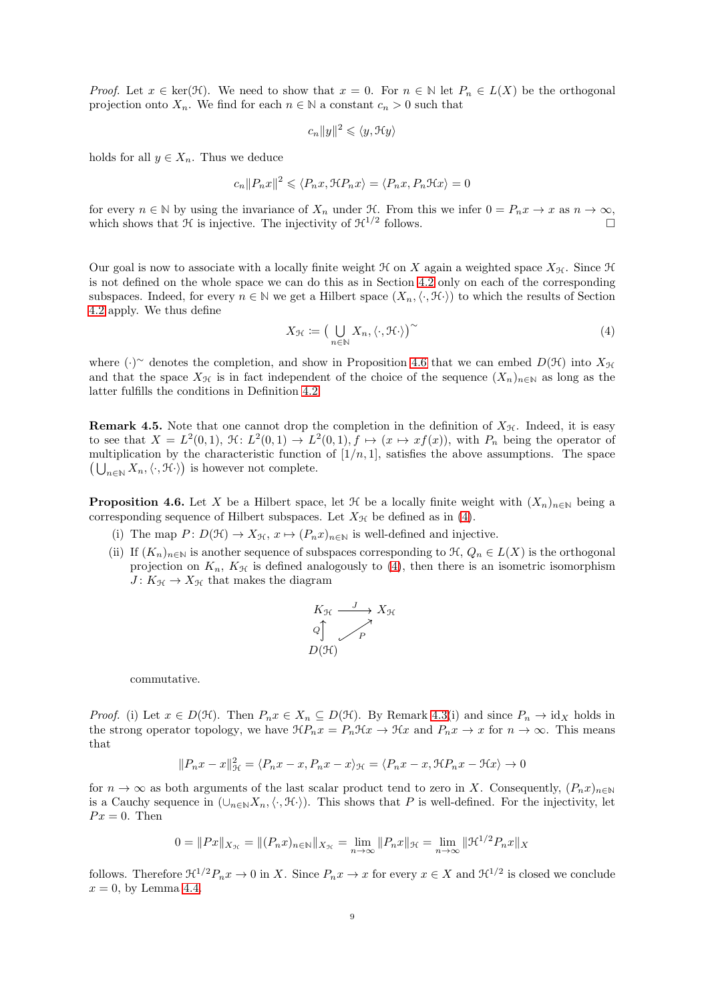*Proof.* Let  $x \in \text{ker}(\mathcal{H})$ . We need to show that  $x = 0$ . For  $n \in \mathbb{N}$  let  $P_n \in L(X)$  be the orthogonal projection onto  $X_n$ . We find for each  $n \in \mathbb{N}$  a constant  $c_n > 0$  such that

$$
c_n||y||^2 \leqslant \langle y, \mathfrak{H}y \rangle
$$

holds for all  $y \in X_n$ . Thus we deduce

$$
c_n ||P_n x||^2 \leqslant \langle P_n x, \mathcal{H} P_n x \rangle = \langle P_n x, P_n \mathcal{H} x \rangle = 0
$$

for every  $n \in \mathbb{N}$  by using the invariance of  $X_n$  under  $\mathcal{H}$ . From this we infer  $0 = P_n x \to x$  as  $n \to \infty$ , which shows that  $\mathcal{H}$  is injective. The injectivity of  $\mathcal{H}^{1/2}$  follows which shows that  $\mathcal H$  is injective. The injectivity of  $\mathcal H^{1/2}$  follows.

Our goal is now to associate with a locally finite weight  $\mathcal H$  on X again a weighted space  $X_{\mathcal H}$ . Since  $\mathcal H$ is not defined on the whole space we can do this as in Section [4.2](#page-7-0) only on each of the corresponding subspaces. Indeed, for every  $n \in \mathbb{N}$  we get a Hilbert space  $(X_n, \langle \cdot, \mathcal{H} \cdot \rangle)$  to which the results of Section [4.2](#page-7-0) apply. We thus define

<span id="page-8-1"></span>
$$
X_{\mathcal{H}} := \left(\bigcup_{n \in \mathbb{N}} X_n, \langle \cdot, \mathcal{H} \cdot \rangle\right)^{\sim} \tag{4}
$$

where  $(\cdot)$ <sup>∼</sup> denotes the completion, and show in Proposition [4.6](#page-8-0) that we can embed  $D(\mathcal{H})$  into  $X_{\mathcal{H}}$ and that the space  $X_{\mathcal{H}}$  is in fact independent of the choice of the sequence  $(X_n)_{n\in\mathbb{N}}$  as long as the latter fulfills the conditions in Definition [4.2.](#page-7-2)

**Remark 4.5.** Note that one cannot drop the completion in the definition of  $X_{\mathcal{H}}$ . Indeed, it is easy to see that  $X = L^2(0,1)$ ,  $\mathfrak{H}: L^2(0,1) \to L^2(0,1)$ ,  $f \mapsto (x \mapsto xf(x))$ , with  $P_n$  being the operator of multiplication by the characteristic function of  $[1/n, 1]$ , satisfies the above assumptions. The space  $\left(\bigcup_{n\in\mathbb{N}} X_n, \langle \cdot, \mathcal{H} \cdot \rangle\right)$  is however not complete.

<span id="page-8-0"></span>**Proposition 4.6.** Let X be a Hilbert space, let  $\mathcal{H}$  be a locally finite weight with  $(X_n)_{n\in\mathbb{N}}$  being a corresponding sequence of Hilbert subspaces. Let  $X_{\mathcal{H}}$  be defined as in [\(4\)](#page-8-1).

- (i) The map  $P: D(\mathcal{H}) \to X_{\mathcal{H}}, x \mapsto (P_n x)_{n \in \mathbb{N}}$  is well-defined and injective.
- (ii) If  $(K_n)_{n\in\mathbb{N}}$  is another sequence of subspaces corresponding to  $\mathcal{H}, Q_n \in L(X)$  is the orthogonal projection on  $K_n$ ,  $K_{\mathcal{H}}$  is defined analogously to [\(4\)](#page-8-1), then there is an isometric isomorphism  $J: K_{\mathcal{H}} \to X_{\mathcal{H}}$  that makes the diagram

$$
K_{\mathcal{H}} \xrightarrow{J} X_{\mathcal{H}}
$$
  
Q  

$$
\bigcap_{P} \nearrow
$$
  

$$
D(\mathcal{H})
$$

commutative.

*Proof.* (i) Let  $x \in D(\mathcal{H})$ . Then  $P_n x \in X_n \subseteq D(\mathcal{H})$ . By Remark [4.3\(](#page-7-3)i) and since  $P_n \to id_X$  holds in the strong operator topology, we have  $\mathcal{H}P_nx = P_n\mathcal{H}x \to \mathcal{H}x$  and  $P_nx \to x$  for  $n \to \infty$ . This means that

$$
||P_n x - x||_{\mathcal{H}}^2 = \langle P_n x - x, P_n x - x \rangle_{\mathcal{H}} = \langle P_n x - x, \mathcal{H}P_n x - \mathcal{H}x \rangle \to 0
$$

for  $n \to \infty$  as both arguments of the last scalar product tend to zero in X. Consequently,  $(P_n x)_{n\in\mathbb{N}}$ is a Cauchy sequence in  $(\cup_{n\in\mathbb{N}}X_n,\langle\cdot,\mathcal{H}\cdot\rangle)$ . This shows that P is well-defined. For the injectivity, let  $Px = 0$ . Then

$$
0 = ||Px||_{X_{\mathcal{H}}} = ||(P_n x)_{n \in \mathbb{N}}||_{X_{\mathcal{H}}} = \lim_{n \to \infty} ||P_n x||_{\mathcal{H}} = \lim_{n \to \infty} ||\mathcal{H}^{1/2} P_n x||_{X}
$$

follows. Therefore  $\mathcal{H}^{1/2}P_nx \to 0$  in X. Since  $P_nx \to x$  for every  $x \in X$  and  $\mathcal{H}^{1/2}$  is closed we conclude  $x = 0$ , by Lemma [4.4.](#page-7-4)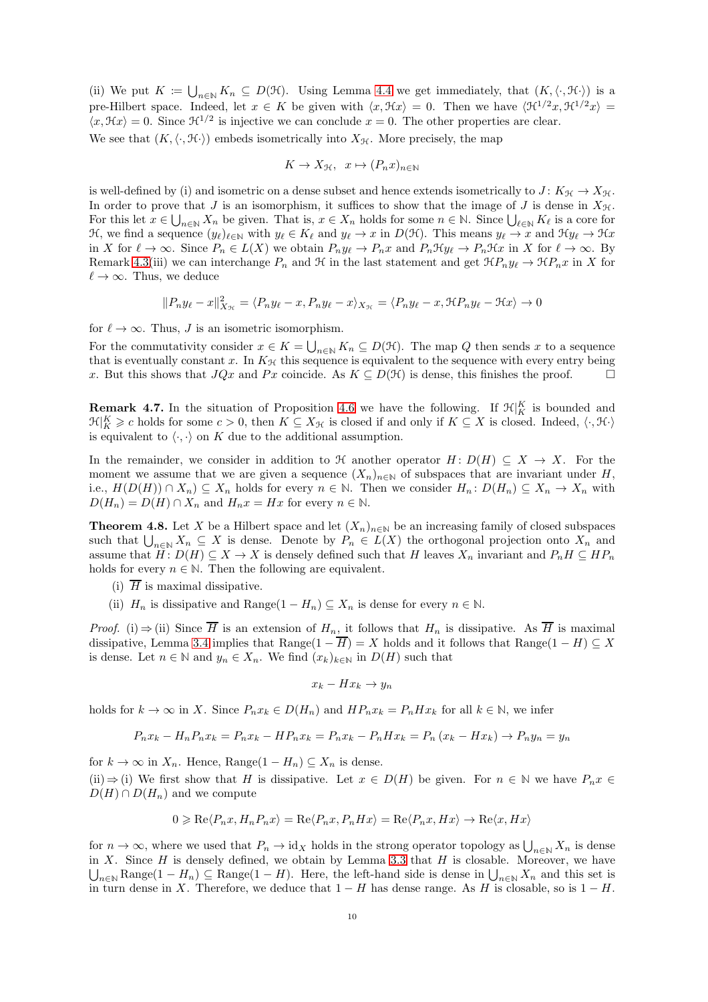(ii) We put  $K := \bigcup_{n \in \mathbb{N}} K_n \subseteq D(\mathcal{H})$ . Using Lemma [4.4](#page-7-4) we get immediately, that  $(K, \langle \cdot, \mathcal{H} \cdot \rangle)$  is a pre-Hilbert space. Indeed, let  $x \in K$  be given with  $\langle x, \mathcal{H}x \rangle = 0$ . Then we have  $\langle \mathcal{H}^{1/2}x, \mathcal{H}^{1/2}x \rangle =$  $\langle x, \mathcal{H}x \rangle = 0$ . Since  $\mathcal{H}^{1/2}$  is injective we can conclude  $x = 0$ . The other properties are clear. We see that  $(K, \langle \cdot, \mathcal{H} \cdot \rangle)$  embeds isometrically into  $X_{\mathcal{H}}$ . More precisely, the map

$$
K \to X_{\mathcal{H}}, \ \ x \mapsto (P_n x)_{n \in \mathbb{N}}
$$

is well-defined by (i) and isometric on a dense subset and hence extends isometrically to  $J: K_{\mathcal{H}} \to X_{\mathcal{H}}$ . In order to prove that J is an isomorphism, it suffices to show that the image of J is dense in  $X_{\mathcal{H}}$ . For this let  $x \in \bigcup_{n\in\mathbb{N}} X_n$  be given. That is,  $x \in X_n$  holds for some  $n \in \mathbb{N}$ . Since  $\bigcup_{\ell \in \mathbb{N}} K_\ell$  is a core for H, we find a sequence  $(y_\ell)_{\ell \in \mathbb{N}}$  with  $y_\ell \in K_\ell$  and  $y_\ell \to x$  in  $D(\mathcal{H})$ . This means  $y_\ell \to x$  and  $\mathcal{H}y_\ell \to \mathcal{H}x$ in X for  $\ell \to \infty$ . Since  $P_n \in L(X)$  we obtain  $P_n y_{\ell} \to P_n x$  and  $P_n \mathcal{H} y_{\ell} \to P_n \mathcal{H} x$  in X for  $\ell \to \infty$ . By Remark [4.3\(](#page-7-3)iii) we can interchange  $P_n$  and H in the last statement and get  $\mathfrak{R}P_n y_\ell \to \mathfrak{R}P_n x$  in X for  $\ell \to \infty$ . Thus, we deduce

$$
||P_n y_\ell - x||_{X_{\mathcal{H}}}^2 = \langle P_n y_\ell - x, P_n y_\ell - x \rangle_{X_{\mathcal{H}}} = \langle P_n y_\ell - x, \mathcal{H} P_n y_\ell - \mathcal{H} x \rangle \to 0
$$

for  $\ell \to \infty$ . Thus, J is an isometric isomorphism.

For the commutativity consider  $x \in K = \bigcup_{n \in \mathbb{N}} K_n \subseteq D(\mathcal{H})$ . The map Q then sends x to a sequence that is eventually constant x. In  $K_{\mathcal{H}}$  this sequence is equivalent to the sequence with every entry being x. But this shows that  $JQx$  and Px coincide. As  $K \subseteq D(\mathcal{H})$  is dense, this finishes the proof.

**Remark 4.7.** In the situation of Proposition [4.6](#page-8-0) we have the following. If  $\mathcal{H}|_K^K$  is bounded and  $\mathfrak{R}|_K^K \geqslant c$  holds for some  $c > 0$ , then  $K \subseteq X_{\mathcal{H}}$  is closed if and only if  $K \subseteq X$  is closed. Indeed,  $\langle \cdot, \mathfrak{H} \cdot \rangle$ is equivalent to  $\langle \cdot, \cdot \rangle$  on K due to the additional assumption.

In the remainder, we consider in addition to  $\mathcal H$  another operator  $H: D(H) \subseteq X \to X$ . For the moment we assume that we are given a sequence  $(X_n)_{n\in\mathbb{N}}$  of subspaces that are invariant under H, i.e.,  $H(D(H)) \cap X_n \subseteq X_n$  holds for every  $n \in \mathbb{N}$ . Then we consider  $H_n: D(H_n) \subseteq X_n \to X_n$  with  $D(H_n) = D(H) \cap X_n$  and  $H_n x = Hx$  for every  $n \in \mathbb{N}$ .

<span id="page-9-0"></span>**Theorem 4.8.** Let X be a Hilbert space and let  $(X_n)_{n\in\mathbb{N}}$  be an increasing family of closed subspaces such that  $\bigcup_{n\in\mathbb{N}} X_n \subseteq X$  is dense. Denote by  $P_n \in L(X)$  the orthogonal projection onto  $X_n$  and assume that  $H: D(H) \subseteq X \to X$  is densely defined such that H leaves  $X_n$  invariant and  $P_nH \subseteq HP_n$ holds for every  $n \in \mathbb{N}$ . Then the following are equivalent.

- (i)  $\overline{H}$  is maximal dissipative.
- (ii)  $H_n$  is dissipative and Range(1  $H_n$ )  $\subseteq X_n$  is dense for every  $n \in \mathbb{N}$ .

*Proof.* (i)  $\Rightarrow$  (ii) Since  $\overline{H}$  is an extension of  $H_n$ , it follows that  $H_n$  is dissipative. As  $\overline{H}$  is maximal dissipative, Lemma [3.4](#page-5-3) implies that Range $(1 - \overline{H}) = X$  holds and it follows that Range $(1 - H) \subseteq X$ is dense. Let  $n \in \mathbb{N}$  and  $y_n \in X_n$ . We find  $(x_k)_{k \in \mathbb{N}}$  in  $D(H)$  such that

$$
x_k - Hx_k \to y_n
$$

holds for  $k \to \infty$  in X. Since  $P_n x_k \in D(H_n)$  and  $HP_n x_k = P_n H x_k$  for all  $k \in \mathbb{N}$ , we infer

$$
P_n x_k - H_n P_n x_k = P_n x_k - H P_n x_k = P_n x_k - P_n H x_k = P_n (x_k - H x_k) \to P_n y_n = y_n
$$

for  $k \to \infty$  in  $X_n$ . Hence, Range $(1 - H_n) \subseteq X_n$  is dense. (ii)  $\Rightarrow$  (i) We first show that H is dissipative. Let  $x \in D(H)$  be given. For  $n \in \mathbb{N}$  we have  $P_n x \in$  $D(H) \cap D(H_n)$  and we compute

$$
0\geqslant \mathrm{Re}\langle P_nx,H_nP_nx\rangle=\mathrm{Re}\langle P_nx,P_nHx\rangle=\mathrm{Re}\langle P_nx,Hx\rangle\rightarrow \mathrm{Re}\langle x,Hx\rangle
$$

for  $n \to \infty$ , where we used that  $P_n \to id_X$  holds in the strong operator topology as  $\bigcup_{n \in \mathbb{N}} X_n$  is dense in X. Since H is densely defined, we obtain by Lemma [3.3](#page-5-2) that H is closable. Moreover, we have  $\bigcup_{n\in\mathbb{N}}\text{Range}(1-H_n)\subseteq\text{Range}(1-H)$ . Here, the left-hand side is dense in  $\bigcup_{n\in\mathbb{N}}X_n$  and this set is in turn dense in X. Therefore, we deduce that  $1 - H$  has dense range. As H is closable, so is  $1 - H$ .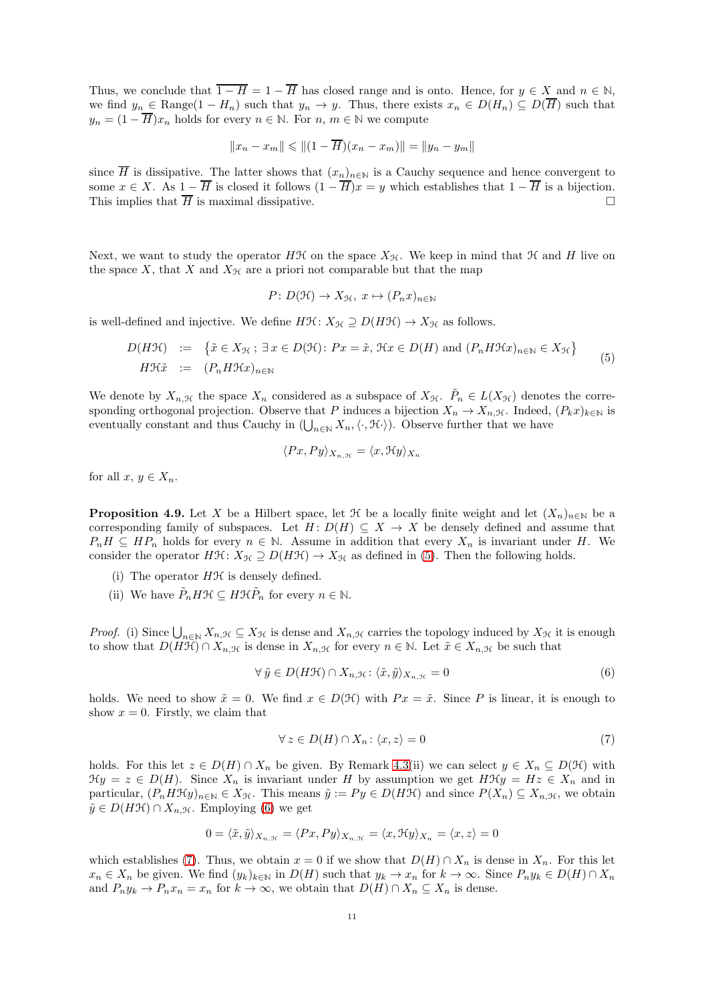Thus, we conclude that  $\overline{1 - H} = 1 - \overline{H}$  has closed range and is onto. Hence, for  $y \in X$  and  $n \in \mathbb{N}$ , we find  $y_n \in \text{Range}(1 - H_n)$  such that  $y_n \to y$ . Thus, there exists  $x_n \in D(H_n) \subseteq D(\overline{H})$  such that  $y_n = (1 - \overline{H})x_n$  holds for every  $n \in \mathbb{N}$ . For  $n, m \in \mathbb{N}$  we compute

$$
||x_n - x_m|| \le ||(1 - \overline{H})(x_n - x_m)|| = ||y_n - y_m||
$$

since  $\overline{H}$  is dissipative. The latter shows that  $(x_n)_{n\in\mathbb{N}}$  is a Cauchy sequence and hence convergent to some  $x \in X$ . As  $1 - \overline{H}$  is closed it follows  $(1 - \overline{H})x = y$  which establishes that  $1 - \overline{H}$  is a bijection.<br>This implies that  $\overline{H}$  is maximal dissipative This implies that  $\overline{H}$  is maximal dissipative.

Next, we want to study the operator HH on the space  $X_{\mathcal{H}}$ . We keep in mind that H and H live on the space X, that X and  $X_{\mathcal{H}}$  are a priori not comparable but that the map

$$
P: D(\mathcal{H}) \to X_{\mathcal{H}}, \ x \mapsto (P_n x)_{n \in \mathbb{N}}
$$

is well-defined and injective. We define  $H\mathfrak{H}: X_{\mathfrak{H}} \supseteq D(H\mathfrak{H}) \to X_{\mathfrak{H}}$  as follows.

<span id="page-10-0"></span>
$$
D(H\mathcal{H}) := \left\{ \tilde{x} \in X_{\mathcal{H}}; \ \exists \ x \in D(\mathcal{H}) : Px = \tilde{x}, \ \mathcal{H}x \in D(H) \text{ and } (P_n H \mathcal{H}x)_{n \in \mathbb{N}} \in X_{\mathcal{H}} \right\}
$$
  

$$
H\mathcal{H}\tilde{x} := (P_n H \mathcal{H}x)_{n \in \mathbb{N}}
$$
 (5)

We denote by  $X_{n,\mathcal{H}}$  the space  $X_n$  considered as a subspace of  $X_{\mathcal{H}}$ .  $\tilde{P}_n \in L(X_{\mathcal{H}})$  denotes the corresponding orthogonal projection. Observe that P induces a bijection  $X_n \to X_{n,\mathcal{H}}$ . Indeed,  $(P_k x)_{k\in\mathbb{N}}$  is eventually constant and thus Cauchy in  $(\bigcup_{n\in\mathbb{N}} X_n,\langle \cdot,\mathcal{H}\cdot\rangle)$ . Observe further that we have

$$
\langle Px, Py \rangle_{X_{n, \mathcal{H}}} = \langle x, \mathcal{H}y \rangle_{X_{n}}
$$

for all  $x, y \in X_n$ .

<span id="page-10-3"></span>**Proposition 4.9.** Let X be a Hilbert space, let  $\mathcal{H}$  be a locally finite weight and let  $(X_n)_{n\in\mathbb{N}}$  be a corresponding family of subspaces. Let  $H: D(H) \subseteq X \longrightarrow X$  be densely defined and assume that  $P_nH \subseteq HP_n$  holds for every  $n \in \mathbb{N}$ . Assume in addition that every  $X_n$  is invariant under H. We consider the operator  $H\mathfrak{H}: X_{\mathfrak{H}} \supseteq D(H\mathfrak{H}) \to X_{\mathfrak{H}}$  as defined in [\(5\)](#page-10-0). Then the following holds.

- (i) The operator  $H\mathcal{H}$  is densely defined.
- (ii) We have  $\tilde{P}_n H \mathcal{H} \subseteq H \mathcal{H} \tilde{P}_n$  for every  $n \in \mathbb{N}$ .

*Proof.* (i) Since  $\bigcup_{n\in\mathbb{N}} X_{n,\mathcal{H}} \subseteq X_{\mathcal{H}}$  is dense and  $X_{n,\mathcal{H}}$  carries the topology induced by  $X_{\mathcal{H}}$  it is enough to show that  $D(H\mathcal{H}) \cap X_{n,\mathcal{H}}$  is dense in  $X_{n,\mathcal{H}}$  for every  $n \in \mathbb{N}$ . Let  $\tilde{x} \in X_{n,\mathcal{H}}$  be such that

<span id="page-10-1"></span>
$$
\forall \tilde{y} \in D(H\mathcal{H}) \cap X_{n,\mathcal{H}} \colon \langle \tilde{x}, \tilde{y} \rangle_{X_{n,\mathcal{H}}} = 0 \tag{6}
$$

holds. We need to show  $\tilde{x} = 0$ . We find  $x \in D(\mathcal{H})$  with  $Px = \tilde{x}$ . Since P is linear, it is enough to show  $x = 0$ . Firstly, we claim that

<span id="page-10-2"></span>
$$
\forall z \in D(H) \cap X_n : \langle x, z \rangle = 0 \tag{7}
$$

holds. For this let  $z \in D(H) \cap X_n$  be given. By Remark [4.3\(](#page-7-3)ii) we can select  $y \in X_n \subseteq D(H)$  with  $\mathcal{H}y = z \in D(H)$ . Since  $X_n$  is invariant under H by assumption we get  $H\mathcal{H}y = Hz \in X_n$  and in particular,  $(P_n H \mathcal{H} y)_{n \in \mathbb{N}} \in X_{\mathcal{H}}$ . This means  $\tilde{y} := Py \in D(H \mathcal{H})$  and since  $P(X_n) \subseteq X_{n, \mathcal{H}}$ , we obtain  $\tilde{y} \in D(H\mathcal{H}) \cap X_{n,\mathcal{H}}$ . Employing [\(6\)](#page-10-1) we get

$$
0 = \langle \tilde{x}, \tilde{y} \rangle_{X_{n, \mathcal{H}}} = \langle Px, Py \rangle_{X_{n, \mathcal{H}}} = \langle x, \mathcal{H}y \rangle_{X_n} = \langle x, z \rangle = 0
$$

which establishes [\(7\)](#page-10-2). Thus, we obtain  $x = 0$  if we show that  $D(H) \cap X_n$  is dense in  $X_n$ . For this let  $x_n \in X_n$  be given. We find  $(y_k)_{k\in\mathbb{N}}$  in  $D(H)$  such that  $y_k \to x_n$  for  $k \to \infty$ . Since  $P_n y_k \in D(H) \cap X_n$ and  $P_n y_k \to P_n x_n = x_n$  for  $k \to \infty$ , we obtain that  $D(H) \cap X_n \subseteq X_n$  is dense.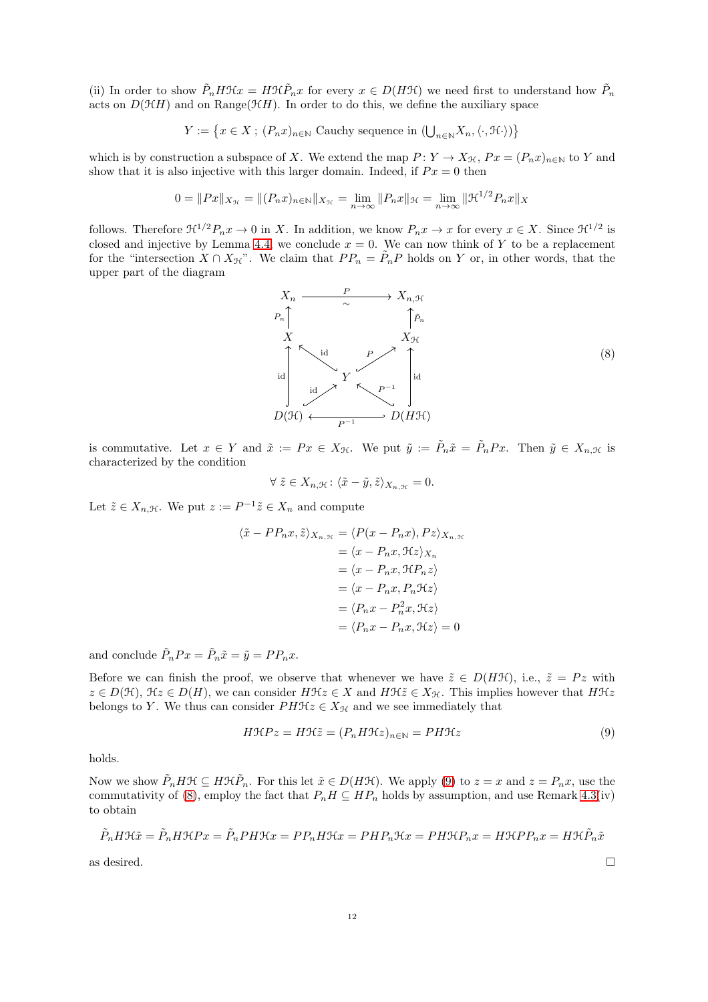(ii) In order to show  $\tilde{P}_n H \mathcal{H} x = H \mathcal{H} \tilde{P}_n x$  for every  $x \in D(H \mathcal{H})$  we need first to understand how  $\tilde{P}_n$ acts on  $D(\mathcal{H}H)$  and on Range( $\mathcal{H}H$ ). In order to do this, we define the auxiliary space

$$
Y:=\big\{x\in X\;;\;(P_n x)_{n\in\mathbb{N}}\text{ Cauchy sequence in }(\bigcup_{n\in\mathbb{N}}X_n,\langle\cdot,\mathcal{H}\cdot\rangle)\big\}
$$

which is by construction a subspace of X. We extend the map  $P: Y \to X_{\mathcal{H}}, Px = (P_nx)_{n \in \mathbb{N}}$  to Y and show that it is also injective with this larger domain. Indeed, if  $Px = 0$  then

$$
0 = ||Px||_{X_{\mathcal{H}}} = ||(P_n x)_{n \in \mathbb{N}}||_{X_{\mathcal{H}}} = \lim_{n \to \infty} ||P_n x||_{\mathcal{H}} = \lim_{n \to \infty} ||\mathcal{H}^{1/2} P_n x||_{X}
$$

follows. Therefore  $\mathfrak{H}^{1/2}P_nx \to 0$  in X. In addition, we know  $P_nx \to x$  for every  $x \in X$ . Since  $\mathfrak{H}^{1/2}$  is closed and injective by Lemma [4.4,](#page-7-4) we conclude  $x = 0$ . We can now think of Y to be a replacement for the "intersection  $X \cap X_{\mathcal{H}}$ ". We claim that  $PP_n = \tilde{P}_n P$  holds on Y or, in other words, that the upper part of the diagram

<span id="page-11-1"></span>

is commutative. Let  $x \in Y$  and  $\tilde{x} := Px \in X_{\mathcal{H}}$ . We put  $\tilde{y} := \tilde{P}_n \tilde{x} = \tilde{P}_n Px$ . Then  $\tilde{y} \in X_{n,\mathcal{H}}$  is characterized by the condition

$$
\forall \tilde{z} \in X_{n,\mathcal{H}} : \langle \tilde{x} - \tilde{y}, \tilde{z} \rangle_{X_{n,\mathcal{H}}} = 0.
$$

Let  $\tilde{z} \in X_{n,\mathcal{H}}$ . We put  $z := P^{-1}\tilde{z} \in X_n$  and compute

$$
\langle \tilde{x} - PP_n x, \tilde{z} \rangle_{X_{n, \mathcal{H}}} = \langle P(x - P_n x), Pz \rangle_{X_{n, \mathcal{H}}}
$$
  
\n
$$
= \langle x - P_n x, \mathcal{H} z \rangle_{X_n}
$$
  
\n
$$
= \langle x - P_n x, \mathcal{H} P_n z \rangle
$$
  
\n
$$
= \langle x - P_n x, P_n \mathcal{H} z \rangle
$$
  
\n
$$
= \langle P_n x - P_n^2 x, \mathcal{H} z \rangle
$$
  
\n
$$
= \langle P_n x - P_n x, \mathcal{H} z \rangle = 0
$$

and conclude  $\tilde{P}_nPx = \tilde{P}_n\tilde{x} = \tilde{y} = PP_nx$ .

Before we can finish the proof, we observe that whenever we have  $\tilde{z} \in D(HH)$ , i.e.,  $\tilde{z} = P z$  with  $z \in D(\mathcal{H})$ ,  $\mathcal{H}z \in D(H)$ , we can consider  $H\mathcal{H}z \in X$  and  $H\mathcal{H}z \in X_{\mathcal{H}}$ . This implies however that  $H\mathcal{H}z$ belongs to Y. We thus can consider  $PH\mathcal{H}z\in X_{\mathcal{H}}$  and we see immediately that

<span id="page-11-0"></span>
$$
H\mathcal{H}Pz = H\mathcal{H}\tilde{z} = (P_n H\mathcal{H}z)_{n \in \mathbb{N}} = PH\mathcal{H}z \tag{9}
$$

holds.

Now we show  $\tilde{P}_n H \mathcal{H} \subseteq H \mathcal{H} \tilde{P}_n$ . For this let  $\tilde{x} \in D(H\mathcal{H})$ . We apply [\(9\)](#page-11-0) to  $z = x$  and  $z = P_n x$ , use the commutativity of [\(8\)](#page-11-1), employ the fact that  $P_nH \subseteq HP_n$  holds by assumption, and use Remark [4.3\(](#page-7-3)iv) to obtain

$$
\tilde{P}_n H \mathcal{H} \tilde{x} = \tilde{P}_n H \mathcal{H} P x = \tilde{P}_n P H \mathcal{H} x = P P_n H \mathcal{H} x = P H P_n \mathcal{H} x = P H \mathcal{H} P_n x = H \mathcal{H} P P_n x = H \mathcal{H} \tilde{P}_n \tilde{x}
$$

as desired.  $\Box$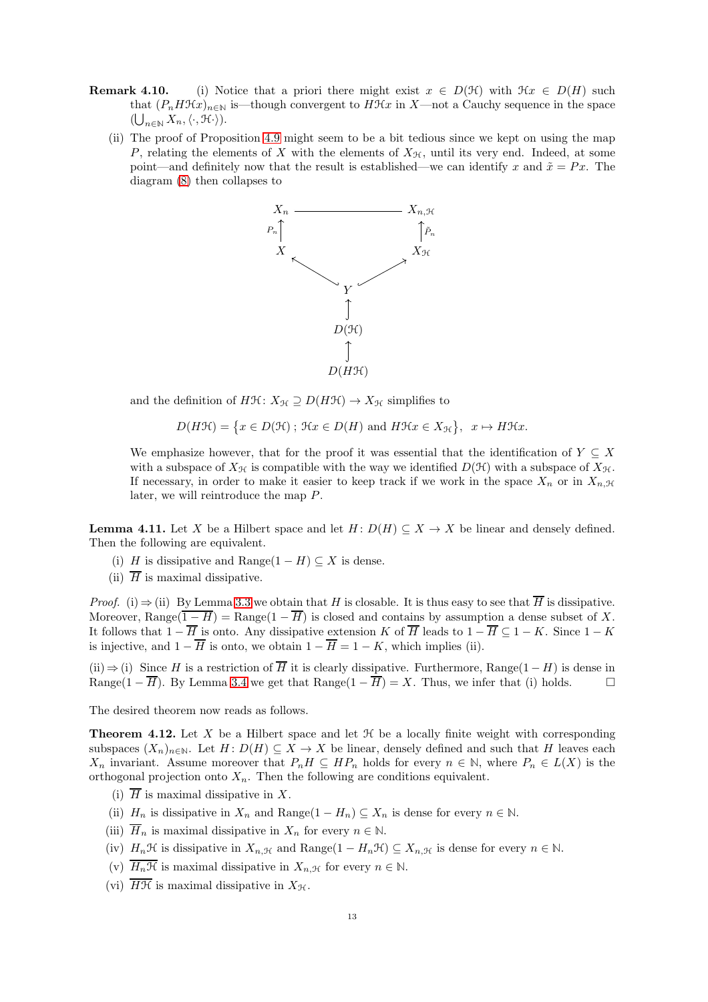- **Remark 4.10.** (i) Notice that a priori there might exist  $x \in D(\mathcal{H})$  with  $\mathcal{H}x \in D(H)$  such that  $(P_nH\mathcal{H}x)_{n\in\mathbb{N}}$  is—though convergent to  $H\mathcal{H}x$  in X—not a Cauchy sequence in the space  $(\bigcup_{n\in\mathbb{N}} X_n, \langle \cdot, \mathfrak{H} \cdot \rangle).$ 
	- (ii) The proof of Proposition [4.9](#page-10-3) might seem to be a bit tedious since we kept on using the map P, relating the elements of X with the elements of  $X_{\mathcal{H}}$ , until its very end. Indeed, at some point—and definitely now that the result is established—we can identify x and  $\tilde{x} = Px$ . The diagram [\(8\)](#page-11-1) then collapses to



and the definition of  $H\mathfrak{H}: X_{\mathfrak{H}} \supseteq D(H\mathfrak{H}) \to X_{\mathfrak{H}}$  simplifies to

$$
D(H\mathcal{H}) = \{x \in D(\mathcal{H}) \; ; \; \mathcal{H}x \in D(H) \text{ and } H\mathcal{H}x \in X_{\mathcal{H}}\}, \; x \mapsto H\mathcal{H}x.
$$

We emphasize however, that for the proof it was essential that the identification of  $Y \subseteq X$ with a subspace of  $X_{\mathcal{H}}$  is compatible with the way we identified  $D(\mathcal{H})$  with a subspace of  $X_{\mathcal{H}}$ . If necessary, in order to make it easier to keep track if we work in the space  $X_n$  or in  $X_{n, \mathcal{H}}$ later, we will reintroduce the map P.

<span id="page-12-1"></span>**Lemma 4.11.** Let X be a Hilbert space and let  $H: D(H) \subseteq X \to X$  be linear and densely defined. Then the following are equivalent.

- (i) H is dissipative and Range(1 H)  $\subseteq X$  is dense.
- (ii)  $\overline{H}$  is maximal dissipative.

*Proof.* (i)  $\Rightarrow$  (ii) By Lemma [3.3](#page-5-2) we obtain that H is closable. It is thus easy to see that  $\overline{H}$  is dissipative. Moreover, Range( $\overline{1-H}$ ) = Range( $1-\overline{H}$ ) is closed and contains by assumption a dense subset of X. It follows that  $1 - \overline{H}$  is onto. Any dissipative extension K of  $\overline{H}$  leads to  $1 - \overline{H} \subseteq 1 - K$ . Since  $1 - K$ is injective, and  $1 - \overline{H}$  is onto, we obtain  $1 - \overline{H} = 1 - K$ , which implies (ii).

(ii)  $\Rightarrow$  (i) Since H is a restriction of  $\overline{H}$  it is clearly dissipative. Furthermore, Range(1 – H) is dense in Range(1 –  $\overline{H}$ ) By Lemma 3.4 we get that Range(1 –  $\overline{H}$ ) = X. Thus we infer that (i) holds Range(1 –  $\overline{H}$ ). By Lemma [3.4](#page-5-3) we get that Range(1 –  $\overline{H}$ ) = X. Thus, we infer that (i) holds.

The desired theorem now reads as follows.

<span id="page-12-0"></span>**Theorem 4.12.** Let X be a Hilbert space and let  $\mathcal{H}$  be a locally finite weight with corresponding subspaces  $(X_n)_{n\in\mathbb{N}}$ . Let  $H: D(H) \subseteq X \to X$  be linear, densely defined and such that H leaves each  $X_n$  invariant. Assume moreover that  $P_nH \subseteq HP_n$  holds for every  $n \in \mathbb{N}$ , where  $P_n \in L(X)$  is the orthogonal projection onto  $X_n$ . Then the following are conditions equivalent.

- (i)  $\overline{H}$  is maximal dissipative in X.
- (ii)  $H_n$  is dissipative in  $X_n$  and  $Range(1 H_n) \subseteq X_n$  is dense for every  $n \in \mathbb{N}$ .
- (iii)  $\overline{H}_n$  is maximal dissipative in  $X_n$  for every  $n \in \mathbb{N}$ .
- (iv)  $H_n\mathcal{H}$  is dissipative in  $X_{n,\mathcal{H}}$  and Range(1  $H_n\mathcal{H}$ )  $\subseteq X_{n,\mathcal{H}}$  is dense for every  $n \in \mathbb{N}$ .
- (v)  $\overline{H_n\mathcal{H}}$  is maximal dissipative in  $X_{n,\mathcal{H}}$  for every  $n \in \mathbb{N}$ .
- (vi)  $\overline{HH}$  is maximal dissipative in  $X_{\mathcal{H}}$ .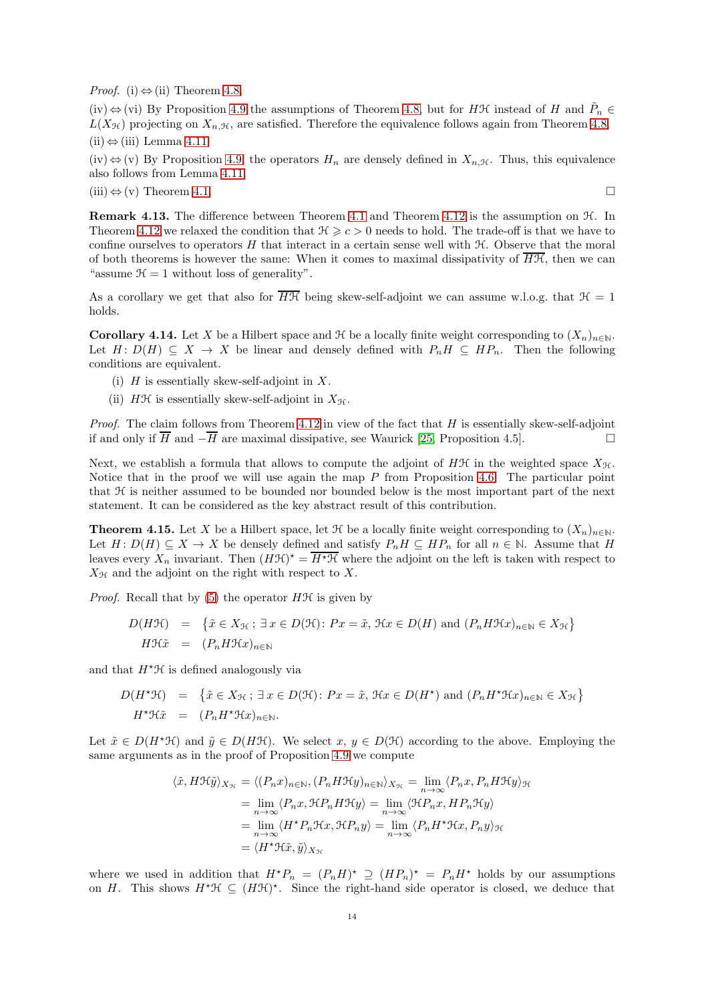*Proof.* (i)  $\Leftrightarrow$  (ii) Theorem [4.8.](#page-9-0)

 $(iv) \Leftrightarrow$  (vi) By Proposition [4.9](#page-10-3) the assumptions of Theorem [4.8,](#page-9-0) but for HH instead of H and  $\tilde{P}_n \in$  $L(X_{\mathcal{H}})$  projecting on  $X_{n,\mathcal{H}}$ , are satisfied. Therefore the equivalence follows again from Theorem [4.8.](#page-9-0)  $(ii)$  ⇔ (iii) Lemma [4.11.](#page-12-1)

(iv)  $\Leftrightarrow$  (v) By Proposition [4.9,](#page-10-3) the operators  $H_n$  are densely defined in  $X_{n, \mathcal{H}}$ . Thus, this equivalence also follows from Lemma [4.11.](#page-12-1)

(iii)  $\Leftrightarrow$  (v) Theorem [4.1.](#page-7-1)

Remark 4.13. The difference between Theorem [4.1](#page-7-1) and Theorem [4.12](#page-12-0) is the assumption on H. In Theorem [4.12](#page-12-0) we relaxed the condition that  $\mathcal{H} \geq c > 0$  needs to hold. The trade-off is that we have to confine ourselves to operators  $H$  that interact in a certain sense well with  $H$ . Observe that the moral of both theorems is however the same: When it comes to maximal dissipativity of  $H\mathcal{H}$ , then we can "assume  $\mathcal{H} = 1$  without loss of generality".

As a corollary we get that also for  $\overline{H\mathcal{H}}$  being skew-self-adjoint we can assume w.l.o.g. that  $\mathcal{H} = 1$ holds.

<span id="page-13-0"></span>Corollary 4.14. Let X be a Hilbert space and  $\mathcal H$  be a locally finite weight corresponding to  $(X_n)_{n\in\mathbb N}$ . Let  $H: D(H) \subseteq X \longrightarrow X$  be linear and densely defined with  $P_nH \subseteq HP_n$ . Then the following conditions are equivalent.

- (i)  $H$  is essentially skew-self-adjoint in  $X$ .
- (ii) HH is essentially skew-self-adjoint in  $X_{\mathcal{H}}$ .

*Proof.* The claim follows from Theorem [4.12](#page-12-0) in view of the fact that  $H$  is essentially skew-self-adjoint if and only if  $\overline{H}$  and  $-\overline{H}$  are maximal dissipative, see Waurick [\[25,](#page-33-8) Proposition 4.5]. □

Next, we establish a formula that allows to compute the adjoint of HH in the weighted space  $X_{\mathcal{H}}$ . Notice that in the proof we will use again the map P from Proposition [4.6.](#page-8-0) The particular point that  $H$  is neither assumed to be bounded nor bounded below is the most important part of the next statement. It can be considered as the key abstract result of this contribution.

<span id="page-13-1"></span>**Theorem 4.15.** Let X be a Hilbert space, let  $\mathcal{H}$  be a locally finite weight corresponding to  $(X_n)_{n\in\mathbb{N}}$ . Let  $H: D(H) \subseteq X \to X$  be densely defined and satisfy  $P_n H \subseteq HP_n$  for all  $n \in \mathbb{N}$ . Assume that H leaves every  $X_n$  invariant. Then  $(HH)^* = \overline{H^*H}$  where the adjoint on the left is taken with respect to  $X_{\mathcal{H}}$  and the adjoint on the right with respect to X.

*Proof.* Recall that by  $(5)$  the operator  $H\mathcal{H}$  is given by

$$
D(H\mathcal{H}) = \{ \tilde{x} \in X_{\mathcal{H}}; \exists x \in D(\mathcal{H}) : Px = \tilde{x}, \mathcal{H}x \in D(H) \text{ and } (P_n H \mathcal{H}x)_{n \in \mathbb{N}} \in X_{\mathcal{H}} \}
$$
  

$$
H\mathcal{H}\tilde{x} = (P_n H \mathcal{H}x)_{n \in \mathbb{N}}
$$

and that  $H^*\mathfrak{H}$  is defined analogously via

$$
D(H^* \mathcal{H}) = \{ \tilde{x} \in X_{\mathcal{H}}; \exists x \in D(\mathcal{H}) : Px = \tilde{x}, \mathcal{H}x \in D(H^*) \text{ and } (P_n H^* \mathcal{H}x)_{n \in \mathbb{N}} \in X_{\mathcal{H}} \}
$$
  

$$
H^* \mathcal{H} \tilde{x} = (P_n H^* \mathcal{H}x)_{n \in \mathbb{N}}.
$$

Let  $\tilde{x} \in D(H^*\mathfrak{H})$  and  $\tilde{y} \in D(H\mathfrak{H})$ . We select  $x, y \in D(\mathfrak{H})$  according to the above. Employing the same arguments as in the proof of Proposition [4.9](#page-10-3) we compute

$$
\langle \tilde{x}, H\mathfrak{H}\tilde{y} \rangle_{X_{\mathcal{H}}} = \langle (P_n x)_{n \in \mathbb{N}}, (P_n H\mathfrak{H}y)_{n \in \mathbb{N}} \rangle_{X_{\mathcal{H}}} = \lim_{n \to \infty} \langle P_n x, P_n H\mathfrak{H}y \rangle_{\mathcal{H}}
$$
  
\n
$$
= \lim_{n \to \infty} \langle P_n x, \mathfrak{H}P_n H\mathfrak{H}y \rangle = \lim_{n \to \infty} \langle \mathfrak{H}P_n x, H P_n \mathfrak{H}y \rangle
$$
  
\n
$$
= \lim_{n \to \infty} \langle H^* P_n \mathfrak{H}x, \mathfrak{H}P_n y \rangle = \lim_{n \to \infty} \langle P_n H^* \mathfrak{H}x, P_n y \rangle_{\mathcal{H}}
$$
  
\n
$$
= \langle H^* \mathfrak{H}\tilde{x}, \tilde{y} \rangle_{X_{\mathcal{H}}}
$$

where we used in addition that  $H^*P_n = (P_nH)^* \supseteq (HP_n)^* = P_nH^*$  holds by our assumptions on H. This shows  $H^*\mathfrak{H} \subseteq (H\mathfrak{H})^*$ . Since the right-hand side operator is closed, we deduce that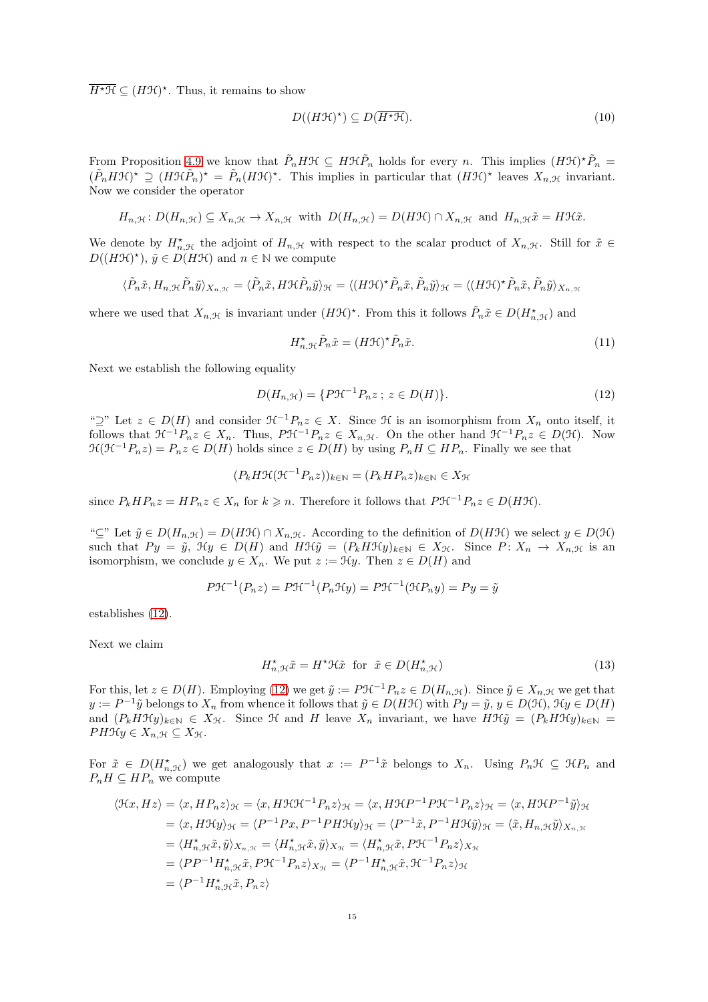$\overline{H^{\star}\mathfrak{H}} \subseteq (H\mathfrak{H})^{\star}$ . Thus, it remains to show

<span id="page-14-3"></span>
$$
D((H\mathfrak{H})^*) \subseteq D(\overline{H^*\mathfrak{H}}). \tag{10}
$$

From Proposition [4.9](#page-10-3) we know that  $\tilde{P}_n H\mathcal{H} \subseteq H\mathcal{H}\tilde{P}_n$  holds for every n. This implies  $(H\mathcal{H})^*\tilde{P}_n =$  $(\tilde{P}_nH\mathcal{H})^* \supseteq (H\mathcal{H}\tilde{P}_n)^* = \tilde{P}_n(H\mathcal{H})^*$ . This implies in particular that  $(H\mathcal{H})^*$  leaves  $X_{n,\mathcal{H}}$  invariant. Now we consider the operator

$$
H_{n,\mathcal{H}}\colon D(H_{n,\mathcal{H}})\subseteq X_{n,\mathcal{H}}\to X_{n,\mathcal{H}}\,\,\text{with}\,\,\,D(H_{n,\mathcal{H}})=D(H\mathcal{H})\cap X_{n,\mathcal{H}}\,\,\text{and}\,\,\,H_{n,\mathcal{H}}\tilde{x}=H\mathcal{H}\tilde{x}.
$$

We denote by  $H_{n,\mathcal{H}}^{\star}$  the adjoint of  $H_{n,\mathcal{H}}$  with respect to the scalar product of  $X_{n,\mathcal{H}}$ . Still for  $\tilde{x} \in$  $D((H\mathcal{H})^{\star}), \tilde{y} \in D(H\mathcal{H})$  and  $n \in \mathbb{N}$  we compute

$$
\langle \tilde{P}_n \tilde{x}, H_{n, \mathcal{H}} \tilde{P}_n \tilde{y} \rangle_{X_{n, \mathcal{H}}} = \langle \tilde{P}_n \tilde{x}, H \mathcal{H} \tilde{P}_n \tilde{y} \rangle_{\mathcal{H}} = \langle (H \mathcal{H})^{\star} \tilde{P}_n \tilde{x}, \tilde{P}_n \tilde{y} \rangle_{\mathcal{H}} = \langle (H \mathcal{H})^{\star} \tilde{P}_n \tilde{x}, \tilde{P}_n \tilde{y} \rangle_{X_{n, \mathcal{H}}}
$$

where we used that  $X_{n,\mathcal{H}}$  is invariant under  $(H\mathcal{H})^*$ . From this it follows  $\tilde{P}_n\tilde{x}\in D(H_{n,\mathcal{H}}^*)$  and

<span id="page-14-2"></span>
$$
H_{n,\mathcal{H}}^{\star} \tilde{P}_n \tilde{x} = (H\mathcal{H})^{\star} \tilde{P}_n \tilde{x}.
$$
\n(11)

Next we establish the following equality

<span id="page-14-0"></span>
$$
D(H_{n, \mathcal{H}}) = \{ P \mathcal{H}^{-1} P_n z \; ; \; z \in D(H) \}. \tag{12}
$$

" $\supseteq$ " Let  $z \in D(H)$  and consider  $\mathcal{H}^{-1}P_nz \in X$ . Since  $\mathcal H$  is an isomorphism from  $X_n$  onto itself, it follows that  $\mathfrak{H}^{-1}P_nz \in X_n$ . Thus,  $P\mathfrak{H}^{-1}P_nz \in X_{n,\mathfrak{H}}$ . On the other hand  $\mathfrak{H}^{-1}P_nz \in D(\mathfrak{H})$ . Now  $\mathcal{H}(\mathcal{H}^{-1}P_nz)=P_nz\in D(H)$  holds since  $z\in D(H)$  by using  $P_nH\subseteq HP_n$ . Finally we see that

$$
(P_k H \mathcal{H}(\mathcal{H}^{-1} P_n z))_{k \in \mathbb{N}} = (P_k H P_n z)_{k \in \mathbb{N}} \in X_{\mathcal{H}}
$$

since  $P_k H P_n z = H P_n z \in X_n$  for  $k \geq n$ . Therefore it follows that  $P \mathcal{H}^{-1} P_n z \in D(H\mathcal{H})$ .

" $\subseteq$ " Let  $\tilde{y} \in D(H_{n,\mathcal{H}}) = D(H\mathcal{H}) \cap X_{n,\mathcal{H}}$ . According to the definition of  $D(H\mathcal{H})$  we select  $y \in D(\mathcal{H})$ such that  $Py = \tilde{y}$ ,  $\mathcal{H}y \in D(H)$  and  $H\mathcal{H}\tilde{y} = (P_kH\mathcal{H}y)_{k\in\mathbb{N}} \in X_{\mathcal{H}}$ . Since  $P: X_n \to X_n$ ,  $\mathcal{H}$  is an isomorphism, we conclude  $y \in X_n$ . We put  $z := \mathcal{H}y$ . Then  $z \in D(H)$  and

$$
P\mathcal{H}^{-1}(P_n z) = P\mathcal{H}^{-1}(P_n \mathcal{H}y) = P\mathcal{H}^{-1}(\mathcal{H}P_n y) = Py = \tilde{y}
$$

establishes [\(12\)](#page-14-0).

Next we claim

<span id="page-14-1"></span>
$$
H_{n,\mathcal{H}}^{\star}\tilde{x} = H^{\star}\mathcal{H}\tilde{x} \text{ for } \tilde{x} \in D(H_{n,\mathcal{H}}^{\star})
$$
\n(13)

For this, let  $z \in D(H)$ . Employing [\(12\)](#page-14-0) we get  $\tilde{y} := P \mathcal{H}^{-1} P_n z \in D(H_{n,\mathcal{H}})$ . Since  $\tilde{y} \in X_{n,\mathcal{H}}$  we get that  $y := P^{-1}\tilde{y}$  belongs to  $X_n$  from whence it follows that  $\tilde{y} \in D(H\mathcal{H})$  with  $Py = \tilde{y}, y \in D(\mathcal{H}), \mathcal{H}y \in D(H)$ and  $(P_kH\mathcal{H}y)_{k\in\mathbb{N}}\in X_{\mathcal{H}}$ . Since  $\mathcal{H}$  and  $H$  leave  $X_n$  invariant, we have  $H\mathcal{H}\tilde{y}=(P_kH\mathcal{H}y)_{k\in\mathbb{N}}=$  $PH\mathcal{H}y \in X_{n,\mathcal{H}} \subseteq X_{\mathcal{H}}.$ 

For  $\tilde{x} \in D(H_{n,\mathcal{H}}^{\star})$  we get analogously that  $x := P^{-1}\tilde{x}$  belongs to  $X_n$ . Using  $P_n\mathcal{H} \subseteq \mathcal{H}P_n$  and  $P_nH \subseteq HP_n$  we compute

$$
\langle \mathfrak{K}x, Hz \rangle = \langle x, HP_nz \rangle_{\mathcal{H}} = \langle x, H\mathfrak{H}\mathfrak{H}^{-1}P_nz \rangle_{\mathcal{H}} = \langle x, H\mathfrak{H}P^{-1}P\mathfrak{H}^{-1}P_nz \rangle_{\mathcal{H}} = \langle x, H\mathfrak{H}P^{-1}\tilde{y} \rangle_{\mathcal{H}}
$$
  
\n
$$
= \langle x, H\mathfrak{H}y \rangle_{\mathcal{H}} = \langle P^{-1}Px, P^{-1}PH\mathfrak{H}y \rangle_{\mathcal{H}} = \langle P^{-1}\tilde{x}, P^{-1}H\mathfrak{H}\tilde{y} \rangle_{\mathcal{H}} = \langle \tilde{x}, H_{n,\mathcal{H}}\tilde{y} \rangle_{X_{n,\mathcal{H}}}
$$
  
\n
$$
= \langle H_{n,\mathcal{H}}^{\star}\tilde{x}, \tilde{y} \rangle_{X_{n,\mathcal{H}}} = \langle H_{n,\mathcal{H}}^{\star}\tilde{x}, \tilde{y} \rangle_{X_{\mathcal{H}}} = \langle H_{n,\mathcal{H}}^{\star}\tilde{x}, P\mathcal{H}^{-1}P_nz \rangle_{X_{\mathcal{H}}}
$$
  
\n
$$
= \langle PP^{-1}H_{n,\mathcal{H}}^{\star}\tilde{x}, PP\mathfrak{H}^{-1}P_nz \rangle_{X_{\mathcal{H}}} = \langle P^{-1}H_{n,\mathcal{H}}^{\star}\tilde{x}, \mathcal{H}^{-1}P_nz \rangle_{\mathcal{H}}
$$
  
\n
$$
= \langle P^{-1}H_{n,\mathcal{H}}^{\star}\tilde{x}, P_nz \rangle
$$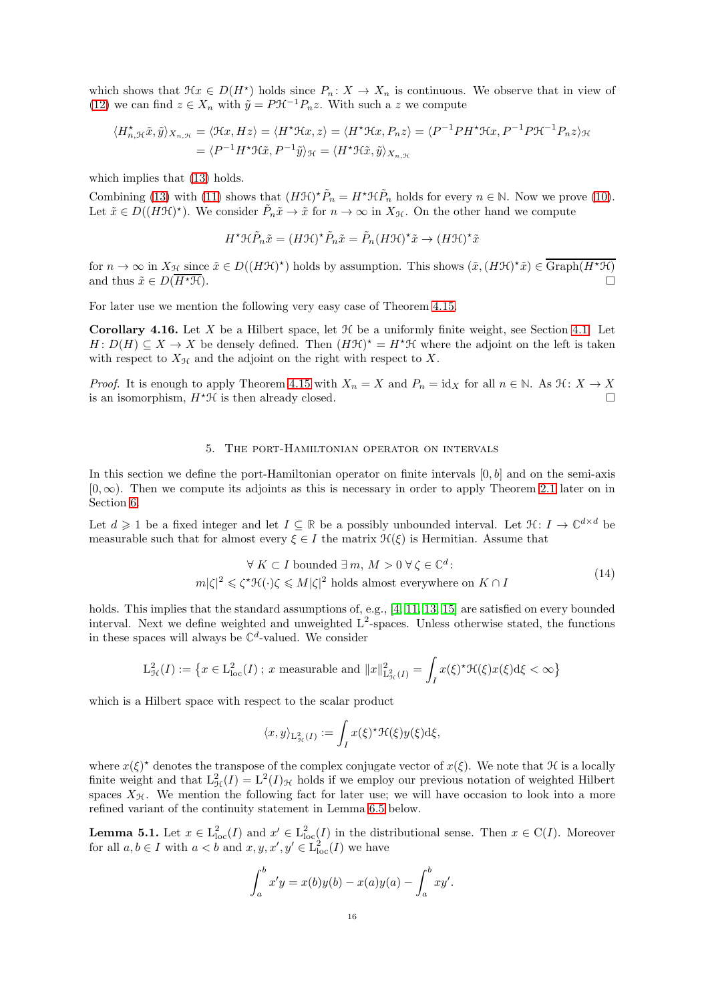which shows that  $\mathcal{H}x \in D(H^*)$  holds since  $P_n: X \to X_n$  is continuous. We observe that in view of [\(12\)](#page-14-0) we can find  $z \in X_n$  with  $\tilde{y} = P \mathcal{H}^{-1} P_n z$ . With such a z we compute

$$
\langle H_{n,\mathcal{H}}^{\star}\tilde{x},\tilde{y}\rangle_{X_{n,\mathcal{H}}} = \langle \mathcal{H}x, Hz \rangle = \langle H^{\star}\mathcal{H}x, z \rangle = \langle H^{\star}\mathcal{H}x, P_{n}z \rangle = \langle P^{-1}PH^{\star}\mathcal{H}x, P^{-1}P\mathcal{H}^{-1}P_{n}z \rangle_{\mathcal{H}}
$$

$$
= \langle P^{-1}H^{\star}\mathcal{H}\tilde{x}, P^{-1}\tilde{y}\rangle_{\mathcal{H}} = \langle H^{\star}\mathcal{H}\tilde{x}, \tilde{y}\rangle_{X_{n,\mathcal{H}}}
$$

which implies that  $(13)$  holds.

Combining [\(13\)](#page-14-1) with [\(11\)](#page-14-2) shows that  $(HH)^* \tilde{P}_n = H^* H \tilde{P}_n$  holds for every  $n \in \mathbb{N}$ . Now we prove [\(10\)](#page-14-3). Let  $\tilde{x} \in D((H\mathcal{H})^*)$ . We consider  $\tilde{P}_n\tilde{x} \to \tilde{x}$  for  $n \to \infty$  in  $X_{\mathcal{H}}$ . On the other hand we compute

$$
H^{\star}\mathfrak{H}\tilde{P}_n\tilde{x} = (H\mathfrak{H})^{\star}\tilde{P}_n\tilde{x} = \tilde{P}_n(H\mathfrak{H})^{\star}\tilde{x} \to (H\mathfrak{H})^{\star}\tilde{x}
$$

for  $n \to \infty$  in  $X_{\mathcal{H}}$  since  $\tilde{x} \in D((H\mathcal{H})^*)$  holds by assumption. This shows  $(\tilde{x}, (H\mathcal{H})^*\tilde{x}) \in \overline{\text{Graph}(H^*\mathcal{H})}$ and thus  $\tilde{x} \in D(\overline{H^* \mathcal{H}})$ .

For later use we mention the following very easy case of Theorem [4.15.](#page-13-1)

<span id="page-15-1"></span>**Corollary 4.16.** Let X be a Hilbert space, let  $\mathcal{H}$  be a uniformly finite weight, see Section [4.1.](#page-6-1) Let  $H: D(H) \subseteq X \to X$  be densely defined. Then  $(HH)^* = H^*H$  where the adjoint on the left is taken with respect to  $X_{\mathcal{H}}$  and the adjoint on the right with respect to X.

<span id="page-15-0"></span>*Proof.* It is enough to apply Theorem [4.15](#page-13-1) with  $X_n = X$  and  $P_n = id_X$  for all  $n \in \mathbb{N}$ . As  $\mathcal{H}: X \to X$  is an isomorphism.  $H^* \mathcal{H}$  is then already closed. is an isomorphism,  $H^{\star} \mathcal{H}$  is then already closed.

## 5. The port-Hamiltonian operator on intervals

In this section we define the port-Hamiltonian operator on finite intervals  $[0, b]$  and on the semi-axis  $[0, \infty)$ . Then we compute its adjoints as this is necessary in order to apply Theorem [2.1](#page-4-0) later on in Section [6.](#page-19-0)

Let  $d \geq 1$  be a fixed integer and let  $I \subseteq \mathbb{R}$  be a possibly unbounded interval. Let  $\mathcal{H}: I \to \mathbb{C}^{d \times d}$  be measurable such that for almost every  $\xi \in I$  the matrix  $\mathcal{H}(\xi)$  is Hermitian. Assume that

<span id="page-15-3"></span>
$$
\forall K \subset I \text{ bounded } \exists m, M > 0 \,\forall \,\zeta \in \mathbb{C}^d: \\
m|\zeta|^2 \leq \zeta^{\star} \mathfrak{H}(\cdot)\zeta \leq M|\zeta|^2 \text{ holds almost everywhere on } K \cap I
$$
\n
$$
(14)
$$

holds. This implies that the standard assumptions of, e.g., [\[4,](#page-32-4) [11,](#page-32-5) [13,](#page-33-0) [15\]](#page-33-2) are satisfied on every bounded interval. Next we define weighted and unweighted  $L^2$ -spaces. Unless otherwise stated, the functions in these spaces will always be  $\mathbb{C}^d$ -valued. We consider

$$
\mathcal{L}^2_{\mathcal{H}}(I):=\big\{x\in\mathcal{L}^2_{\text{loc}}(I)\ ;\ x\text{ measurable and }\|x\|^2_{\mathcal{L}^2_{\mathcal{H}}(I)}=\int_I x(\xi)^{\star}\mathcal{H}(\xi)x(\xi)\mathrm{d}\xi<\infty\big\}
$$

which is a Hilbert space with respect to the scalar product

J

$$
\langle x, y \rangle_{\mathcal{L}^2_{\mathcal{H}}(I)} := \int_I x(\xi)^{\star} \mathcal{H}(\xi) y(\xi) d\xi,
$$

where  $x(\xi)^*$  denotes the transpose of the complex conjugate vector of  $x(\xi)$ . We note that  $\mathcal H$  is a locally finite weight and that  $L^2_{\mathcal{H}}(I) = L^2(I)_{\mathcal{H}}$  holds if we employ our previous notation of weighted Hilbert spaces  $X_{\mathcal{H}}$ . We mention the following fact for later use; we will have occasion to look into a more refined variant of the continuity statement in Lemma [6.5](#page-22-0) below.

<span id="page-15-2"></span>**Lemma 5.1.** Let  $x \in L^2_{loc}(I)$  and  $x' \in L^2_{loc}(I)$  in the distributional sense. Then  $x \in C(I)$ . Moreover for all  $a, b \in I$  with  $a < b$  and  $x, y, x', y' \in L^2_{loc}(I)$  we have

$$
\int_a^b x'y = x(b)y(b) - x(a)y(a) - \int_a^b xy'
$$

.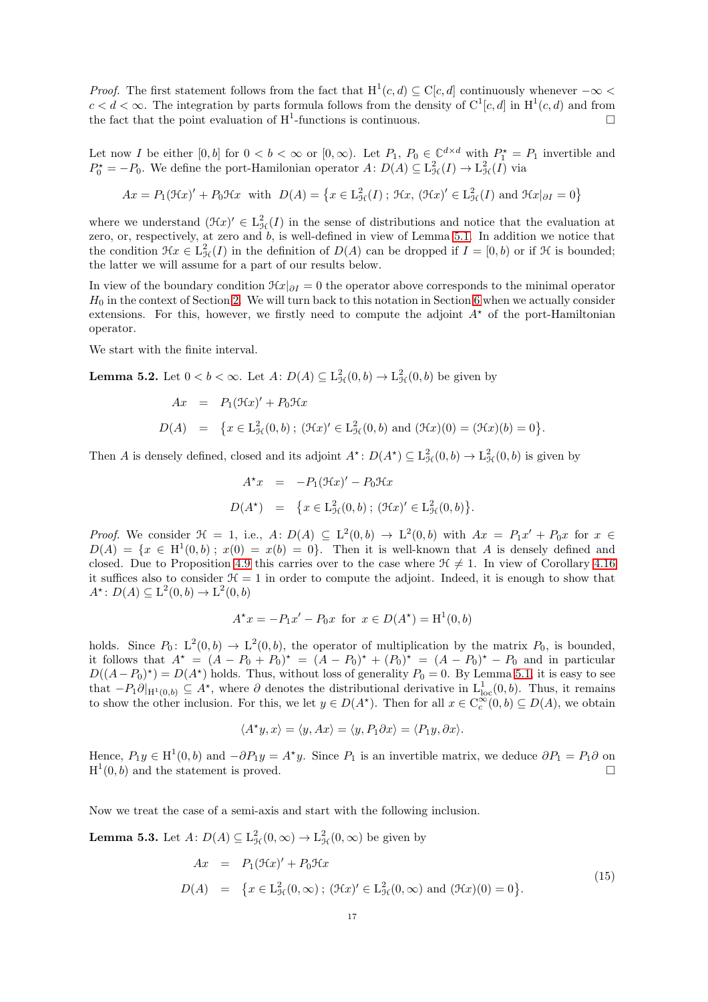*Proof.* The first statement follows from the fact that  $H^1(c, d) \subseteq C[c, d]$  continuously whenever  $-\infty <$  $c < d < \infty$ . The integration by parts formula follows from the density of  $C^1[c, d]$  in  $H^1(c, d)$  and from the fact that the point evaluation of  $H^1$ -functions is continuous.

Let now I be either  $[0, b]$  for  $0 < b < \infty$  or  $[0, \infty)$ . Let  $P_1, P_0 \in \mathbb{C}^{d \times d}$  with  $P_1^* = P_1$  invertible and  $P_0^* = -P_0$ . We define the port-Hamilonian operator  $A: D(A) \subseteq L^2_{\mathcal{H}}(I) \to L^2_{\mathcal{H}}(I)$  via

$$
Ax = P_1(\mathfrak{H}x)' + P_0\mathfrak{H}x \text{ with } D(A) = \left\{ x \in L^2_{\mathcal{H}}(I) \; ; \; \mathfrak{H}x, \, (\mathfrak{H}x)' \in L^2_{\mathcal{H}}(I) \text{ and } \mathfrak{H}x|_{\partial I} = 0 \right\}
$$

where we understand  $(\mathfrak{K}x)' \in L^2_{\mathfrak{H}}(I)$  in the sense of distributions and notice that the evaluation at zero, or, respectively, at zero and b, is well-defined in view of Lemma [5.1.](#page-15-2) In addition we notice that the condition  $\mathfrak{H}x \in L^2_{\mathcal{H}}(I)$  in the definition of  $D(A)$  can be dropped if  $I = [0, b)$  or if  $\mathfrak{H}$  is bounded; the latter we will assume for a part of our results below.

In view of the boundary condition  $\mathcal{H}x|_{\partial I} = 0$  the operator above corresponds to the minimal operator  $H_0$  in the context of Section [2.](#page-3-0) We will turn back to this notation in Section [6](#page-19-0) when we actually consider extensions. For this, however, we firstly need to compute the adjoint  $A^*$  of the port-Hamiltonian operator.

We start with the finite interval.

**Lemma 5.2.** Let  $0 < b < \infty$ . Let  $A: D(A) \subseteq L^2_{\mathcal{H}}(0, b) \to L^2_{\mathcal{H}}(0, b)$  be given by

$$
Ax = P_1(\mathfrak{H}x)' + P_0\mathfrak{H}x
$$
  

$$
D(A) = \{x \in L^2_{\mathfrak{H}}(0,b) \; ; \; (\mathfrak{H}x)' \in L^2_{\mathfrak{H}}(0,b) \text{ and } (\mathfrak{H}x)(0) = (\mathfrak{H}x)(b) = 0\}.
$$

Then A is densely defined, closed and its adjoint  $A^*$ :  $D(A^*) \subseteq L^2_{\mathcal{H}}(0, b) \to L^2_{\mathcal{H}}(0, b)$  is given by

$$
A^*x = -P_1(\mathcal{H}x)' - P_0\mathcal{H}x
$$
  

$$
D(A^*) = \{x \in L^2_{\mathcal{H}}(0, b) ; (\mathcal{H}x)' \in L^2_{\mathcal{H}}(0, b)\}.
$$

*Proof.* We consider  $\mathcal{H} = 1$ , i.e.,  $A: D(A) \subseteq L^2(0,b) \to L^2(0,b)$  with  $Ax = P_1x' + P_0x$  for  $x \in$  $D(A) = \{x \in H^1(0, b) ; x(0) = x(b) = 0\}.$  Then it is well-known that A is densely defined and closed. Due to Proposition [4.9](#page-10-3) this carries over to the case where  $\mathcal{H} \neq 1$ . In view of Corollary [4.16](#page-15-1) it suffices also to consider  $\mathcal{H} = 1$  in order to compute the adjoint. Indeed, it is enough to show that  $A^*$ :  $D(A) \subseteq L^2(0, b) \to L^2(0, b)$ 

$$
A^*x = -P_1x' - P_0x \text{ for } x \in D(A^*) = H^1(0, b)
$$

holds. Since  $P_0: L^2(0,b) \to L^2(0,b)$ , the operator of multiplication by the matrix  $P_0$ , is bounded, it follows that  $A^* = (A - P_0 + P_0)^* = (A - P_0)^* + (P_0)^* = (A - P_0)^* - P_0$  and in particular  $D((A-P_0)^*) = D(A^*)$  holds. Thus, without loss of generality  $P_0 = 0$ . By Lemma [5.1,](#page-15-2) it is easy to see that  $-P_1\partial|_{H^1(0,b)} \subseteq A^*$ , where  $\partial$  denotes the distributional derivative in  $L^1_{loc}(0,b)$ . Thus, it remains to show the other inclusion. For this, we let  $y \in D(A^*)$ . Then for all  $x \in C_c^{\infty}(0, b) \subseteq D(A)$ , we obtain

$$
\langle A^{\star}y, x \rangle = \langle y, Ax \rangle = \langle y, P_1 \partial x \rangle = \langle P_1 y, \partial x \rangle.
$$

Hence,  $P_1y \in H^1(0, b)$  and  $-\partial P_1y = A^*y$ . Since  $P_1$  is an invertible matrix, we deduce  $\partial P_1 = P_1\partial$  on  $H^1(0,b)$  and the statement is proved.

Now we treat the case of a semi-axis and start with the following inclusion.

<span id="page-16-1"></span>**Lemma 5.3.** Let  $A: D(A) \subseteq L^2_{\mathcal{H}}(0, \infty) \to L^2_{\mathcal{H}}(0, \infty)$  be given by

<span id="page-16-0"></span>
$$
Ax = P_1(\mathcal{H}x)' + P_0\mathcal{H}x
$$
  
\n
$$
D(A) = \{x \in L^2_{\mathcal{H}}(0,\infty); (\mathcal{H}x)' \in L^2_{\mathcal{H}}(0,\infty) \text{ and } (\mathcal{H}x)(0) = 0\}.
$$
\n(15)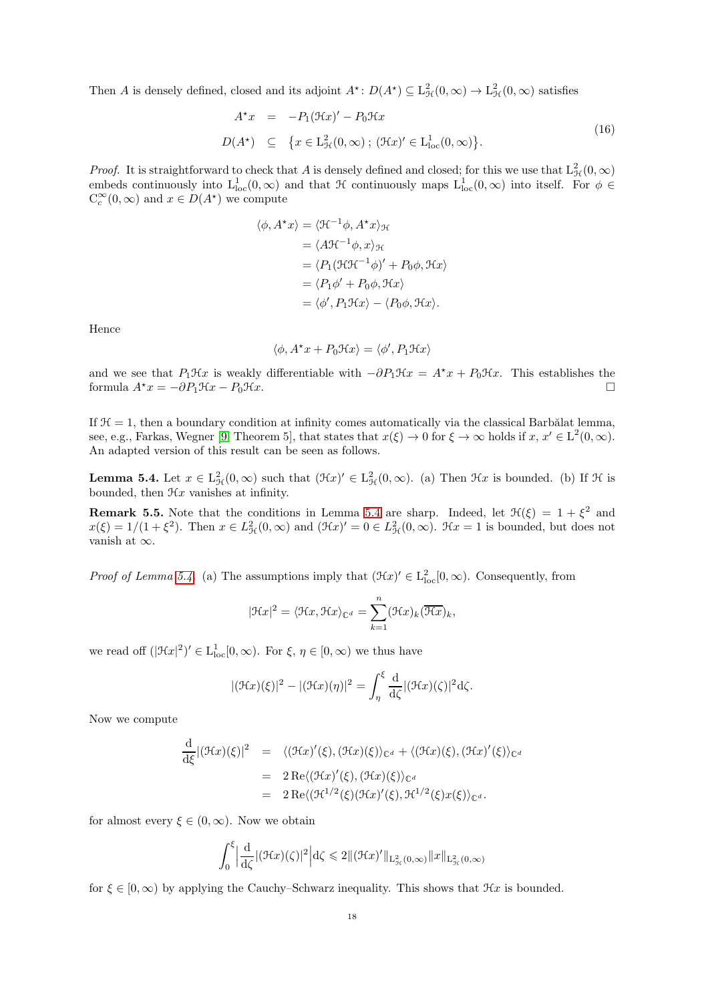Then A is densely defined, closed and its adjoint  $A^*$ :  $D(A^*) \subseteq L^2_{\mathcal{H}}(0, \infty) \to L^2_{\mathcal{H}}(0, \infty)$  satisfies

$$
A^{\star}x = -P_1(\mathcal{H}x)' - P_0\mathcal{H}x
$$
  

$$
D(A^{\star}) \subseteq \{x \in L_{\mathcal{H}}^2(0,\infty) \; ; \; (\mathcal{H}x)' \in L_{\text{loc}}^1(0,\infty)\}.
$$
 (16)

*Proof.* It is straightforward to check that A is densely defined and closed; for this we use that  $L^2_{\mathcal{H}}(0,\infty)$ embeds continuously into  $L^1_{loc}(0, \infty)$  and that  $\mathcal H$  continuously maps  $L^1_{loc}(0, \infty)$  into itself. For  $\phi \in \mathbb R$  $C_c^{\infty}(0, \infty)$  and  $x \in D(A^{\star})$  we compute

$$
\langle \phi, A^*x \rangle = \langle \mathfrak{H}^{-1} \phi, A^*x \rangle_{\mathfrak{H}}
$$
  
\n
$$
= \langle A \mathfrak{H}^{-1} \phi, x \rangle_{\mathfrak{H}}
$$
  
\n
$$
= \langle P_1 (\mathfrak{H} \mathfrak{H}^{-1} \phi)' + P_0 \phi, \mathfrak{H} x \rangle
$$
  
\n
$$
= \langle P_1 \phi' + P_0 \phi, \mathfrak{H} x \rangle
$$
  
\n
$$
= \langle \phi', P_1 \mathfrak{H} x \rangle - \langle P_0 \phi, \mathfrak{H} x \rangle.
$$

Hence

$$
\langle \phi, A^{\star}x + P_0 \mathcal{H}x \rangle = \langle \phi', P_1 \mathcal{H}x \rangle
$$

and we see that  $P_1\mathcal{H}x$  is weakly differentiable with  $-\partial P_1\mathcal{H}x = A^*x + P_0\mathcal{H}x$ . This establishes the formula  $A^*x = -\partial P_1\mathcal{H}x - B_1\mathcal{H}x$ formula  $A^*x = -\partial P_1\mathcal{H}x - P_0\mathcal{H}x$ .

If  $H = 1$ , then a boundary condition at infinity comes automatically via the classical Barbălat lemma, see, e.g., Farkas, Wegner [\[9,](#page-32-9) Theorem 5], that states that  $x(\xi) \to 0$  for  $\xi \to \infty$  holds if  $x, x' \in L^2(0, \infty)$ . An adapted version of this result can be seen as follows.

<span id="page-17-0"></span>**Lemma 5.4.** Let  $x \in L^2_{\mathcal{H}}(0,\infty)$  such that  $(\mathcal{H}x)' \in L^2_{\mathcal{H}}(0,\infty)$ . (a) Then  $\mathcal{H}x$  is bounded. (b) If  $\mathcal{H}$  is bounded, then  $\mathcal{H}x$  vanishes at infinity.

**Remark 5.5.** Note that the conditions in Lemma [5.4](#page-17-0) are sharp. Indeed, let  $\mathcal{H}(\xi) = 1 + \xi^2$  and  $x(\xi) = 1/(1+\xi^2)$ . Then  $x \in L^2_{\mathcal{H}}(0,\infty)$  and  $(\mathcal{H}x)' = 0 \in L^2_{\mathcal{H}}(0,\infty)$ .  $\mathcal{H}x = 1$  is bounded, but does not vanish at  $\infty$ .

*Proof of Lemma [5.4.](#page-17-0)* (a) The assumptions imply that  $(\mathcal{H}x)' \in L^2_{loc}[0,\infty)$ . Consequently, from

$$
|\mathfrak{H}x|^2 = \langle \mathfrak{H}x, \mathfrak{H}x \rangle_{\mathbb{C}^d} = \sum_{k=1}^n (\mathfrak{H}x)_k (\overline{\mathfrak{H}x})_k,
$$

we read off  $(|\mathcal{H}x|^2)' \in L^1_{loc}[0,\infty)$ . For  $\xi, \eta \in [0,\infty)$  we thus have

$$
|(\mathcal{H}x)(\xi)|^2 - |(\mathcal{H}x)(\eta)|^2 = \int_{\eta}^{\xi} \frac{d}{d\zeta} |(\mathcal{H}x)(\zeta)|^2 d\zeta.
$$

Now we compute

$$
\frac{\mathrm{d}}{\mathrm{d}\xi} |(\mathcal{H}x)(\xi)|^2 = \langle (\mathcal{H}x)'(\xi), (\mathcal{H}x)(\xi) \rangle_{\mathbb{C}^d} + \langle (\mathcal{H}x)(\xi), (\mathcal{H}x)'(\xi) \rangle_{\mathbb{C}^d}
$$
\n
$$
= 2 \operatorname{Re} \langle (\mathcal{H}x)'(\xi), (\mathcal{H}x)(\xi) \rangle_{\mathbb{C}^d}
$$
\n
$$
= 2 \operatorname{Re} \langle (\mathcal{H}^{1/2}(\xi)(\mathcal{H}x)'(\xi), \mathcal{H}^{1/2}(\xi)x(\xi) \rangle_{\mathbb{C}^d}.
$$

for almost every  $\xi \in (0,\infty)$ . Now we obtain

$$
\int_0^{\xi} \left| \frac{d}{d\zeta} |(\mathcal{H}x)(\zeta)|^2 \right| d\zeta \leq 2 \|(\mathcal{H}x)'\|_{L^2_{\mathcal{H}}(0,\infty)} \|x\|_{L^2_{\mathcal{H}}(0,\infty)}
$$

for  $\xi \in [0,\infty)$  by applying the Cauchy–Schwarz inequality. This shows that  $\mathcal{H}x$  is bounded.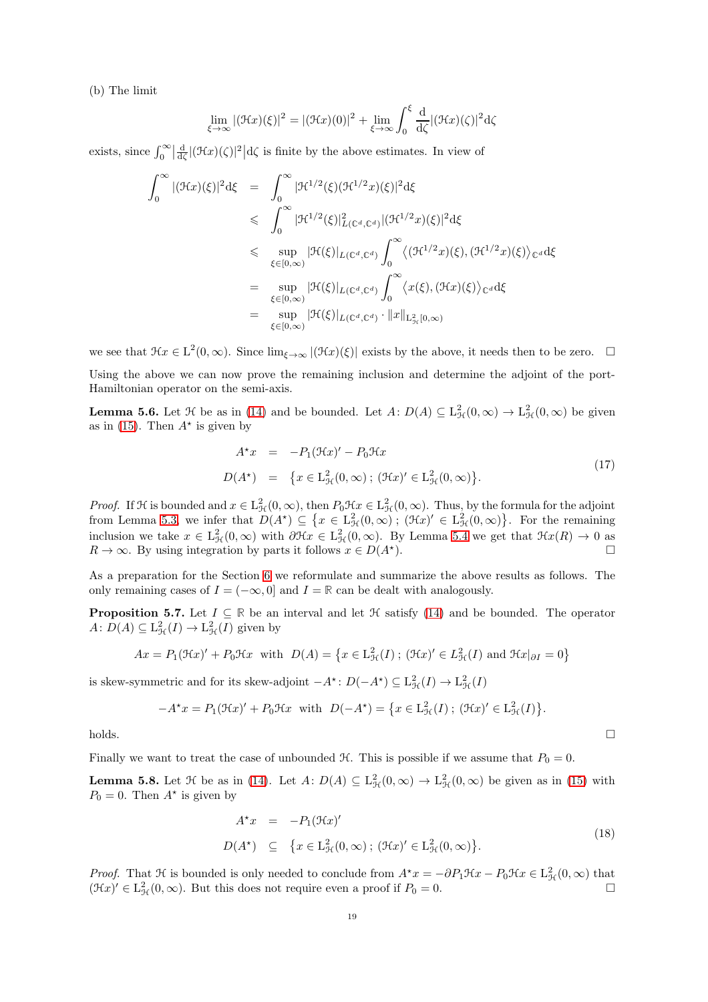(b) The limit

$$
\lim_{\xi \to \infty} |(\mathcal{H}x)(\xi)|^2 = |(\mathcal{H}x)(0)|^2 + \lim_{\xi \to \infty} \int_0^{\xi} \frac{d}{d\zeta} |(\mathcal{H}x)(\zeta)|^2 d\zeta
$$

exists, since  $\int_0^\infty \left|\frac{d}{d\zeta} |(\mathcal{H}x)(\zeta)|^2\right| d\zeta$  is finite by the above estimates. In view of

$$
\int_0^\infty |(\mathcal{H}x)(\xi)|^2 d\xi = \int_0^\infty |\mathcal{H}^{1/2}(\xi)(\mathcal{H}^{1/2}x)(\xi)|^2 d\xi
$$
  
\n
$$
\leqslant \int_0^\infty |\mathcal{H}^{1/2}(\xi)|_{L(\mathbb{C}^d,\mathbb{C}^d)}^2 |(\mathcal{H}^{1/2}x)(\xi)|^2 d\xi
$$
  
\n
$$
\leqslant \sup_{\xi \in [0,\infty)} |\mathcal{H}(\xi)|_{L(\mathbb{C}^d,\mathbb{C}^d)} \int_0^\infty \langle (\mathcal{H}^{1/2}x)(\xi), (\mathcal{H}^{1/2}x)(\xi) \rangle_{\mathbb{C}^d} d\xi
$$
  
\n
$$
= \sup_{\xi \in [0,\infty)} |\mathcal{H}(\xi)|_{L(\mathbb{C}^d,\mathbb{C}^d)} \int_0^\infty \langle x(\xi), (\mathcal{H}x)(\xi) \rangle_{\mathbb{C}^d} d\xi
$$
  
\n
$$
= \sup_{\xi \in [0,\infty)} |\mathcal{H}(\xi)|_{L(\mathbb{C}^d,\mathbb{C}^d)} \cdot ||x||_{\mathbb{L}^2_{\mathcal{H}}[0,\infty)}
$$

we see that  $\mathcal{H}x \in L^2(0,\infty)$ . Since  $\lim_{\xi \to \infty} |(\mathcal{H}x)(\xi)|$  exists by the above, it needs then to be zero.  $\Box$ Using the above we can now prove the remaining inclusion and determine the adjoint of the port-Hamiltonian operator on the semi-axis.

**Lemma 5.6.** Let  $\mathcal{H}$  be as in [\(14\)](#page-15-3) and be bounded. Let  $A: D(A) \subseteq L^2_{\mathcal{H}}(0, \infty) \to L^2_{\mathcal{H}}(0, \infty)$  be given as in [\(15\)](#page-16-0). Then  $A^*$  is given by

$$
A^*x = -P_1(\mathfrak{H}x)' - P_0\mathfrak{H}x
$$
  

$$
D(A^*) = \{x \in \mathcal{L}^2_{\mathcal{H}}(0,\infty); (\mathfrak{H}x)' \in \mathcal{L}^2_{\mathcal{H}}(0,\infty)\}.
$$
 (17)

*Proof.* If H is bounded and  $x \in L^2_{\mathcal{H}}(0,\infty)$ , then  $P_0\mathcal{H}x \in L^2_{\mathcal{H}}(0,\infty)$ . Thus, by the formula for the adjoint from Lemma [5.3,](#page-16-1) we infer that  $D(A^*) \subseteq \{x \in L^2_{\mathcal{H}}(0,\infty); (\mathcal{H}x)' \in L^2_{\mathcal{H}}(0,\infty)\}\.$  For the remaining inclusion we take  $x \in L^2_{\mathcal{H}}(0,\infty)$  with  $\partial \mathcal{H}x \in L^2_{\mathcal{H}}(0,\infty)$ . By Lemma [5.4](#page-17-0) we get that  $\mathcal{H}x(R) \to 0$  as  $R \to \infty$ . By using integration by parts it follows  $x \in D(A^*)$ .

As a preparation for the Section [6](#page-19-0) we reformulate and summarize the above results as follows. The only remaining cases of  $I = (-\infty, 0]$  and  $I = \mathbb{R}$  can be dealt with analogously.

<span id="page-18-1"></span>**Proposition 5.7.** Let  $I \subseteq \mathbb{R}$  be an interval and let  $\mathcal H$  satisfy [\(14\)](#page-15-3) and be bounded. The operator  $A: D(A) \subseteq L^2_{\mathcal{H}}(I) \to L^2_{\mathcal{H}}(I)$  given by

$$
Ax = P_1(\mathcal{H}x)' + P_0\mathcal{H}x \text{ with } D(A) = \left\{ x \in L^2_{\mathcal{H}}(I) \; ; \; (\mathcal{H}x)' \in L^2_{\mathcal{H}}(I) \text{ and } \mathcal{H}x|_{\partial I} = 0 \right\}
$$

is skew-symmetric and for its skew-adjoint  $-A^*$ :  $D(-A^*) \subseteq L^2_{\mathcal{H}}(I) \to L^2_{\mathcal{H}}(I)$ 

$$
-A^{\star}x = P_1(\mathfrak{H}x)' + P_0\mathfrak{H}x \quad \text{with} \quad D(-A^{\star}) = \left\{ x \in \mathcal{L}^2_{\mathcal{H}}(I) \, ; \, (\mathfrak{H}x)' \in \mathcal{L}^2_{\mathcal{H}}(I) \right\}
$$

 $\Box$ holds.

Finally we want to treat the case of unbounded  $H$ . This is possible if we assume that  $P_0 = 0$ .

<span id="page-18-0"></span>**Lemma 5.8.** Let  $\mathcal{H}$  be as in [\(14\)](#page-15-3). Let  $A: D(A) \subseteq L^2_{\mathcal{H}}(0, \infty) \to L^2_{\mathcal{H}}(0, \infty)$  be given as in [\(15\)](#page-16-0) with  $P_0 = 0$ . Then  $A^*$  is given by

$$
A^{\star}x = -P_1(\mathfrak{H}x)'
$$
  
\n
$$
D(A^{\star}) \subseteq \{x \in L_{\mathfrak{H}}^2(0,\infty); (\mathfrak{H}x)' \in L_{\mathfrak{H}}^2(0,\infty)\}.
$$
\n
$$
(18)
$$

.

*Proof.* That H is bounded is only needed to conclude from  $A^*x = -\partial P_1\mathcal{H}x - P_0\mathcal{H}x \in L^2_{\mathcal{H}}(0,\infty)$  that  $(\mathfrak{K}x)' \in L^2_{\mathcal{H}}(0,\infty)$ . But this does not require even a proof if  $P_0 = 0$ .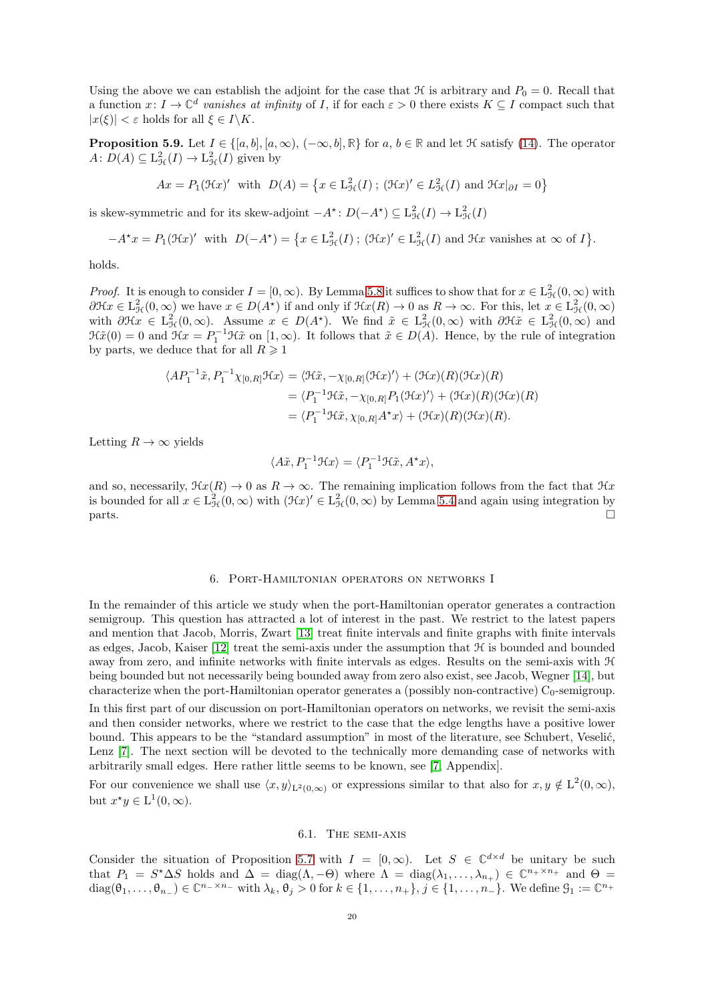Using the above we can establish the adjoint for the case that  $H$  is arbitrary and  $P_0 = 0$ . Recall that a function  $x: I \to \mathbb{C}^d$  vanishes at infinity of I, if for each  $\varepsilon > 0$  there exists  $K \subseteq I$  compact such that  $|x(\xi)| < \varepsilon$  holds for all  $\xi \in I \backslash K$ .

<span id="page-19-2"></span>**Proposition 5.9.** Let  $I \in \{[a, b], [a, \infty), (-\infty, b], \mathbb{R}\}$  for  $a, b \in \mathbb{R}$  and let  $\mathcal{H}$  satisfy [\(14\)](#page-15-3). The operator  $A: D(A) \subseteq L^2_{\mathcal{H}}(I) \to L^2_{\mathcal{H}}(I)$  given by

$$
Ax = P_1(\mathcal{H}x)'
$$
 with  $D(A) = \{x \in L^2_{\mathcal{H}}(I) \, ; \, (\mathcal{H}x)' \in L^2_{\mathcal{H}}(I) \text{ and } \mathcal{H}x|_{\partial I} = 0\}$ 

is skew-symmetric and for its skew-adjoint  $-A^*$ :  $D(-A^*) \subseteq L^2_{\mathcal{H}}(I) \to L^2_{\mathcal{H}}(I)$ 

$$
-A^{\star}x = P_1(\mathfrak{H}x)' \text{ with } D(-A^{\star}) = \{x \in L^2_{\mathcal{H}}(I) \, ; \, (\mathfrak{H}x)' \in L^2_{\mathcal{H}}(I) \text{ and } \mathfrak{H}x \text{ vanishes at } \infty \text{ of } I \}.
$$

holds.

*Proof.* It is enough to consider  $I = [0, \infty)$ . By Lemma [5.8](#page-18-0) it suffices to show that for  $x \in L^2_{\mathcal{H}}(0, \infty)$  with  $\partial \mathcal{H} x \in L^2_{\mathcal{H}}(0,\infty)$  we have  $x \in D(A^*)$  if and only if  $\mathcal{H} x(R) \to 0$  as  $R \to \infty$ . For this, let  $x \in L^2_{\mathcal{H}}(0,\infty)$ with  $\partial \mathcal{H}x \in L^2_{\mathcal{H}}(0,\infty)$ . Assume  $x \in D(A^*)$ . We find  $\tilde{x} \in L^2_{\mathcal{H}}(0,\infty)$  with  $\partial \mathcal{H}\tilde{x} \in L^2_{\mathcal{H}}(0,\infty)$  and  $\mathfrak{H}\tilde{x}(0) = 0$  and  $\mathfrak{H}x = P_1^{-1}\mathfrak{H}\tilde{x}$  on  $[1,\infty)$ . It follows that  $\tilde{x} \in D(A)$ . Hence, by the rule of integration by parts, we deduce that for all  $R \geq 1$ 

$$
\langle AP_1^{-1}\tilde{x}, P_1^{-1}\chi_{[0,R]} \mathfrak{R}x \rangle = \langle \mathfrak{H}\tilde{x}, -\chi_{[0,R]}(\mathfrak{H}x)' \rangle + (\mathfrak{K}x)(R)(\mathfrak{R}x)(R)
$$
  

$$
= \langle P_1^{-1}\mathfrak{H}\tilde{x}, -\chi_{[0,R]}P_1(\mathfrak{H}x)'\rangle + (\mathfrak{K}x)(R)(\mathfrak{K}x)(R)
$$
  

$$
= \langle P_1^{-1}\mathfrak{H}\tilde{x}, \chi_{[0,R]}A^*x \rangle + (\mathfrak{K}x)(R)(\mathfrak{K}x)(R).
$$

Letting  $R \to \infty$  yields

$$
\langle A\tilde{x}, P_1^{-1}\mathcal{H}x \rangle = \langle P_1^{-1}\mathcal{H}\tilde{x}, A^{\star}x \rangle,
$$

and so, necessarily,  $\mathcal{H}x(R) \to 0$  as  $R \to \infty$ . The remaining implication follows from the fact that  $\mathcal{H}x$ is bounded for all  $x \in L^2_{\mathcal{H}}(0, \infty)$  with  $(\mathcal{H}x)' \in L^2_{\mathcal{H}}(0, \infty)$  by Lemma [5.4](#page-17-0) and again using integration by  $\Box$ 

## 6. Port-Hamiltonian operators on networks I

<span id="page-19-0"></span>In the remainder of this article we study when the port-Hamiltonian operator generates a contraction semigroup. This question has attracted a lot of interest in the past. We restrict to the latest papers and mention that Jacob, Morris, Zwart [\[13\]](#page-33-0) treat finite intervals and finite graphs with finite intervals as edges, Jacob, Kaiser [\[12\]](#page-32-6) treat the semi-axis under the assumption that H is bounded and bounded away from zero, and infinite networks with finite intervals as edges. Results on the semi-axis with H being bounded but not necessarily being bounded away from zero also exist, see Jacob, Wegner [\[14\]](#page-33-1), but characterize when the port-Hamiltonian operator generates a (possibly non-contractive)  $C_0$ -semigroup.

In this first part of our discussion on port-Hamiltonian operators on networks, we revisit the semi-axis and then consider networks, where we restrict to the case that the edge lengths have a positive lower bound. This appears to be the "standard assumption" in most of the literature, see Schubert, Veselić, Lenz [\[7\]](#page-32-7). The next section will be devoted to the technically more demanding case of networks with arbitrarily small edges. Here rather little seems to be known, see [\[7,](#page-32-7) Appendix].

<span id="page-19-1"></span>For our convenience we shall use  $\langle x, y \rangle_{L^2(0,\infty)}$  or expressions similar to that also for  $x, y \notin L^2(0,\infty)$ , but  $x^*y \in L^1(0, \infty)$ .

#### 6.1. The semi-axis

Consider the situation of Proposition [5.7](#page-18-1) with  $I = [0, \infty)$ . Let  $S \in \mathbb{C}^{d \times d}$  be unitary be such that  $P_1 = S^* \Delta S$  holds and  $\Delta = \text{diag}(\Lambda, -\Theta)$  where  $\Lambda = \text{diag}(\lambda_1, \ldots, \lambda_{n_+}) \in \mathbb{C}^{n_+ \times n_+}$  and  $\Theta =$  $diag(\theta_1,\ldots,\theta_{n_-})\in\mathbb{C}^{n-\times n_-}$  with  $\lambda_k, \theta_j > 0$  for  $k \in \{1,\ldots,n_+\}$ ,  $j \in \{1,\ldots,n_-\}$ . We define  $\mathcal{G}_1 := \mathbb{C}^{n_+}$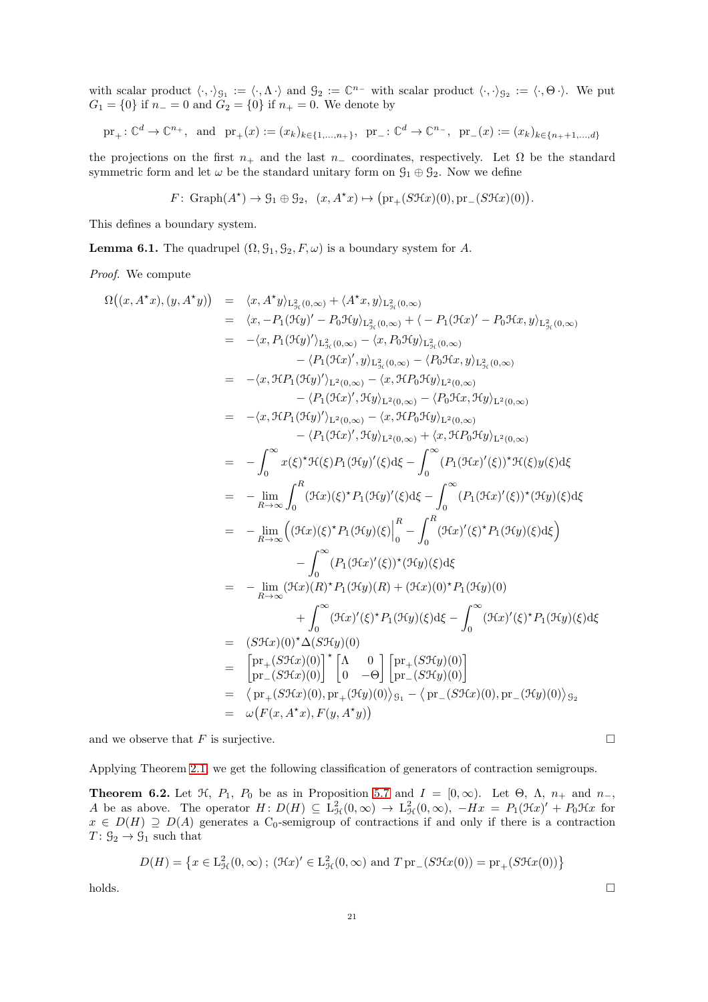with scalar product  $\langle \cdot, \cdot \rangle_{\mathcal{G}_1} := \langle \cdot, \Lambda \cdot \rangle$  and  $\mathcal{G}_2 := \mathbb{C}^{n_-}$  with scalar product  $\langle \cdot, \cdot \rangle_{\mathcal{G}_2} := \langle \cdot, \Theta \cdot \rangle$ . We put  $G_1 = \{0\}$  if  $n_+ = 0$  and  $G_2 = \{0\}$  if  $n_+ = 0$ . We denote by

$$
\text{pr}_{+}: \mathbb{C}^{d} \to \mathbb{C}^{n_{+}}, \text{ and } \text{pr}_{+}(x) := (x_{k})_{k \in \{1, ..., n_{+}\}}, \text{pr}_{-}: \mathbb{C}^{d} \to \mathbb{C}^{n_{-}}, \text{pr}_{-}(x) := (x_{k})_{k \in \{n_{+}+1, ..., d\}}
$$

the projections on the first  $n_+$  and the last  $n_-\,$  coordinates, respectively. Let  $\Omega$  be the standard symmetric form and let  $\omega$  be the standard unitary form on  $\mathcal{G}_1 \oplus \mathcal{G}_2$ . Now we define

$$
F: \text{Graph}(A^*) \to \mathcal{G}_1 \oplus \mathcal{G}_2, \ \ (x, A^*x) \mapsto (\text{pr}_+(S\mathcal{H}x)(0), \text{pr}_-(S\mathcal{H}x)(0)).
$$

This defines a boundary system.

<span id="page-20-0"></span>**Lemma 6.1.** The quadrupel  $(\Omega, \mathcal{G}_1, \mathcal{G}_2, F, \omega)$  is a boundary system for A.

Proof. We compute

$$
\Omega((x, A^*x), (y, A^*y)) = \langle x, A^*y \rangle_{L_{\beta_c}(0,\infty)} + \langle A^*x, y \rangle_{L_{\beta_c}(0,\infty)}
$$
\n
$$
= \langle x, -P_1(\mathfrak{H}y)' - P_0\mathfrak{H}y \rangle_{L_{\beta_c}(0,\infty)} + \langle -P_1(\mathfrak{H}x)' - P_0\mathfrak{H}x, y \rangle_{L_{\beta_c}(0,\infty)}
$$
\n
$$
= -\langle x, P_1(\mathfrak{H}y)'\rangle_{L_{\beta_c}(0,\infty)} - \langle x, P_0\mathfrak{H}y \rangle_{L_{\beta_c}(0,\infty)}
$$
\n
$$
- \langle P_1(\mathfrak{H}x')', y \rangle_{L_{\beta_c}(0,\infty)} - \langle P_0\mathfrak{H}x, y \rangle_{L_{\beta_c}(0,\infty)}
$$
\n
$$
= -\langle x, \mathfrak{H}P_1(\mathfrak{H}y)'\rangle_{L^2(0,\infty)} - \langle x, \mathfrak{H}P_0\mathfrak{H}y \rangle_{L^2(0,\infty)}
$$
\n
$$
- \langle P_1(\mathfrak{H}x)', \mathfrak{H}y \rangle_{L^2(0,\infty)} - \langle P_0\mathfrak{H}x, \mathfrak{H}y \rangle_{L^2(0,\infty)}
$$
\n
$$
= -\langle x, \mathfrak{H}P_1(\mathfrak{H}y)'\rangle_{L^2(0,\infty)} - \langle x, \mathfrak{H}P_0\mathfrak{H}y \rangle_{L^2(0,\infty)}
$$
\n
$$
= -\langle P_1(\mathfrak{H}x)', \mathfrak{H}y \rangle_{L^2(0,\infty)} - \langle P_1(\mathfrak{H}x) \rangle_{L^2(0,\infty)}
$$
\n
$$
= -\int_0^\infty x(\xi)^* \mathfrak{H}(\xi) P_1(\mathfrak{H}y)'(\xi) d\xi - \int_0^\infty (P_1(\mathfrak{H}x)'(\xi))^* \mathfrak{H}(\xi) y(\xi) d\xi
$$
\n
$$
= -\lim_{R \to \infty} \int_0^R (\mathfrak{H}x)(\xi)^* P_1(\mathfrak{H
$$

and we observe that F is surjective.  $\Box$ 

Applying Theorem [2.1,](#page-4-0) we get the following classification of generators of contraction semigroups.

<span id="page-20-1"></span>**Theorem 6.2.** Let  $\mathcal{H}$ ,  $P_1$ ,  $P_0$  be as in Proposition [5.7](#page-18-1) and  $I = [0, \infty)$ . Let  $\Theta$ ,  $\Lambda$ ,  $n_+$  and  $n_-$ , A be as above. The operator  $H: D(H) \subseteq L^2_{\mathcal{H}}(0,\infty) \to L^2_{\mathcal{H}}(0,\infty)$ ,  $-Hx = P_1(\mathfrak{H}x)' + P_0\mathfrak{H}x$  for  $x \in D(H) \supseteq D(A)$  generates a C<sub>0</sub>-semigroup of contractions if and only if there is a contraction  $T: \mathcal{G}_2 \to \mathcal{G}_1$  such that

$$
D(H) = \left\{ x \in L_{\mathcal{H}}^2(0,\infty) \, ; \, (\mathcal{H}x)' \in L_{\mathcal{H}}^2(0,\infty) \text{ and } T \operatorname{pr}(S\mathcal{H}x(0)) = \operatorname{pr}(S\mathcal{H}x(0)) \right\}
$$

 $h$ olds.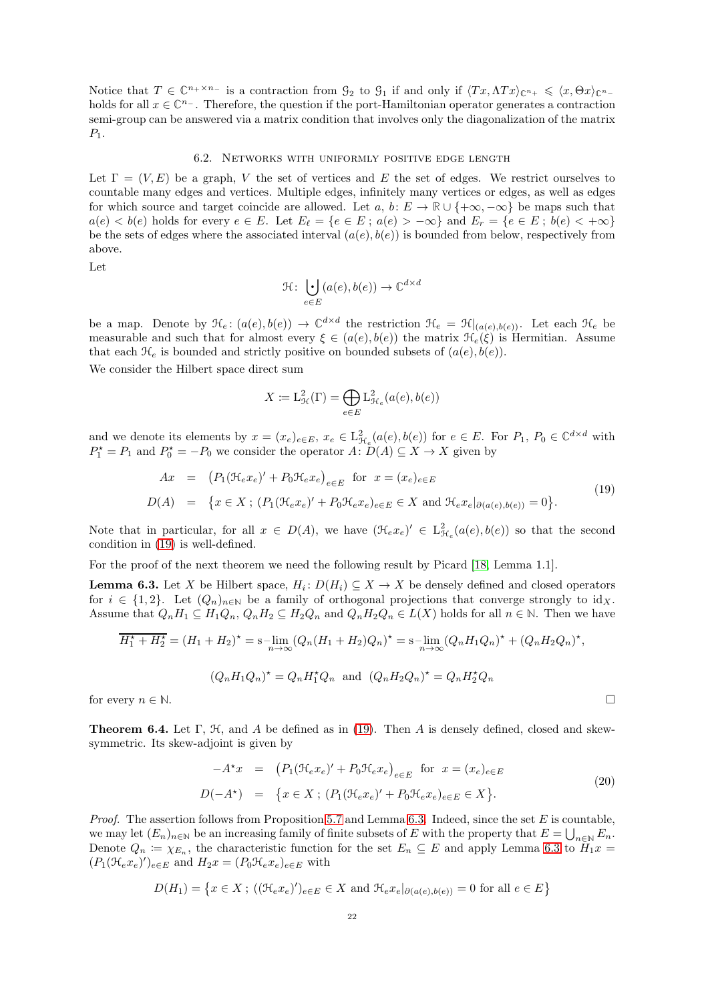<span id="page-21-0"></span>Notice that  $T \in \mathbb{C}^{n_+ \times n_-}$  is a contraction from  $\mathcal{G}_2$  to  $\mathcal{G}_1$  if and only if  $\langle Tx, \Lambda Tx \rangle_{\mathbb{C}^{n_+}} \leq \langle x, \Theta x \rangle_{\mathbb{C}^{n_-}}$ holds for all  $x \in \mathbb{C}^{n-}$ . Therefore, the question if the port-Hamiltonian operator generates a contraction semi-group can be answered via a matrix condition that involves only the diagonalization of the matrix  $P_1$ .

## 6.2. Networks with uniformly positive edge length

Let  $\Gamma = (V, E)$  be a graph, V the set of vertices and E the set of edges. We restrict ourselves to countable many edges and vertices. Multiple edges, infinitely many vertices or edges, as well as edges for which source and target coincide are allowed. Let a, b:  $E \to \mathbb{R} \cup \{+\infty, -\infty\}$  be maps such that  $a(e) < b(e)$  holds for every  $e \in E$ . Let  $E_{\ell} = \{e \in E : a(e) > -\infty\}$  and  $E_r = \{e \in E : b(e) < +\infty\}$ be the sets of edges where the associated interval  $(a(e), b(e))$  is bounded from below, respectively from above.

Let

$$
\mathcal{H}: \bigcup_{e \in E} (a(e), b(e)) \to \mathbb{C}^{d \times d}
$$

be a map. Denote by  $\mathcal{H}_e: (a(e), b(e)) \to \mathbb{C}^{d \times d}$  the restriction  $\mathcal{H}_e = \mathcal{H}|_{(a(e), b(e))}$ . Let each  $\mathcal{H}_e$  be measurable and such that for almost every  $\xi \in (a(e), b(e))$  the matrix  $\mathcal{H}_e(\xi)$  is Hermitian. Assume that each  $\mathcal{H}_e$  is bounded and strictly positive on bounded subsets of  $(a(e), b(e))$ .

We consider the Hilbert space direct sum

$$
X\coloneqq \mathrm{L}^2_{\mathcal{H}}(\Gamma)=\bigoplus_{e\in E}\mathrm{L}^2_{\mathcal{H}_e}(a(e),b(e))
$$

and we denote its elements by  $x = (x_e)_{e \in E}$ ,  $x_e \in L_{\mathcal{H}_e}^2(a(e), b(e))$  for  $e \in E$ . For  $P_1, P_0 \in \mathbb{C}^{d \times d}$  with  $P_1^* = P_1$  and  $P_0^* = -P_0$  we consider the operator  $A: D(A) \subseteq X \to X$  given by

<span id="page-21-1"></span>
$$
Ax = (P_1(\mathfrak{H}_e x_e)' + P_0 \mathfrak{H}_e x_e)_{e \in E} \text{ for } x = (x_e)_{e \in E}
$$
  

$$
D(A) = \{x \in X; (P_1(\mathfrak{H}_e x_e)' + P_0 \mathfrak{H}_e x_e)_{e \in E} \in X \text{ and } \mathfrak{H}_e x_e|_{\partial(a(e), b(e))} = 0\}.
$$
  
(19)

Note that in particular, for all  $x \in D(A)$ , we have  $(\mathcal{H}_e x_e)' \in L^2_{\mathcal{H}_e}(a(e),b(e))$  so that the second condition in [\(19\)](#page-21-1) is well-defined.

For the proof of the next theorem we need the following result by Picard [\[18,](#page-33-15) Lemma 1.1].

<span id="page-21-2"></span>**Lemma 6.3.** Let X be Hilbert space,  $H_i: D(H_i) \subseteq X \to X$  be densely defined and closed operators for  $i \in \{1, 2\}$ . Let  $(Q_n)_{n \in \mathbb{N}}$  be a family of orthogonal projections that converge strongly to  $id_X$ . Assume that  $Q_nH_1 \subseteq H_1Q_n$ ,  $Q_nH_2 \subseteq H_2Q_n$  and  $Q_nH_2Q_n \in L(X)$  holds for all  $n \in \mathbb{N}$ . Then we have

$$
\overline{H}_1^* + \overline{H}_2^* = (H_1 + H_2)^* = \text{s}-\lim_{n \to \infty} (Q_n(H_1 + H_2)Q_n)^* = \text{s}-\lim_{n \to \infty} (Q_nH_1Q_n)^* + (Q_nH_2Q_n)^*,
$$
  

$$
(Q_nH_1Q_n)^* = Q_nH_1^*Q_n \text{ and } (Q_nH_2Q_n)^* = Q_nH_2^*Q_n
$$

for every  $n \in \mathbb{N}$ .

<span id="page-21-3"></span>**Theorem 6.4.** Let  $\Gamma$ ,  $\mathcal{H}$ , and A be defined as in [\(19\)](#page-21-1). Then A is densely defined, closed and skewsymmetric. Its skew-adjoint is given by

$$
-A^*x = (P_1(\mathcal{H}_e x_e)' + P_0 \mathcal{H}_e x_e)_{e \in E} \text{ for } x = (x_e)_{e \in E}
$$
  

$$
D(-A^*) = \{x \in X; (P_1(\mathcal{H}_e x_e)' + P_0 \mathcal{H}_e x_e)_{e \in E} \in X\}.
$$
 (20)

*Proof.* The assertion follows from Proposition [5.7](#page-18-1) and Lemma [6.3.](#page-21-2) Indeed, since the set  $E$  is countable, we may let  $(E_n)_{n\in\mathbb{N}}$  be an increasing family of finite subsets of E with the property that  $E = \bigcup_{n\in\mathbb{N}} E_n$ . Denote  $Q_n = \chi_{E_n}$ , the characteristic function for the set  $E_n \subseteq E$  and apply Lemma [6.3](#page-21-2) to  $H_1x =$  $(P_1(\mathcal{H}_e x_e)')_{e \in E}$  and  $H_2 x = (P_0 \mathcal{H}_e x_e)_{e \in E}$  with

$$
D(H_1) = \{ x \in X ; ((\mathfrak{H}_e x_e)')_{e \in E} \in X \text{ and } \mathfrak{H}_e x_e |_{\partial(a(e), b(e))} = 0 \text{ for all } e \in E \}
$$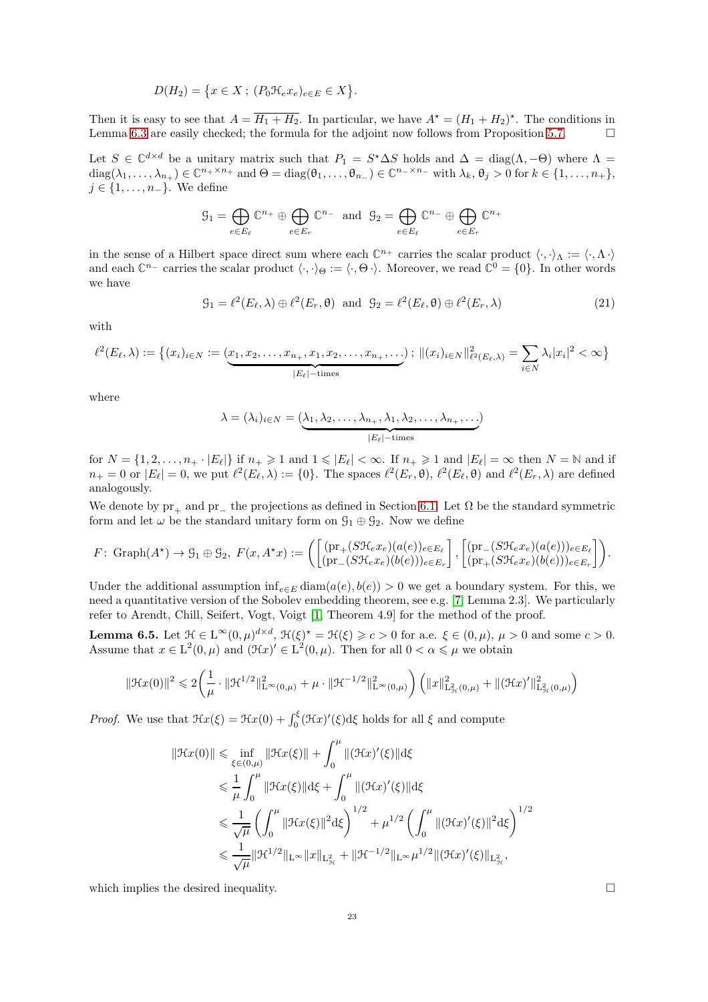$$
D(H_2) = \{x \in X; (P_0 \mathcal{H}_e x_e)_{e \in E} \in X\}.
$$

Then it is easy to see that  $A = \overline{H_1 + H_2}$ . In particular, we have  $A^* = (H_1 + H_2)^*$ . The conditions in Lemma [6.3](#page-21-2) are easily checked; the formula for the adjoint now follows from Proposition [5.7.](#page-18-1)  $\Box$ 

Let  $S \in \mathbb{C}^{d \times d}$  be a unitary matrix such that  $P_1 = S^* \Delta S$  holds and  $\Delta = \text{diag}(\Lambda, -\Theta)$  where  $\Lambda =$  $\text{diag}(\lambda_1, \ldots, \lambda_{n_+}) \in \mathbb{C}^{n_+ \times n_+}$  and  $\Theta = \text{diag}(\theta_1, \ldots, \theta_{n_-}) \in \mathbb{C}^{n_- \times n_-}$  with  $\lambda_k, \theta_j > 0$  for  $k \in \{1, \ldots, n_+\},$  $j \in \{1, \ldots, n_{-}\}.$  We define

$$
\mathcal{G}_1 = \bigoplus_{e \in E_\ell} \mathbb{C}^{n_+} \oplus \bigoplus_{e \in E_r} \mathbb{C}^{n_-} \text{ and } \mathcal{G}_2 = \bigoplus_{e \in E_\ell} \mathbb{C}^{n_-} \oplus \bigoplus_{e \in E_r} \mathbb{C}^{n_+}
$$

in the sense of a Hilbert space direct sum where each  $\mathbb{C}^{n_+}$  carries the scalar product  $\langle \cdot, \cdot \rangle_{\Lambda} := \langle \cdot, \Lambda \cdot \rangle$ and each  $\mathbb{C}^{n-}$  carries the scalar product  $\langle \cdot, \cdot \rangle_{\Theta} := \langle \cdot, \Theta \cdot \rangle$ . Moreover, we read  $\mathbb{C}^0 = \{0\}$ . In other words we have

<span id="page-22-1"></span>
$$
G_1 = \ell^2(E_\ell, \lambda) \oplus \ell^2(E_r, \theta) \text{ and } G_2 = \ell^2(E_\ell, \theta) \oplus \ell^2(E_r, \lambda)
$$
\n(21)

with

$$
\ell^2(E_{\ell}, \lambda) := \left\{ (x_i)_{i \in N} := \underbrace{(x_1, x_2, \dots, x_{n_+}, x_1, x_2, \dots, x_{n_+}, \dots)}_{|E_{\ell}|-\text{times}} : \|(x_i)_{i \in N}\|_{\ell^2(E_{\ell}, \lambda)}^2 = \sum_{i \in N} \lambda_i |x_i|^2 < \infty \right\}
$$

where

$$
\lambda = (\lambda_i)_{i \in N} = (\underbrace{\lambda_1, \lambda_2, \dots, \lambda_{n_+}, \lambda_1, \lambda_2, \dots, \lambda_{n_+}, \dots}_{|E_{\ell}|-\text{times}})
$$

for  $N = \{1, 2, \ldots, n_{+} \cdot |E_{\ell}|\}$  if  $n_{+} \geq 1$  and  $1 \leq |E_{\ell}| < \infty$ . If  $n_{+} \geq 1$  and  $|E_{\ell}| = \infty$  then  $N = \mathbb{N}$  and if  $n_+ = 0$  or  $|E_\ell| = 0$ , we put  $\ell^2(E_\ell, \lambda) := \{0\}$ . The spaces  $\ell^2(E_r, \theta)$ ,  $\ell^2(E_\ell, \theta)$  and  $\ell^2(E_r, \lambda)$  are defined analogously.

We denote by  $pr_+$  and  $pr_-$  the projections as defined in Section [6.1.](#page-19-1) Let  $\Omega$  be the standard symmetric form and let  $\omega$  be the standard unitary form on  $\mathcal{G}_1 \oplus \mathcal{G}_2$ . Now we define

$$
F: \text{Graph}(A^*) \to \mathcal{G}_1 \oplus \mathcal{G}_2, \ F(x, A^*x) := \left( \begin{bmatrix} (\text{pr}_+(S\mathcal{H}_e x_e)(a(e))_{e \in E_\ell} \\ (\text{pr}_-(S\mathcal{H}_e x_e)(b(e)))_{e \in E_r} \end{bmatrix}, \begin{bmatrix} (\text{pr}_-(S\mathcal{H}_e x_e)(a(e)))_{e \in E_\ell} \\ (\text{pr}_+(S\mathcal{H}_e x_e)(b(e)))_{e \in E_r} \end{bmatrix} \right).
$$

Under the additional assumption  $inf_{e \in E}$  diam $(a(e), b(e)) > 0$  we get a boundary system. For this, we need a quantitative version of the Sobolev embedding theorem, see e.g. [\[7,](#page-32-7) Lemma 2.3]. We particularly refer to Arendt, Chill, Seifert, Vogt, Voigt [\[1,](#page-32-11) Theorem 4.9] for the method of the proof.

<span id="page-22-0"></span>**Lemma 6.5.** Let  $\mathcal{H} \in L^{\infty}(0, \mu)^{d \times d}$ ,  $\mathcal{H}(\xi)^* = \mathcal{H}(\xi) \geqslant c > 0$  for a.e.  $\xi \in (0, \mu)$ ,  $\mu > 0$  and some  $c > 0$ . Assume that  $x \in L^2(0, \mu)$  and  $(\mathcal{H}x)' \in L^2(0, \mu)$ . Then for all  $0 < \alpha \leq \mu$  we obtain

$$
\|\mathcal{H}x(0)\|^2 \leqslant 2\bigg(\frac{1}{\mu}\cdot\|\mathcal{H}^{1/2}\|_{\mathrm{L}^{\infty}(0,\mu)}^2+\mu\cdot\|\mathcal{H}^{-1/2}\|_{\mathrm{L}^{\infty}(0,\mu)}^2\bigg)\left(\|x\|_{\mathrm{L}^2_{\mathcal{H}}(0,\mu)}^2+\|(\mathcal{H}x)'\|_{\mathrm{L}^2_{\mathcal{H}}(0,\mu)}^2\right)
$$

*Proof.* We use that  $\mathcal{H}x(\xi) = \mathcal{H}x(0) + \int_0^{\xi} (\mathcal{H}x)'(\xi) d\xi$  holds for all  $\xi$  and compute

$$
\|\mathcal{H}x(0)\| \leq \inf_{\xi \in (0,\mu)} \|\mathcal{H}x(\xi)\| + \int_0^{\mu} \|(\mathcal{H}x)'(\xi)\| d\xi
$$
  
\n
$$
\leq \frac{1}{\mu} \int_0^{\mu} \|\mathcal{H}x(\xi)\| d\xi + \int_0^{\mu} \|(\mathcal{H}x)'(\xi)\| d\xi
$$
  
\n
$$
\leq \frac{1}{\sqrt{\mu}} \left(\int_0^{\mu} \|\mathcal{H}x(\xi)\|^2 d\xi\right)^{1/2} + \mu^{1/2} \left(\int_0^{\mu} \|(\mathcal{H}x)'(\xi)\|^2 d\xi\right)^{1/2}
$$
  
\n
$$
\leq \frac{1}{\sqrt{\mu}} \|\mathcal{H}^{1/2}\|_{L^{\infty}} \|x\|_{L^2_{\mathcal{H}}} + \|\mathcal{H}^{-1/2}\|_{L^{\infty}} \mu^{1/2} \|(\mathcal{H}x)'(\xi)\|_{L^2_{\mathcal{H}}},
$$

which implies the desired inequality.  $\Box$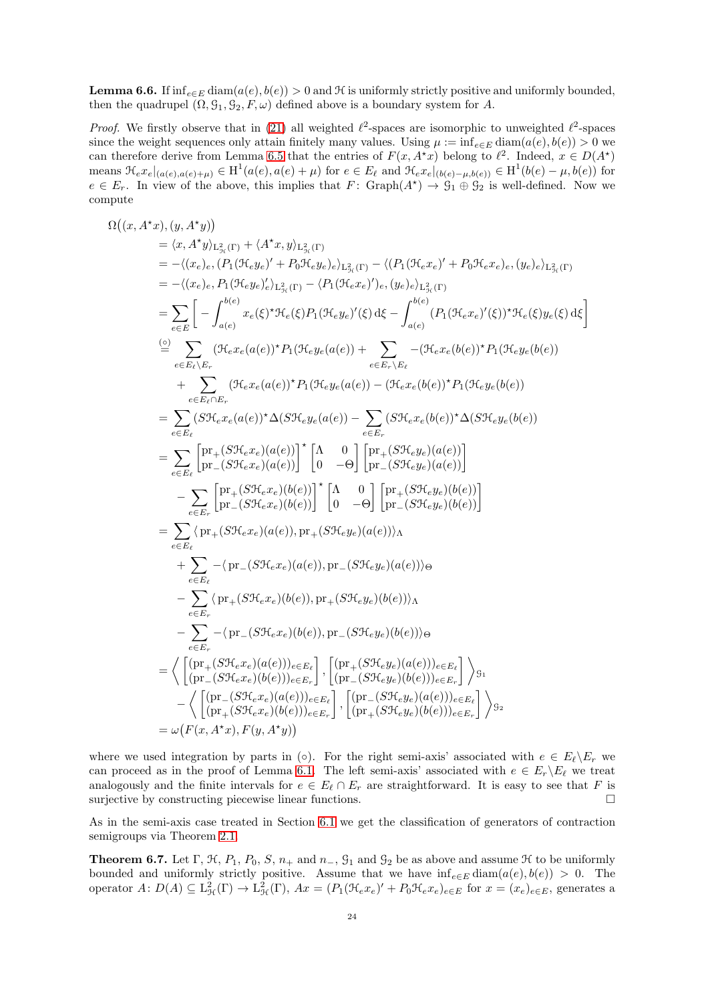**Lemma 6.6.** If  $inf_{e \in E}$  diam $(a(e), b(e)) > 0$  and H is uniformly strictly positive and uniformly bounded, then the quadrupel  $(\Omega, \mathcal{G}_1, \mathcal{G}_2, F, \omega)$  defined above is a boundary system for A.

*Proof.* We firstly observe that in [\(21\)](#page-22-1) all weighted  $\ell^2$ -spaces are isomorphic to unweighted  $\ell^2$ -spaces since the weight sequences only attain finitely many values. Using  $\mu := \inf_{e \in E} \text{diam}(a(e), b(e)) > 0$  we can therefore derive from Lemma [6.5](#page-22-0) that the entries of  $F(x, A^*x)$  belong to  $\ell^2$ . Indeed,  $x \in D(A^*)$ means  $\mathcal{H}_e x_e|_{(a(e),a(e)+\mu)} \in H^1(a(e),a(e)+\mu)$  for  $e \in E_\ell$  and  $\mathcal{H}_e x_e|_{(b(e)-\mu,b(e))} \in H^1(b(e)-\mu,b(e))$  for  $e \in E_r$ . In view of the above, this implies that  $F: \text{Graph}(A^*) \to \mathcal{G}_1 \oplus \mathcal{G}_2$  is well-defined. Now we compute

$$
\Omega((x, A^*x), (y, A^*y))
$$
\n
$$
= \langle x, A^*y \rangle_{L_{2r}^2(\Gamma)} + \langle A^*x, y \rangle_{L_{2r}^2(\Gamma)}
$$
\n
$$
= - \langle (x_e)_e, (P_1(\mathcal{H}_e y_e)' + P_0 \mathcal{H}_e y_e)_e \rangle_{L_{2r}^2(\Gamma)} - \langle (P_1(\mathcal{H}_e x_e)' + P_0 \mathcal{H}_e x_e)_e, (y_e)_e \rangle_{L_{2r}^2(\Gamma)}
$$
\n
$$
= - \langle (x_e)_e, P_1(\mathcal{H}_e y_e)'_e \rangle_{L_{2r}^2(\Gamma)} - \langle P_1(\mathcal{H}_e x_e)'_e, (y_e)_e \rangle_{L_{2r}^2(\Gamma)}
$$
\n
$$
= \sum_{e \in E} \left[ - \int_{a(e)}^{b(e)} x_e(\xi)^* \mathcal{H}_e(\xi) P_1(\mathcal{H}_e y_e)'(\xi) d\xi - \int_{a(e)}^{b(e)} (P_1(\mathcal{H}_e x_e)'(\xi))^* \mathcal{H}_e(\xi) y_e(\xi) d\xi \right]
$$
\n
$$
\stackrel{(a)}{=} \sum_{e \in E_k \setminus E_r} (\mathcal{H}_e x_e(a(e))^* P_1(\mathcal{H}_e y_e(a(e)) + \sum_{e \in E_r \setminus E_\ell} - (\mathcal{H}_e x_e(b(e))^* P_1(\mathcal{H}_e y_e(b(e)))
$$
\n
$$
+ \sum_{e \in E_\ell \setminus E_r} (\mathcal{H}_e x_e(a(e))^* P_1(\mathcal{H}_e y_e(a(e)) - \langle \mathcal{H}_e x_e(b(e))^* P_1(\mathcal{H}_e y_e(b(e)))
$$
\n
$$
= \sum_{e \in E_\ell} \left[ \text{pr}_+(S \mathcal{H}_e x_e)(a(e)) \right]^* \left[ \Lambda - 0 \right] \left[ \text{pr}_+(S \mathcal{H}_e y_e)(a(e)) \right]
$$
\n
$$
- \sum_{e \in E_\ell} \left[ \text{pr}_+(S \mathcal{H}_e x_e)(a(e)) \right]^* \left[ \Lambda - 0 \right] \left[ \text{pr}_+(S \mathcal{H}_e y_e)(a(e)) \right]
$$
\n
$$
- \sum_{e \in E_\
$$

where we used integration by parts in (◦). For the right semi-axis' associated with  $e \in E_{\ell} \backslash E_r$  we can proceed as in the proof of Lemma [6.1.](#page-20-0) The left semi-axis' associated with  $e \in E_r \backslash E_\ell$  we treat analogously and the finite intervals for  $e \in E_{\ell} \cap E_r$  are straightforward. It is easy to see that F is surjective by constructing piecewise linear functions. surjective by constructing piecewise linear functions.

As in the semi-axis case treated in Section [6.1](#page-19-1) we get the classification of generators of contraction semigroups via Theorem [2.1.](#page-4-0)

<span id="page-23-0"></span>**Theorem 6.7.** Let  $\Gamma$ ,  $\mathcal{H}$ ,  $P_1$ ,  $P_0$ ,  $S$ ,  $n_+$  and  $n_-,$   $\mathcal{G}_1$  and  $\mathcal{G}_2$  be as above and assume  $\mathcal{H}$  to be uniformly bounded and uniformly strictly positive. Assume that we have  $inf_{e \in E}$  diam $(a(e), b(e)) > 0$ . The operator  $A: D(A) \subseteq L^2_{\mathcal{H}}(\Gamma) \to L^2_{\mathcal{H}}(\Gamma)$ ,  $Ax = (P_1(\mathcal{H}_e x_e)' + P_0 \mathcal{H}_e x_e)_{e \in E}$  for  $x = (x_e)_{e \in E}$ , generates a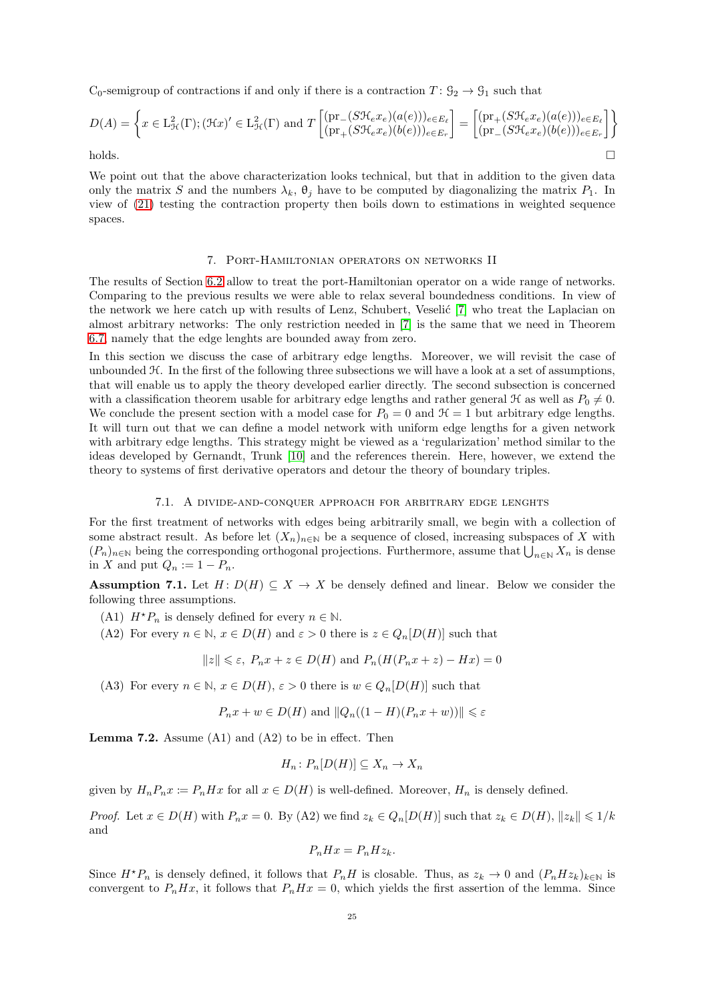C<sub>0</sub>-semigroup of contractions if and only if there is a contraction  $T: \mathcal{G}_2 \to \mathcal{G}_1$  such that

$$
D(A) = \left\{ x \in \mathcal{L}^2_{\mathcal{H}}(\Gamma); (\mathcal{H}x)' \in \mathcal{L}^2_{\mathcal{H}}(\Gamma) \text{ and } T \begin{bmatrix} (\text{pr}_{-}(S\mathcal{H}_e x_e)(a(e)))_{e \in E_{\ell}} \\ (\text{pr}_{+}(S\mathcal{H}_e x_e)(b(e)))_{e \in E_{r}} \end{bmatrix} = \begin{bmatrix} (\text{pr}_{+}(S\mathcal{H}_e x_e)(a(e)))_{e \in E_{\ell}} \\ (\text{pr}_{-}(S\mathcal{H}_e x_e)(b(e)))_{e \in E_{r}} \end{bmatrix} \right\}
$$
 holds.

<span id="page-24-0"></span>We point out that the above characterization looks technical, but that in addition to the given data only the matrix S and the numbers  $\lambda_k$ ,  $\theta_j$  have to be computed by diagonalizing the matrix  $P_1$ . In view of [\(21\)](#page-22-1) testing the contraction property then boils down to estimations in weighted sequence spaces.

#### 7. Port-Hamiltonian operators on networks II

The results of Section [6.2](#page-21-0) allow to treat the port-Hamiltonian operator on a wide range of networks. Comparing to the previous results we were able to relax several boundedness conditions. In view of the network we here catch up with results of Lenz, Schubert, Veselić [\[7\]](#page-32-7) who treat the Laplacian on almost arbitrary networks: The only restriction needed in [\[7\]](#page-32-7) is the same that we need in Theorem [6.7,](#page-23-0) namely that the edge lenghts are bounded away from zero.

In this section we discuss the case of arbitrary edge lengths. Moreover, we will revisit the case of unbounded H. In the first of the following three subsections we will have a look at a set of assumptions, that will enable us to apply the theory developed earlier directly. The second subsection is concerned with a classification theorem usable for arbitrary edge lengths and rather general  $\mathcal{H}$  as well as  $P_0 \neq 0$ . We conclude the present section with a model case for  $P_0 = 0$  and  $\mathcal{H} = 1$  but arbitrary edge lengths. It will turn out that we can define a model network with uniform edge lengths for a given network with arbitrary edge lengths. This strategy might be viewed as a 'regularization' method similar to the ideas developed by Gernandt, Trunk [\[10\]](#page-32-8) and the references therein. Here, however, we extend the theory to systems of first derivative operators and detour the theory of boundary triples.

## 7.1. A divide-and-conquer approach for arbitrary edge lenghts

<span id="page-24-1"></span>For the first treatment of networks with edges being arbitrarily small, we begin with a collection of some abstract result. As before let  $(X_n)_{n\in\mathbb{N}}$  be a sequence of closed, increasing subspaces of X with  $(P_n)_{n\in\mathbb{N}}$  being the corresponding orthogonal projections. Furthermore, assume that  $\bigcup_{n\in\mathbb{N}} X_n$  is dense in X and put  $Q_n := 1 - P_n$ .

<span id="page-24-3"></span>**Assumption 7.1.** Let  $H: D(H) \subseteq X \to X$  be densely defined and linear. Below we consider the following three assumptions.

- (A1)  $H^*P_n$  is densely defined for every  $n \in \mathbb{N}$ .
- (A2) For every  $n \in \mathbb{N}$ ,  $x \in D(H)$  and  $\varepsilon > 0$  there is  $z \in Q_n[D(H)]$  such that

$$
||z|| \le \varepsilon
$$
,  $P_n x + z \in D(H)$  and  $P_n(H(P_n x + z) - Hx) = 0$ 

(A3) For every  $n \in \mathbb{N}$ ,  $x \in D(H)$ ,  $\varepsilon > 0$  there is  $w \in Q_n[D(H)]$  such that

$$
P_n x + w \in D(H)
$$
 and  $||Q_n((1 - H)(P_n x + w))|| \le \varepsilon$ 

<span id="page-24-2"></span>**Lemma 7.2.** Assume  $(A1)$  and  $(A2)$  to be in effect. Then

$$
H_n\colon P_n[D(H)]\subseteq X_n\to X_n
$$

given by  $H_nP_nx := P_nHx$  for all  $x \in D(H)$  is well-defined. Moreover,  $H_n$  is densely defined.

*Proof.* Let  $x \in D(H)$  with  $P_n x = 0$ . By (A2) we find  $z_k \in Q_n[D(H)]$  such that  $z_k \in D(H)$ ,  $||z_k|| \leq 1/k$ and

$$
P_n H x = P_n H z_k.
$$

Since  $H^*P_n$  is densely defined, it follows that  $P_nH$  is closable. Thus, as  $z_k \to 0$  and  $(P_nHz_k)_{k\in\mathbb{N}}$  is convergent to  $P_nHx$ , it follows that  $P_nHx = 0$ , which yields the first assertion of the lemma. Since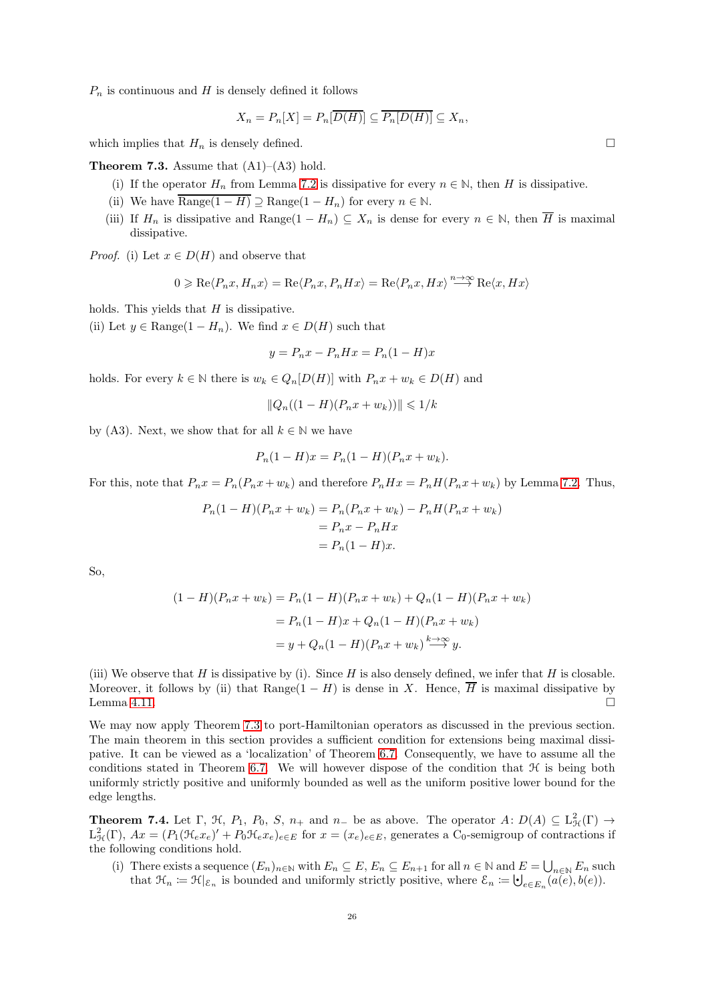$P_n$  is continuous and H is densely defined it follows

$$
X_n = P_n[X] = P_n[\overline{D(H)}] \subseteq \overline{P_n[D(H)]} \subseteq X_n,
$$

which implies that  $H_n$  is densely defined.

<span id="page-25-1"></span>**Theorem 7.3.** Assume that  $(A1)$ – $(A3)$  hold.

- (i) If the operator  $H_n$  from Lemma [7.2](#page-24-2) is dissipative for every  $n \in \mathbb{N}$ , then H is dissipative.
- (ii) We have  $\overline{\text{Range}(1-H)} \supseteq \text{Range}(1-H_n)$  for every  $n \in \mathbb{N}$ .
- (iii) If  $H_n$  is dissipative and Range(1  $H_n$ )  $\subseteq X_n$  is dense for every  $n \in \mathbb{N}$ , then  $\overline{H}$  is maximal dissipative.

*Proof.* (i) Let  $x \in D(H)$  and observe that

$$
0\geqslant \mathrm{Re}\langle P_nx,H_nx\rangle=\mathrm{Re}\langle P_nx,P_nHx\rangle=\mathrm{Re}\langle P_nx,Hx\rangle\stackrel{n\rightarrow\infty}{\longrightarrow}\mathrm{Re}\langle x,Hx\rangle
$$

holds. This yields that  $H$  is dissipative.

(ii) Let  $y \in \text{Range}(1 - H_n)$ . We find  $x \in D(H)$  such that

$$
y = P_n x - P_n H x = P_n (1 - H)x
$$

holds. For every  $k \in \mathbb{N}$  there is  $w_k \in Q_n[D(H)]$  with  $P_nx + w_k \in D(H)$  and

$$
||Q_n((1 - H)(P_n x + w_k))|| \le 1/k
$$

by (A3). Next, we show that for all  $k \in \mathbb{N}$  we have

$$
P_n(1 - H)x = P_n(1 - H)(P_n x + w_k).
$$

For this, note that  $P_n x = P_n(P_n x + w_k)$  and therefore  $P_n H x = P_n H(P_n x + w_k)$  by Lemma [7.2.](#page-24-2) Thus,

$$
P_n(1 - H)(P_n x + w_k) = P_n(P_n x + w_k) - P_n H(P_n x + w_k)
$$

$$
= P_n x - P_n H x
$$

$$
= P_n (1 - H) x.
$$

So,

$$
(1 - H)(P_n x + w_k) = P_n(1 - H)(P_n x + w_k) + Q_n(1 - H)(P_n x + w_k)
$$
  
=  $P_n(1 - H)x + Q_n(1 - H)(P_n x + w_k)$   
=  $y + Q_n(1 - H)(P_n x + w_k) \xrightarrow{k \to \infty} y.$ 

(iii) We observe that H is dissipative by (i). Since H is also densely defined, we infer that H is closable. Moreover, it follows by (ii) that Range(1 – H) is dense in X. Hence,  $\overline{H}$  is maximal dissipative by Lemma 4.11 Lemma [4.11.](#page-12-1)

We may now apply Theorem [7.3](#page-25-1) to port-Hamiltonian operators as discussed in the previous section. The main theorem in this section provides a sufficient condition for extensions being maximal dissipative. It can be viewed as a 'localization' of Theorem [6.7.](#page-23-0) Consequently, we have to assume all the conditions stated in Theorem [6.7.](#page-23-0) We will however dispose of the condition that  $H$  is being both uniformly strictly positive and uniformly bounded as well as the uniform positive lower bound for the edge lengths.

<span id="page-25-0"></span>**Theorem 7.4.** Let  $\Gamma$ ,  $\mathcal{H}$ ,  $P_1$ ,  $P_0$ ,  $S$ ,  $n_+$  and  $n_-$  be as above. The operator  $A: D(A) \subseteq L^2_{\mathcal{H}}(\Gamma) \to$  $L_{\mathcal{H}}^2(\Gamma)$ ,  $Ax = (P_1(\mathcal{H}_e x_e)' + P_0 \mathcal{H}_e x_e)_{e \in E}$  for  $x = (x_e)_{e \in E}$ , generates a  $C_0$ -semigroup of contractions if the following conditions hold.

(i) There exists a sequence  $(E_n)_{n\in\mathbb{N}}$  with  $E_n \subseteq E$ ,  $E_n \subseteq E_{n+1}$  for all  $n \in \mathbb{N}$  and  $E = \bigcup_{n\in\mathbb{N}} E_n$  such that  $\mathcal{H}_n := \mathcal{H}|_{\mathcal{E}_n}$  is bounded and uniformly strictly positive, where  $\mathcal{E}_n := \bigcup_{e \in E_n} (a(e), b(e)).$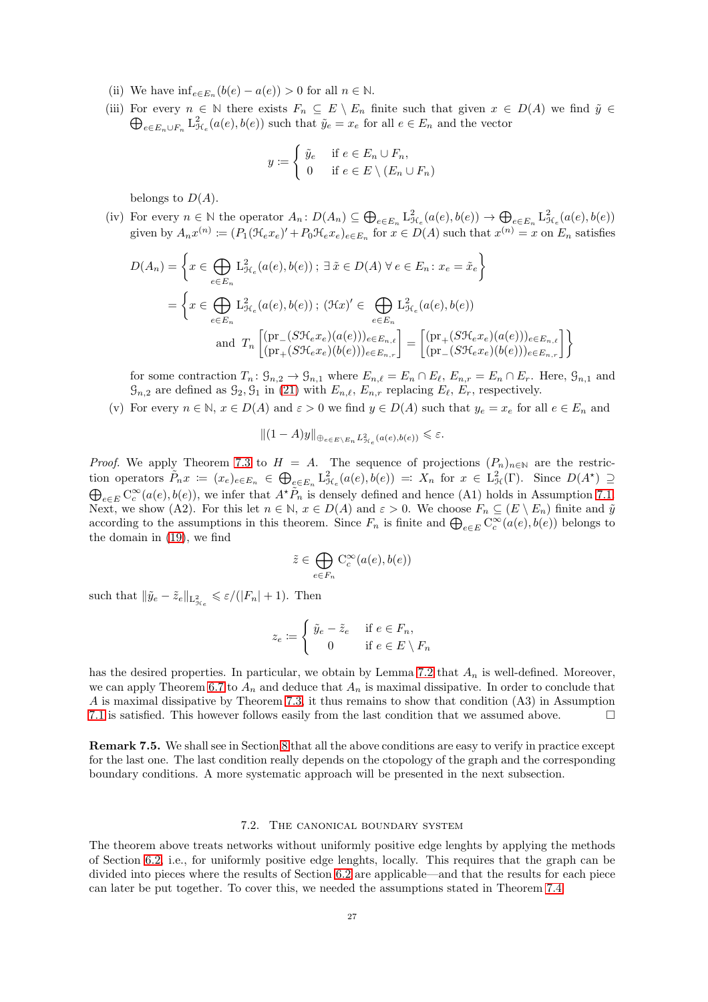- (ii) We have  $\inf_{e \in E_n} (b(e) a(e)) > 0$  for all  $n \in \mathbb{N}$ .
- (iii) For every  $n \in \mathbb{N}$  there exists  $F_n \subseteq E \setminus E_n$  finite such that given  $x \in D(A)$  we find  $\tilde{y} \in$  $\bigoplus_{e \in E_n \cup F_n} L^2_{\mathcal{H}_e}(a(e), b(e))$  such that  $\tilde{y}_e = x_e$  for all  $e \in E_n$  and the vector

$$
y := \begin{cases} \tilde{y}_e & \text{if } e \in E_n \cup F_n, \\ 0 & \text{if } e \in E \setminus (E_n \cup F_n) \end{cases}
$$

belongs to  $D(A)$ .

(iv) For every  $n \in \mathbb{N}$  the operator  $A_n: D(A_n) \subseteq \bigoplus_{e \in E_n} L^2_{\mathcal{H}_e}(a(e), b(e)) \to \bigoplus_{e \in E_n} L^2_{\mathcal{H}_e}(a(e), b(e))$ given by  $A_n x^{(n)} := (P_1(\mathcal{H}_e x_e)' + P_0 \mathcal{H}_e x_e)_{e \in E_n}$  for  $x \in D(A)$  such that  $x^{(n)} = x$  on  $E_n$  satisfies

$$
D(A_n) = \left\{ x \in \bigoplus_{e \in E_n} L_{\mathcal{H}_e}^2(a(e), b(e)) ; \exists \tilde{x} \in D(A) \ \forall e \in E_n : x_e = \tilde{x}_e \right\}
$$

$$
= \left\{ x \in \bigoplus_{e \in E_n} L_{\mathcal{H}_e}^2(a(e), b(e)) ; (\mathcal{H}x)' \in \bigoplus_{e \in E_n} L_{\mathcal{H}_e}^2(a(e), b(e))
$$

$$
= \left\{ x \in \bigoplus_{e \in E_n} L_{\mathcal{H}_e}^2(a(e), b(e)) ; (\mathcal{H}x)' \in \bigoplus_{e \in E_n} L_{\mathcal{H}_e}^2(a(e), b(e)) \right\}
$$

$$
= \left[ \left( \text{pr}_{+}(S\mathcal{H}_e x_e)(b(e)) \right)_{e \in E_n, r} \right] = \left[ \left( \text{pr}_{-}(S\mathcal{H}_e x_e)(b(e)) \right)_{e \in E_n, r} \right] \right\}
$$

for some contraction  $T_n: \mathcal{G}_{n,2} \to \mathcal{G}_{n,1}$  where  $E_{n,\ell} = E_n \cap E_\ell$ ,  $E_{n,r} = E_n \cap E_r$ . Here,  $\mathcal{G}_{n,1}$  and  $\mathcal{G}_{n,2}$  are defined as  $\mathcal{G}_2$ ,  $\mathcal{G}_1$  in [\(21\)](#page-22-1) with  $E_{n,\ell}$ ,  $E_{n,r}$  replacing  $E_{\ell}$ ,  $E_r$ , respectively.

(v) For every  $n \in \mathbb{N}$ ,  $x \in D(A)$  and  $\varepsilon > 0$  we find  $y \in D(A)$  such that  $y_e = x_e$  for all  $e \in E_n$  and

$$
||(1-A)y||_{\bigoplus_{e\in E\setminus E_n}L^2_{\mathcal{H}_e}(a(e),b(e))}\leq \varepsilon.
$$

*Proof.* We apply Theorem [7.3](#page-25-1) to  $H = A$ . The sequence of projections  $(P_n)_{n\in\mathbb{N}}$  are the restriction operators  $\tilde{P}_n x := (x_e)_{e \in E_n} \in \bigoplus_{e \in E_n} L^2_{\mathcal{H}_e}(a(e), b(e)) =: X_n$  for  $x \in L^2_{\mathcal{H}}(\Gamma)$ . Since  $D(A^*) \supseteq$  $\bigoplus_{e\in E} C_c^{\infty}(a(e),b(e))$ , we infer that  $A^{\star}\tilde{P}_n$  is densely defined and hence (A1) holds in Assumption [7.1.](#page-24-3) Next, we show (A2). For this let  $n \in \mathbb{N}$ ,  $x \in D(A)$  and  $\varepsilon > 0$ . We choose  $F_n \subseteq (E \setminus E_n)$  finite and  $\tilde{y}$ according to the assumptions in this theorem. Since  $F_n$  is finite and  $\bigoplus_{e\in E} C_c^{\infty}(a(e), b(e))$  belongs to the domain in [\(19\)](#page-21-1), we find

$$
\tilde{z}\in \bigoplus_{e\in F_n}\mathcal{C}_c^\infty(a(e),b(e))
$$

such that  $\|\tilde{y}_e - \tilde{z}_e\|_{\mathcal{L}^2_{\mathcal{H}_e}} \leqslant \varepsilon/(|F_n| + 1)$ . Then

$$
z_e := \begin{cases} \tilde{y}_e - \tilde{z}_e & \text{if } e \in F_n, \\ 0 & \text{if } e \in E \setminus F_n \end{cases}
$$

has the desired properties. In particular, we obtain by Lemma [7.2](#page-24-2) that  $A_n$  is well-defined. Moreover, we can apply Theorem [6.7](#page-23-0) to  $A_n$  and deduce that  $A_n$  is maximal dissipative. In order to conclude that A is maximal dissipative by Theorem [7.3,](#page-25-1) it thus remains to show that condition (A3) in Assumption [7.1](#page-24-3) is satisfied. This however follows easily from the last condition that we assumed above.  $\Box$ 

<span id="page-26-0"></span>Remark 7.5. We shall see in Section [8](#page-29-0) that all the above conditions are easy to verify in practice except for the last one. The last condition really depends on the ctopology of the graph and the corresponding boundary conditions. A more systematic approach will be presented in the next subsection.

## 7.2. The canonical boundary system

The theorem above treats networks without uniformly positive edge lenghts by applying the methods of Section [6.2,](#page-21-0) i.e., for uniformly positive edge lenghts, locally. This requires that the graph can be divided into pieces where the results of Section [6.2](#page-21-0) are applicable—and that the results for each piece can later be put together. To cover this, we needed the assumptions stated in Theorem [7.4.](#page-25-0)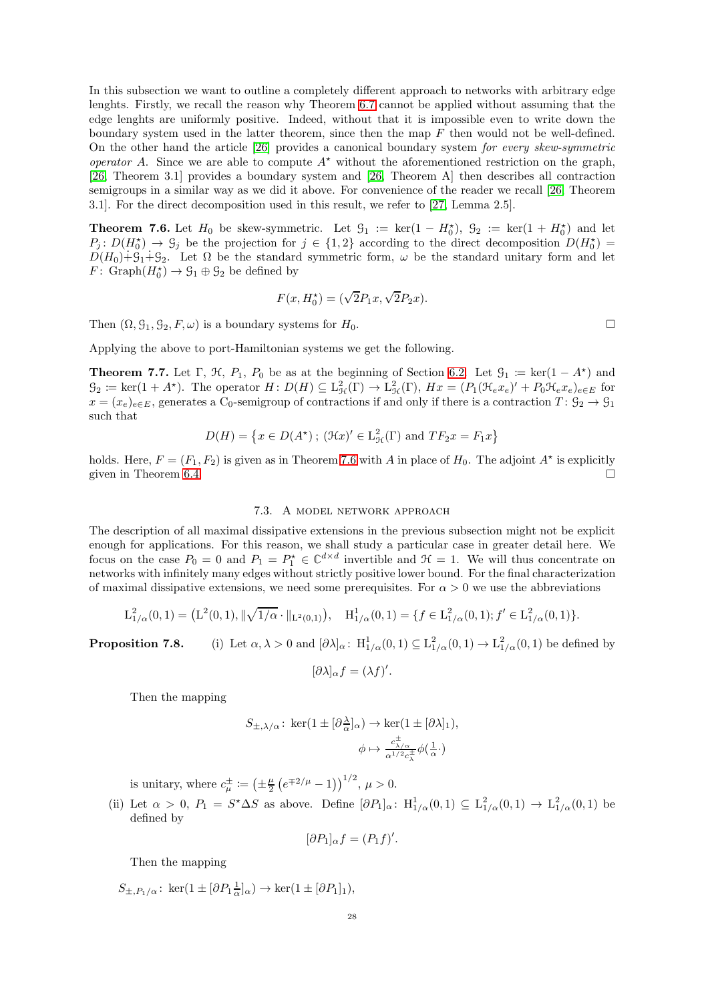In this subsection we want to outline a completely different approach to networks with arbitrary edge lenghts. Firstly, we recall the reason why Theorem [6.7](#page-23-0) cannot be applied without assuming that the edge lenghts are uniformly positive. Indeed, without that it is impossible even to write down the boundary system used in the latter theorem, since then the map  $F$  then would not be well-defined. On the other hand the article [\[26\]](#page-33-6) provides a canonical boundary system for every skew-symmetric operator A. Since we are able to compute  $A^*$  without the aforementioned restriction on the graph, [\[26,](#page-33-6) Theorem 3.1] provides a boundary system and [\[26,](#page-33-6) Theorem A] then describes all contraction semigroups in a similar way as we did it above. For convenience of the reader we recall [\[26,](#page-33-6) Theorem 3.1]. For the direct decomposition used in this result, we refer to [\[27,](#page-33-9) Lemma 2.5].

<span id="page-27-2"></span>**Theorem 7.6.** Let  $H_0$  be skew-symmetric. Let  $\mathcal{G}_1 := \ker(1 - H_0^*), \mathcal{G}_2 := \ker(1 + H_0^*)$  and let  $P_j: D(H_0^*) \to \mathcal{G}_j$  be the projection for  $j \in \{1,2\}$  according to the direct decomposition  $D(H_0^*) =$  $D(H_0)+\mathcal{G}_1+\mathcal{G}_2$ . Let  $\Omega$  be the standard symmetric form,  $\omega$  be the standard unitary form and let  $F: \text{Graph}(H_0^*) \to \mathcal{G}_1 \oplus \mathcal{G}_2$  be defined by

$$
F(x, H_0^*) = (\sqrt{2}P_1x, \sqrt{2}P_2x).
$$

Then  $(\Omega, \mathcal{G}_1, \mathcal{G}_2, F, \omega)$  is a boundary systems for  $H_0$ .

Applying the above to port-Hamiltonian systems we get the following.

<span id="page-27-1"></span>**Theorem 7.7.** Let  $\Gamma$ ,  $\mathcal{H}$ ,  $P_1$ ,  $P_0$  be as at the beginning of Section [6.2.](#page-21-0) Let  $\mathcal{G}_1 := \ker(1 - A^*)$  and  $\mathcal{G}_2 \coloneqq \ker(1 + A^*)$ . The operator  $H: D(H) \subseteq \mathcal{L}^2_{\mathcal{H}}(\Gamma) \to \mathcal{L}^2_{\mathcal{H}}(\Gamma)$ ,  $Hx = (P_1(\mathcal{H}_e x_e)' + P_0 \mathcal{H}_e x_e)_{e \in E}$  for  $x = (x_e)_{e \in E}$ , generates a C<sub>0</sub>-semigroup of contractions if and only if there is a contraction  $T: \mathcal{G}_2 \to \mathcal{G}_1$ such that

$$
D(H) = \{ x \in D(A^*) \; ; \; (\mathfrak{H}x)' \in \mathcal{L}^2_{\mathcal{H}}(\Gamma) \text{ and } TF_2x = F_1x \}
$$

<span id="page-27-0"></span>holds. Here,  $F = (F_1, F_2)$  is given as in Theorem [7.6](#page-27-2) with A in place of  $H_0$ . The adjoint  $A^*$  is explicitly given in Theorem [6.4.](#page-21-3)  $\Box$ 

#### 7.3. A model network approach

The description of all maximal dissipative extensions in the previous subsection might not be explicit enough for applications. For this reason, we shall study a particular case in greater detail here. We focus on the case  $P_0 = 0$  and  $P_1 = P_1^* \in \mathbb{C}^{d \times d}$  invertible and  $\mathcal{H} = 1$ . We will thus concentrate on networks with infinitely many edges without strictly positive lower bound. For the final characterization of maximal dissipative extensions, we need some prerequisites. For  $\alpha > 0$  we use the abbreviations

$$
L^2_{1/\alpha}(0,1) = (L^2(0,1), \|\sqrt{1/\alpha} \cdot \|_{L^2(0,1)}), \quad H^1_{1/\alpha}(0,1) = \{f \in L^2_{1/\alpha}(0,1); f' \in L^2_{1/\alpha}(0,1)\}.
$$

**Proposition 7.8.** (i) Let  $\alpha, \lambda > 0$  and  $[\partial \lambda]_{\alpha}$ :  $H_{1/\alpha}^1(0,1) \subseteq L_{1/\alpha}^2(0,1) \rightarrow L_{1/\alpha}^2(0,1)$  be defined by

$$
[\partial \lambda]_{\alpha} f = (\lambda f)'.
$$

Then the mapping

$$
S_{\pm,\lambda/\alpha} \colon \ker(1 \pm [\partial_{\alpha}^{\lambda}]_{\alpha}) \to \ker(1 \pm [\partial \lambda]_{1}),
$$

$$
\phi \mapsto \frac{c_{\lambda/\alpha}^{\pm}}{\alpha^{1/2}c_{\lambda}^{\pm}} \phi(\frac{1}{\alpha} \cdot)
$$

is unitary, where  $c_{\mu}^{\pm} := (\pm \frac{\mu}{2} (e^{\mp 2/\mu} - 1))^{1/2}, \mu > 0.$ 

(ii) Let  $\alpha > 0$ ,  $P_1 = S^* \Delta S$  as above. Define  $[\partial P_1]_{\alpha}$ :  $H_{1/\alpha}^1(0,1) \subseteq L_{1/\alpha}^2(0,1) \rightarrow L_{1/\alpha}^2(0,1)$  be defined by

$$
[\partial P_1]_{\alpha} f = (P_1 f)'
$$

Then the mapping

 $S_{\pm,P_1/\alpha}$ : ker $(1 \pm [\partial P_1 \frac{1}{\alpha}]_{\alpha}) \rightarrow \text{ker}(1 \pm [\partial P_1]_1),$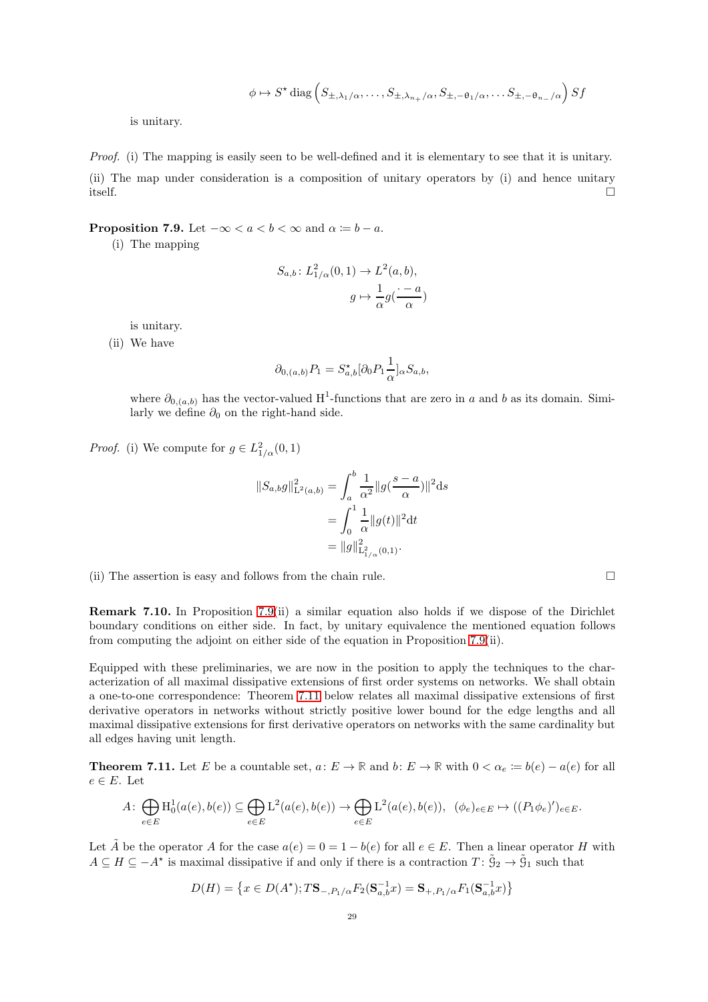$$
\phi \mapsto S^{\star} \operatorname{diag}\left(S_{\pm,\lambda_1/\alpha},\ldots,S_{\pm,\lambda_{n_{+}}/\alpha},S_{\pm,-\theta_1/\alpha},\ldots,S_{\pm,-\theta_{n_{-}}/\alpha}\right) Sf
$$

is unitary.

Proof. (i) The mapping is easily seen to be well-defined and it is elementary to see that it is unitary. (ii) The map under consideration is a composition of unitary operators by (i) and hence unitary itself.  $\square$ 

# <span id="page-28-0"></span>**Proposition 7.9.** Let  $-\infty < a < b < \infty$  and  $\alpha := b - a$ .

(i) The mapping

$$
S_{a,b} \colon L^2_{1/\alpha}(0,1) \to L^2(a,b),
$$

$$
g \mapsto \frac{1}{\alpha} g(\frac{\cdot - a}{\alpha})
$$

is unitary.

(ii) We have

$$
\partial_{0,(a,b)} P_1 = S_{a,b}^{\star} [\partial_0 P_1 \frac{1}{\alpha}]_{\alpha} S_{a,b},
$$

where  $\partial_{0,(a,b)}$  has the vector-valued H<sup>1</sup>-functions that are zero in a and b as its domain. Similarly we define  $\partial_0$  on the right-hand side.

*Proof.* (i) We compute for  $g \in L^2_{1/\alpha}(0,1)$ 

$$
||S_{a,b}g||_{\mathcal{L}^{2}(a,b)}^{2} = \int_{a}^{b} \frac{1}{\alpha^{2}} ||g(\frac{s-a}{\alpha})||^{2} ds
$$
  
= 
$$
\int_{0}^{1} \frac{1}{\alpha} ||g(t)||^{2} dt
$$
  
= 
$$
||g||_{\mathcal{L}^{2}_{1/\alpha}(0,1)}^{2}.
$$

(ii) The assertion is easy and follows from the chain rule.  $\Box$ 

Remark 7.10. In Proposition [7.9\(](#page-28-0)ii) a similar equation also holds if we dispose of the Dirichlet boundary conditions on either side. In fact, by unitary equivalence the mentioned equation follows from computing the adjoint on either side of the equation in Proposition [7.9\(](#page-28-0)ii).

Equipped with these preliminaries, we are now in the position to apply the techniques to the characterization of all maximal dissipative extensions of first order systems on networks. We shall obtain a one-to-one correspondence: Theorem [7.11](#page-28-1) below relates all maximal dissipative extensions of first derivative operators in networks without strictly positive lower bound for the edge lengths and all maximal dissipative extensions for first derivative operators on networks with the same cardinality but all edges having unit length.

<span id="page-28-1"></span>**Theorem 7.11.** Let E be a countable set,  $a: E \to \mathbb{R}$  and  $b: E \to \mathbb{R}$  with  $0 < \alpha_e := b(e) - a(e)$  for all  $e \in E$ . Let

$$
A: \bigoplus_{e \in E} \mathrm{H}_0^1(a(e), b(e)) \subseteq \bigoplus_{e \in E} \mathrm{L}^2(a(e), b(e)) \to \bigoplus_{e \in E} \mathrm{L}^2(a(e), b(e)), \ (\phi_e)_{e \in E} \mapsto ((P_1 \phi_e)')_{e \in E}.
$$

Let  $\tilde{A}$  be the operator A for the case  $a(e) = 0 = 1 - b(e)$  for all  $e \in E$ . Then a linear operator H with  $A \subseteq H \subseteq -A^*$  is maximal dissipative if and only if there is a contraction  $T: \tilde{S}_2 \to \tilde{S}_1$  such that

$$
D(H) = \left\{ x \in D(A^\star) ; T\mathbf{S}_{-,P_1/\alpha} F_2(\mathbf{S}_{a,b}^{-1} x) = \mathbf{S}_{+,P_1/\alpha} F_1(\mathbf{S}_{a,b}^{-1} x) \right\}
$$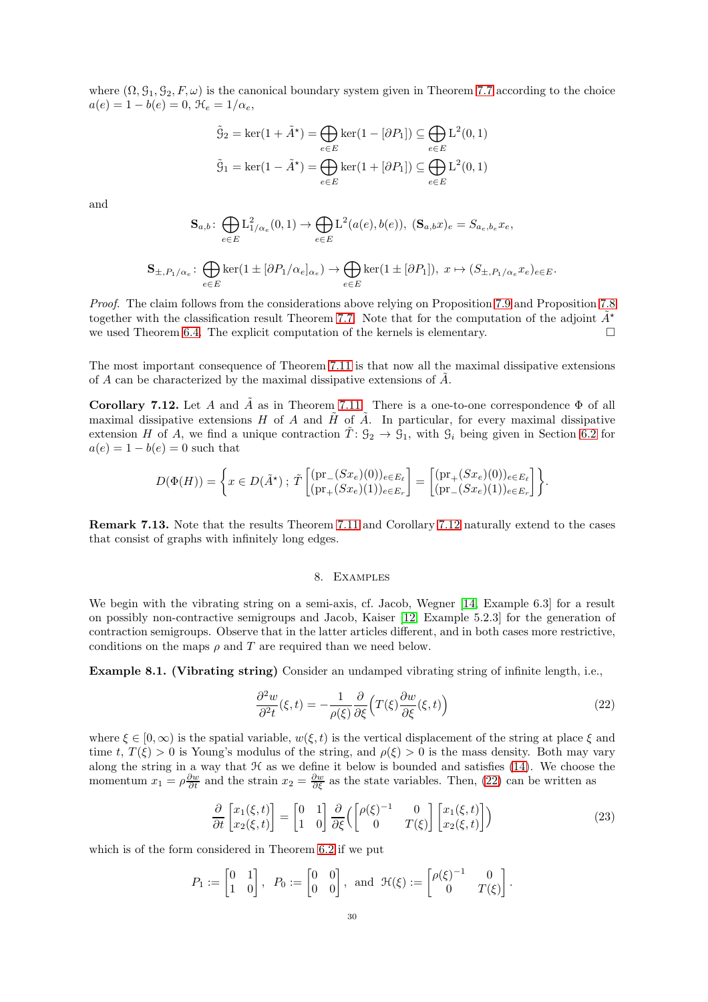where  $(\Omega, \mathcal{G}_1, \mathcal{G}_2, F, \omega)$  is the canonical boundary system given in Theorem [7.7](#page-27-1) according to the choice  $a(e) = 1 - b(e) = 0, \, \mathcal{H}_e = 1/\alpha_e,$ 

$$
\tilde{g}_2 = \ker(1 + \tilde{A}^*) = \bigoplus_{e \in E} \ker(1 - [\partial P_1]) \subseteq \bigoplus_{e \in E} L^2(0, 1)
$$

$$
\tilde{g}_1 = \ker(1 - \tilde{A}^*) = \bigoplus_{e \in E} \ker(1 + [\partial P_1]) \subseteq \bigoplus_{e \in E} L^2(0, 1)
$$

and

$$
\mathbf{S}_{a,b} \colon \bigoplus_{e \in E} L^2_{1/\alpha_e}(0,1) \to \bigoplus_{e \in E} L^2(a(e),b(e)), \ (\mathbf{S}_{a,b}x)_e = S_{a_e,b_e}x_e,
$$

$$
\mathbf{S}_{\pm,P_1/\alpha_e} \colon \bigoplus_{e \in E} \ker(1 \pm [\partial P_1/\alpha_e]_{\alpha_e}) \to \bigoplus_{e \in E} \ker(1 \pm [\partial P_1]), \; x \mapsto (S_{\pm,P_1/\alpha_e}x_e)_{e \in E}.
$$

Proof. The claim follows from the considerations above relying on Proposition [7.9](#page-28-0) and Proposition 7.8 together with the classification result Theorem [7.7.](#page-27-1) Note that for the computation of the adjoint  $\tilde{A}^*$ we used Theorem [6.4.](#page-21-3) The explicit computation of the kernels is elementary.  $\square$ 

The most important consequence of Theorem [7.11](#page-28-1) is that now all the maximal dissipative extensions of A can be characterized by the maximal dissipative extensions of A˜.

<span id="page-29-1"></span>Corollary 7.12. Let A and  $\tilde{A}$  as in Theorem [7.11.](#page-28-1) There is a one-to-one correspondence  $\Phi$  of all maximal dissipative extensions H of A and  $\tilde{H}$  of  $\tilde{A}$ . In particular, for every maximal dissipative extension H of A, we find a unique contraction  $T: \mathcal{G}_2 \to \mathcal{G}_1$ , with  $\mathcal{G}_i$  being given in Section [6.2](#page-21-0) for  $a(e) = 1 - b(e) = 0$  such that

$$
D(\Phi(H)) = \left\{ x \in D(\tilde{A}^{\star}) : \tilde{T} \begin{bmatrix} (\text{pr}_{-}(Sx_{e})(0))_{e \in E_{\ell}} \\ (\text{pr}_{+}(Sx_{e})(1))_{e \in E_{r}} \end{bmatrix} = \begin{bmatrix} (\text{pr}_{+}(Sx_{e})(0))_{e \in E_{\ell}} \\ (\text{pr}_{-}(Sx_{e})(1))_{e \in E_{r}} \end{bmatrix} \right\}.
$$

<span id="page-29-0"></span>Remark 7.13. Note that the results Theorem [7.11](#page-28-1) and Corollary [7.12](#page-29-1) naturally extend to the cases that consist of graphs with infinitely long edges.

## 8. Examples

We begin with the vibrating string on a semi-axis, cf. Jacob, Wegner [\[14,](#page-33-1) Example 6.3] for a result on possibly non-contractive semigroups and Jacob, Kaiser [\[12,](#page-32-6) Example 5.2.3] for the generation of contraction semigroups. Observe that in the latter articles different, and in both cases more restrictive, conditions on the maps  $\rho$  and  $T$  are required than we need below.

Example 8.1. (Vibrating string) Consider an undamped vibrating string of infinite length, i.e.,

<span id="page-29-2"></span>
$$
\frac{\partial^2 w}{\partial^2 t}(\xi, t) = -\frac{1}{\rho(\xi)} \frac{\partial}{\partial \xi} \Big( T(\xi) \frac{\partial w}{\partial \xi}(\xi, t) \Big) \tag{22}
$$

where  $\xi \in [0, \infty)$  is the spatial variable,  $w(\xi, t)$  is the vertical displacement of the string at place  $\xi$  and time t,  $T(\xi) > 0$  is Young's modulus of the string, and  $\rho(\xi) > 0$  is the mass density. Both may vary along the string in a way that  $H$  as we define it below is bounded and satisfies  $(14)$ . We choose the momentum  $x_1 = \rho \frac{\partial w}{\partial t}$  and the strain  $x_2 = \frac{\partial w}{\partial \xi}$  as the state variables. Then, [\(22\)](#page-29-2) can be written as

$$
\frac{\partial}{\partial t} \begin{bmatrix} x_1(\xi, t) \\ x_2(\xi, t) \end{bmatrix} = \begin{bmatrix} 0 & 1 \\ 1 & 0 \end{bmatrix} \frac{\partial}{\partial \xi} \left( \begin{bmatrix} \rho(\xi)^{-1} & 0 \\ 0 & T(\xi) \end{bmatrix} \begin{bmatrix} x_1(\xi, t) \\ x_2(\xi, t) \end{bmatrix} \right)
$$
(23)

which is of the form considered in Theorem [6.2](#page-20-1) if we put

$$
P_1 := \begin{bmatrix} 0 & 1 \\ 1 & 0 \end{bmatrix}, \ \ P_0 := \begin{bmatrix} 0 & 0 \\ 0 & 0 \end{bmatrix}, \ \text{and} \ \ \mathfrak{H}(\xi) := \begin{bmatrix} \rho(\xi)^{-1} & 0 \\ 0 & T(\xi) \end{bmatrix}.
$$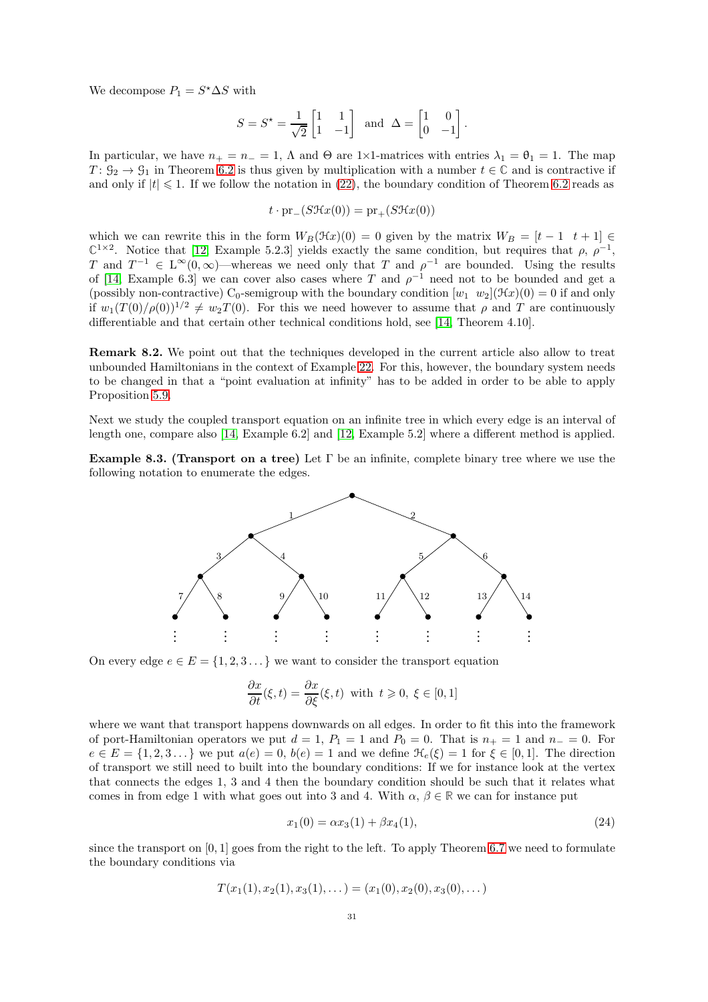We decompose  $P_1 = S^* \Delta S$  with

$$
S = S^* = \frac{1}{\sqrt{2}} \begin{bmatrix} 1 & 1 \\ 1 & -1 \end{bmatrix} \text{ and } \Delta = \begin{bmatrix} 1 & 0 \\ 0 & -1 \end{bmatrix}.
$$

In particular, we have  $n_+ = n_- = 1$ ,  $\Lambda$  and  $\Theta$  are 1×1-matrices with entries  $\lambda_1 = \theta_1 = 1$ . The map  $T: \mathcal{G}_2 \to \mathcal{G}_1$  in Theorem [6.2](#page-20-1) is thus given by multiplication with a number  $t \in \mathbb{C}$  and is contractive if and only if  $|t| \leq 1$ . If we follow the notation in [\(22\)](#page-29-2), the boundary condition of Theorem [6.2](#page-20-1) reads as

$$
t \cdot \mathrm{pr}_{-}(S\mathcal{H}x(0)) = \mathrm{pr}_{+}(S\mathcal{H}x(0))
$$

which we can rewrite this in the form  $W_B(\mathcal{H}x)(0) = 0$  given by the matrix  $W_B = [t - 1 \ t + 1] \in$  $\mathbb{C}^{1\times 2}$ . Notice that [\[12,](#page-32-6) Example 5.2.3] yields exactly the same condition, but requires that  $\rho$ ,  $\rho^{-1}$ , T and  $T^{-1} \in L^{\infty}(0,\infty)$ —whereas we need only that T and  $\rho^{-1}$  are bounded. Using the results of [\[14,](#page-33-1) Example 6.3] we can cover also cases where T and  $\rho^{-1}$  need not to be bounded and get a (possibly non-contractive) C<sub>0</sub>-semigroup with the boundary condition  $[w_1 \ w_2](\mathcal{H}x)(0) = 0$  if and only if  $w_1(T(0)/\rho(0))^{1/2} \neq w_2T(0)$ . For this we need however to assume that  $\rho$  and T are continuously differentiable and that certain other technical conditions hold, see [\[14,](#page-33-1) Theorem 4.10].

Remark 8.2. We point out that the techniques developed in the current article also allow to treat unbounded Hamiltonians in the context of Example [22.](#page-29-2) For this, however, the boundary system needs to be changed in that a "point evaluation at infinity" has to be added in order to be able to apply Proposition [5.9.](#page-19-2)

Next we study the coupled transport equation on an infinite tree in which every edge is an interval of length one, compare also [\[14,](#page-33-1) Example 6.2] and [\[12,](#page-32-6) Example 5.2] where a different method is applied.

**Example 8.3.** (Transport on a tree) Let  $\Gamma$  be an infinite, complete binary tree where we use the following notation to enumerate the edges.



On every edge  $e \in E = \{1, 2, 3, \dots\}$  we want to consider the transport equation

$$
\frac{\partial x}{\partial t}(\xi, t) = \frac{\partial x}{\partial \xi}(\xi, t) \text{ with } t \ge 0, \ \xi \in [0, 1]
$$

where we want that transport happens downwards on all edges. In order to fit this into the framework of port-Hamiltonian operators we put  $d = 1$ ,  $P_1 = 1$  and  $P_0 = 0$ . That is  $n_+ = 1$  and  $n_- = 0$ . For  $e \in E = \{1, 2, 3, \dots\}$  we put  $a(e) = 0, b(e) = 1$  and we define  $\mathcal{H}_e(\xi) = 1$  for  $\xi \in [0, 1]$ . The direction of transport we still need to built into the boundary conditions: If we for instance look at the vertex that connects the edges 1, 3 and 4 then the boundary condition should be such that it relates what comes in from edge 1 with what goes out into 3 and 4. With  $\alpha, \beta \in \mathbb{R}$  we can for instance put

<span id="page-30-0"></span>
$$
x_1(0) = \alpha x_3(1) + \beta x_4(1), \tag{24}
$$

since the transport on  $[0, 1]$  goes from the right to the left. To apply Theorem [6.7](#page-23-0) we need to formulate the boundary conditions via

$$
T(x_1(1), x_2(1), x_3(1), \dots) = (x_1(0), x_2(0), x_3(0), \dots)
$$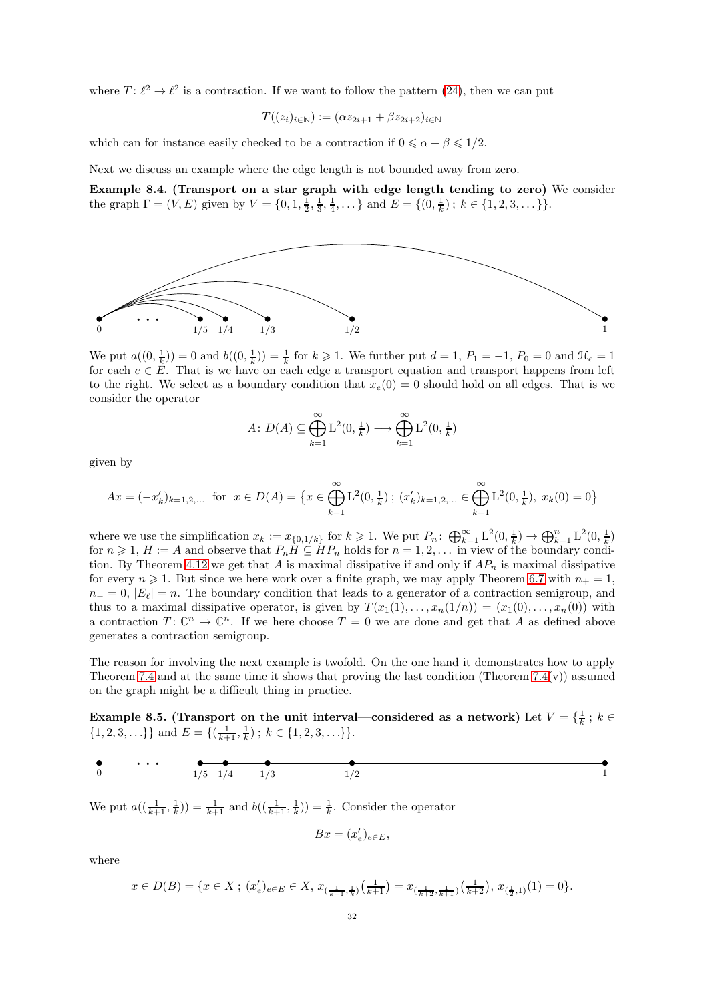where  $T: \ell^2 \to \ell^2$  is a contraction. If we want to follow the pattern [\(24\)](#page-30-0), then we can put

$$
T((z_i)_{i\in\mathbb{N}}):=(\alpha z_{2i+1}+\beta z_{2i+2})_{i\in\mathbb{N}}
$$

which can for instance easily checked to be a contraction if  $0 \le \alpha + \beta \le 1/2$ .

Next we discuss an example where the edge length is not bounded away from zero.

Example 8.4. (Transport on a star graph with edge length tending to zero) We consider the graph  $\Gamma = (V, E)$  given by  $V = \{0, 1, \frac{1}{2}, \frac{1}{3}, \frac{1}{4}, \dots\}$  and  $E = \{(0, \frac{1}{k})\}; k \in \{1, 2, 3, \dots\}\}.$ 



We put  $a((0, \frac{1}{k})) = 0$  and  $b((0, \frac{1}{k})) = \frac{1}{k}$  for  $k \geq 1$ . We further put  $d = 1$ ,  $P_1 = -1$ ,  $P_0 = 0$  and  $\mathcal{H}_e = 1$ for each  $e \in E$ . That is we have on each edge a transport equation and transport happens from left to the right. We select as a boundary condition that  $x_e(0) = 0$  should hold on all edges. That is we consider the operator

$$
A: D(A) \subseteq \bigoplus_{k=1}^{\infty} \mathcal{L}^2(0, \frac{1}{k}) \longrightarrow \bigoplus_{k=1}^{\infty} \mathcal{L}^2(0, \frac{1}{k})
$$

given by

$$
Ax = (-x'_k)_{k=1,2,...} \text{ for } x \in D(A) = \left\{ x \in \bigoplus_{k=1}^{\infty} L^2(0, \frac{1}{k}) \, ; \, (x'_k)_{k=1,2,...} \in \bigoplus_{k=1}^{\infty} L^2(0, \frac{1}{k}), \, x_k(0) = 0 \right\}
$$

where we use the simplification  $x_k := x_{\{0,1/k\}}$  for  $k \geq 1$ . We put  $P_n: \bigoplus_{k=1}^{\infty} L^2(0, \frac{1}{k}) \to \bigoplus_{k=1}^n L^2(0, \frac{1}{k})$ for  $n \geq 1$ ,  $H := A$  and observe that  $P_n \overline{H} \subseteq \overline{H}P_n$  holds for  $n = 1, 2, \ldots$  in view of the boundary condi-tion. By Theorem [4.12](#page-12-0) we get that A is maximal dissipative if and only if  $AP_n$  is maximal dissipative for every  $n \geq 1$ . But since we here work over a finite graph, we may apply Theorem [6.7](#page-23-0) with  $n_{+} = 1$ ,  $n_0 = 0$ ,  $|E_\ell| = n$ . The boundary condition that leads to a generator of a contraction semigroup, and thus to a maximal dissipative operator, is given by  $T(x_1(1), \ldots, x_n(1/n)) = (x_1(0), \ldots, x_n(0))$  with a contraction  $T: \mathbb{C}^n \to \mathbb{C}^n$ . If we here choose  $T = 0$  we are done and get that A as defined above generates a contraction semigroup.

The reason for involving the next example is twofold. On the one hand it demonstrates how to apply Theorem [7.4](#page-25-0) and at the same time it shows that proving the last condition (Theorem 7.4 $(v)$ ) assumed on the graph might be a difficult thing in practice.

<span id="page-31-0"></span>Example 8.5. (Transport on the unit interval—considered as a network) Let  $V = \{\frac{1}{k}; k \in$  $\{1, 2, 3, \ldots\}\}\$  and  $E = \{(\frac{1}{k+1}, \frac{1}{k})\; ; \; k \in \{1, 2, 3, \ldots\}\}.$ 

$$
\begin{array}{cccc}\n\bullet & \bullet & \bullet & \bullet & \bullet & \bullet & \bullet \\
0 & & 1/5 & 1/4 & 1/3 & 1/2 & 1\n\end{array}
$$

We put  $a((\frac{1}{k+1}, \frac{1}{k})) = \frac{1}{k+1}$  and  $b((\frac{1}{k+1}, \frac{1}{k})) = \frac{1}{k}$ . Consider the operator

$$
Bx=(x_e')_{e\in E},
$$

where

$$
x \in D(B) = \{ x \in X ; (x_e')_{e \in E} \in X, x_{(\frac{1}{k+1}, \frac{1}{k})}(\frac{1}{k+1}) = x_{(\frac{1}{k+2}, \frac{1}{k+1})}(\frac{1}{k+2}), x_{(\frac{1}{2}, 1)}(1) = 0 \}.
$$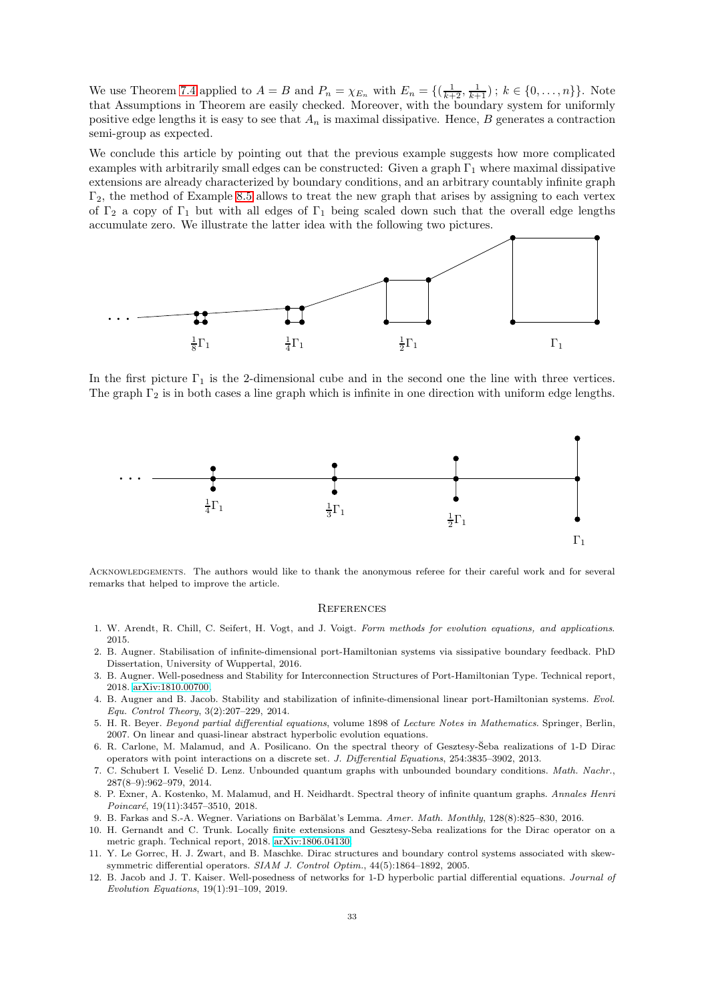We use Theorem [7.4](#page-25-0) applied to  $A = B$  and  $P_n = \chi_{E_n}$  with  $E_n = \{(\frac{1}{k+2}, \frac{1}{k+1}) : k \in \{0, \ldots, n\}\}\)$ . Note that Assumptions in Theorem are easily checked. Moreover, with the boundary system for uniformly positive edge lengths it is easy to see that  $A_n$  is maximal dissipative. Hence, B generates a contraction semi-group as expected.

We conclude this article by pointing out that the previous example suggests how more complicated examples with arbitrarily small edges can be constructed: Given a graph  $\Gamma_1$  where maximal dissipative extensions are already characterized by boundary conditions, and an arbitrary countably infinite graph  $\Gamma_2$ , the method of Example [8.5](#page-31-0) allows to treat the new graph that arises by assigning to each vertex of  $\Gamma_2$  a copy of  $\Gamma_1$  but with all edges of  $\Gamma_1$  being scaled down such that the overall edge lengths accumulate zero. We illustrate the latter idea with the following two pictures.



In the first picture  $\Gamma_1$  is the 2-dimensional cube and in the second one the line with three vertices. The graph  $\Gamma_2$  is in both cases a line graph which is infinite in one direction with uniform edge lengths.



Acknowledgements. The authors would like to thank the anonymous referee for their careful work and for several remarks that helped to improve the article.

#### **REFERENCES**

- <span id="page-32-11"></span><span id="page-32-2"></span>1. W. Arendt, R. Chill, C. Seifert, H. Vogt, and J. Voigt. Form methods for evolution equations, and applications. 2015.
- 2. B. Augner. Stabilisation of infinite-dimensional port-Hamiltonian systems via sissipative boundary feedback. PhD Dissertation, University of Wuppertal, 2016.
- <span id="page-32-3"></span>3. B. Augner. Well-posedness and Stability for Interconnection Structures of Port-Hamiltonian Type. Technical report, 2018. [arXiv:1810.00700.](http://arxiv.org/abs/1810.00700)
- <span id="page-32-4"></span>4. B. Augner and B. Jacob. Stability and stabilization of infinite-dimensional linear port-Hamiltonian systems. Evol. Equ. Control Theory, 3(2):207–229, 2014.
- <span id="page-32-10"></span>5. H. R. Beyer. Beyond partial differential equations, volume 1898 of Lecture Notes in Mathematics. Springer, Berlin, 2007. On linear and quasi-linear abstract hyperbolic evolution equations.
- <span id="page-32-1"></span>6. R. Carlone, M. Malamud, and A. Posilicano. On the spectral theory of Gesztesy-Seba realizations of 1-D Dirac ˘ operators with point interactions on a discrete set. J. Differential Equations, 254:3835–3902, 2013.
- <span id="page-32-7"></span>7. C. Schubert I. Veselić D. Lenz. Unbounded quantum graphs with unbounded boundary conditions. Math. Nachr., 287(8–9):962–979, 2014.
- <span id="page-32-0"></span>8. P. Exner, A. Kostenko, M. Malamud, and H. Neidhardt. Spectral theory of infinite quantum graphs. Annales Henri Poincaré, 19(11):3457-3510, 2018.
- <span id="page-32-9"></span><span id="page-32-8"></span>9. B. Farkas and S.-A. Wegner. Variations on Barbălat's Lemma. Amer. Math. Monthly, 128(8):825–830, 2016.
- 10. H. Gernandt and C. Trunk. Locally finite extensions and Gesztesy-Seba realizations for the Dirac operator on a metric graph. Technical report, 2018. [arXiv:1806.04130.](http://arxiv.org/abs/1806.04130)
- <span id="page-32-5"></span>11. Y. Le Gorrec, H. J. Zwart, and B. Maschke. Dirac structures and boundary control systems associated with skewsymmetric differential operators. SIAM J. Control Optim., 44(5):1864–1892, 2005.
- <span id="page-32-6"></span>12. B. Jacob and J. T. Kaiser. Well-posedness of networks for 1-D hyperbolic partial differential equations. Journal of Evolution Equations, 19(1):91–109, 2019.